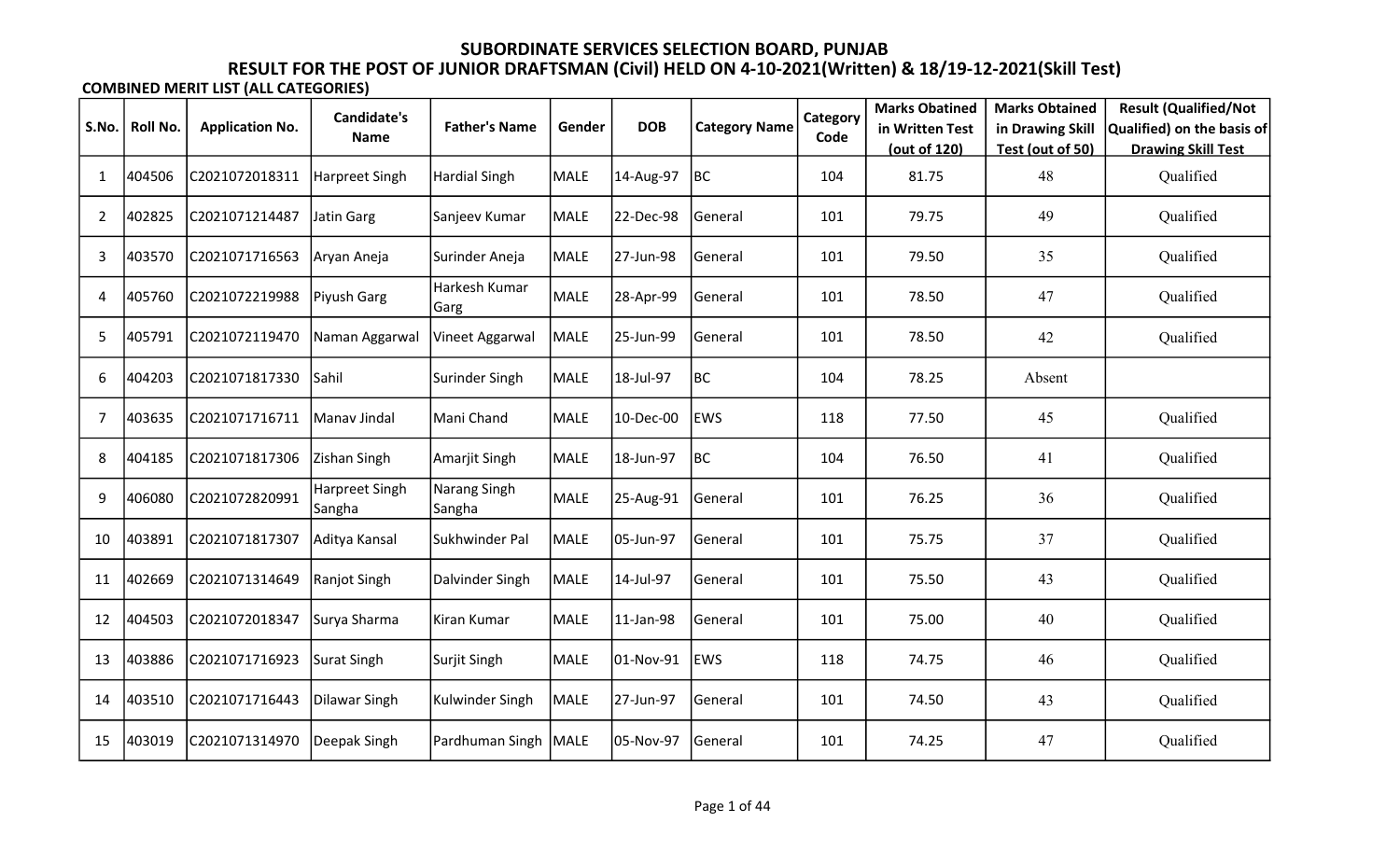|                |                 |                        | <b>Candidate's</b>       |                        |             |            |                      | Category | <b>Marks Obatined</b> | <b>Marks Obtained</b> | <b>Result (Qualified/Not</b> |
|----------------|-----------------|------------------------|--------------------------|------------------------|-------------|------------|----------------------|----------|-----------------------|-----------------------|------------------------------|
| S.No.          | <b>Roll No.</b> | <b>Application No.</b> | <b>Name</b>              | <b>Father's Name</b>   | Gender      | <b>DOB</b> | <b>Category Name</b> | Code     | in Written Test       | in Drawing Skill      | Qualified) on the basis of   |
|                |                 |                        |                          |                        |             |            |                      |          | (out of 120)          | Test (out of 50)      | <b>Drawing Skill Test</b>    |
| $\mathbf{1}$   | 404506          | C2021072018311         | Harpreet Singh           | Hardial Singh          | <b>MALE</b> | 14-Aug-97  | BC                   | 104      | 81.75                 | 48                    | Qualified                    |
| $\overline{2}$ | 402825          | C2021071214487         | Jatin Garg               | Sanjeev Kumar          | <b>MALE</b> | 22-Dec-98  | General              | 101      | 79.75                 | 49                    | Qualified                    |
| 3              | 403570          | C2021071716563         | Aryan Aneja              | Surinder Aneja         | <b>MALE</b> | 27-Jun-98  | General              | 101      | 79.50                 | 35                    | Qualified                    |
| 4              | 405760          | C2021072219988         | Piyush Garg              | Harkesh Kumar<br>Garg  | <b>MALE</b> | 28-Apr-99  | General              | 101      | 78.50                 | 47                    | Qualified                    |
| 5              | 405791          | C2021072119470         | Naman Aggarwal           | Vineet Aggarwal        | <b>MALE</b> | 25-Jun-99  | General              | 101      | 78.50                 | 42                    | Qualified                    |
| 6              | 404203          | C2021071817330         | Sahil                    | Surinder Singh         | <b>MALE</b> | 18-Jul-97  | BC                   | 104      | 78.25                 | Absent                |                              |
| $\overline{7}$ | 403635          | C2021071716711         | Manav Jindal             | Mani Chand             | <b>MALE</b> | 10-Dec-00  | <b>EWS</b>           | 118      | 77.50                 | 45                    | Qualified                    |
| 8              | 404185          | C2021071817306         | Zishan Singh             | Amarjit Singh          | <b>MALE</b> | 18-Jun-97  | <b>BC</b>            | 104      | 76.50                 | 41                    | Qualified                    |
| 9              | 406080          | C2021072820991         | Harpreet Singh<br>Sangha | Narang Singh<br>Sangha | <b>MALE</b> | 25-Aug-91  | General              | 101      | 76.25                 | 36                    | Qualified                    |
| 10             | 403891          | C2021071817307         | Aditya Kansal            | Sukhwinder Pal         | <b>MALE</b> | 05-Jun-97  | General              | 101      | 75.75                 | 37                    | Qualified                    |
| 11             | 402669          | C2021071314649         | Ranjot Singh             | Dalvinder Singh        | <b>MALE</b> | 14-Jul-97  | General              | 101      | 75.50                 | 43                    | Qualified                    |
| 12             | 404503          | C2021072018347         | Surya Sharma             | Kiran Kumar            | <b>MALE</b> | 11-Jan-98  | General              | 101      | 75.00                 | 40                    | Qualified                    |
| 13             | 403886          | C2021071716923         | Surat Singh              | Surjit Singh           | <b>MALE</b> | 01-Nov-91  | <b>EWS</b>           | 118      | 74.75                 | 46                    | Qualified                    |
| 14             | 403510          | C2021071716443         | Dilawar Singh            | Kulwinder Singh        | <b>MALE</b> | 27-Jun-97  | General              | 101      | 74.50                 | 43                    | Qualified                    |
| 15             | 403019          | C2021071314970         | Deepak Singh             | Pardhuman Singh MALE   |             | 05-Nov-97  | General              | 101      | 74.25                 | 47                    | Qualified                    |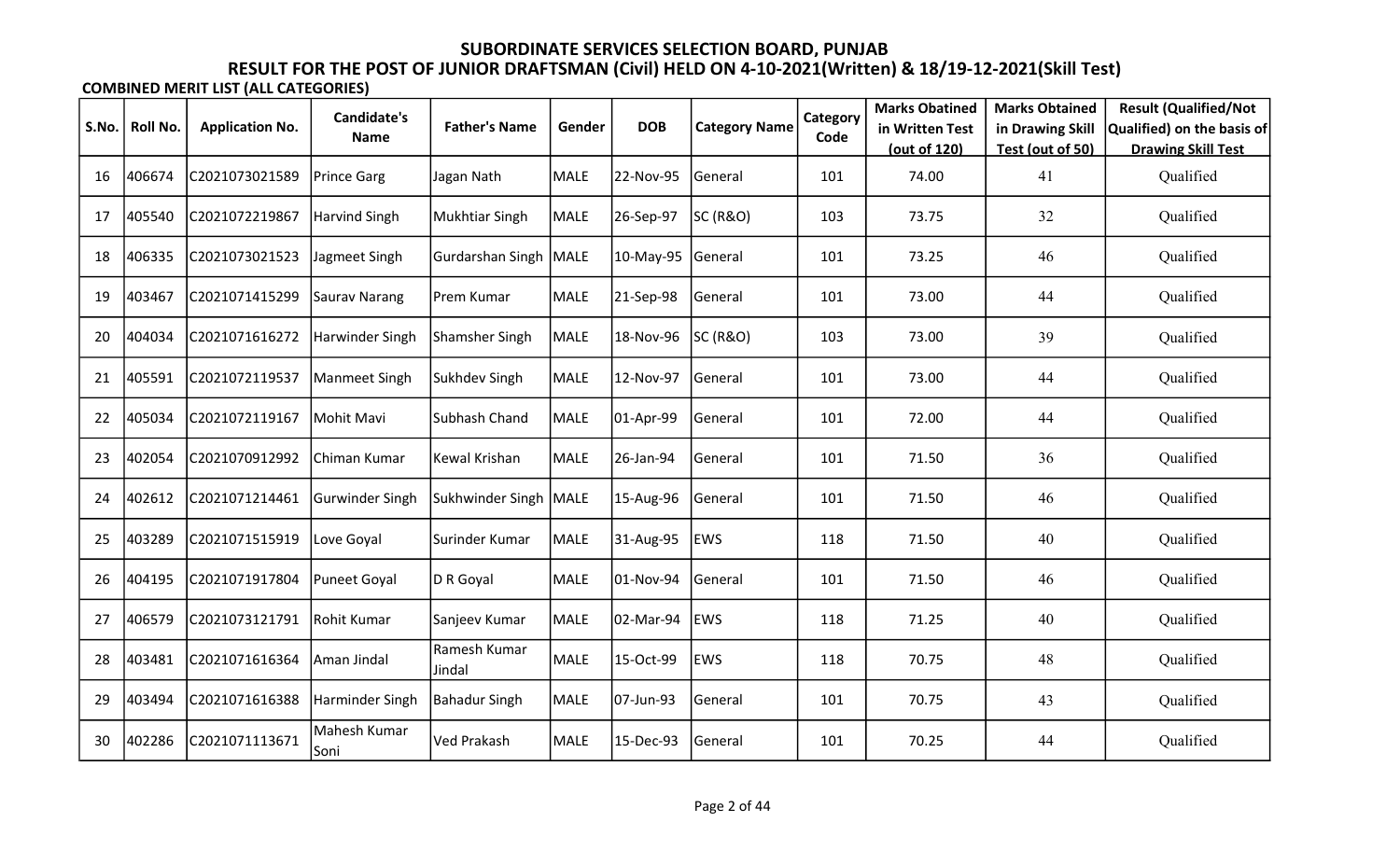|       |          |                        | <b>Candidate's</b>    |                         |             |            |                      | Category | <b>Marks Obatined</b>           | <b>Marks Obtained</b>                | <b>Result (Qualified/Not</b>                            |
|-------|----------|------------------------|-----------------------|-------------------------|-------------|------------|----------------------|----------|---------------------------------|--------------------------------------|---------------------------------------------------------|
| S.No. | Roll No. | <b>Application No.</b> | <b>Name</b>           | <b>Father's Name</b>    | Gender      | <b>DOB</b> | <b>Category Name</b> | Code     | in Written Test<br>(out of 120) | in Drawing Skill<br>Test (out of 50) | Qualified) on the basis of<br><b>Drawing Skill Test</b> |
| 16    | 406674   | C2021073021589         | Prince Garg           | Jagan Nath              | <b>MALE</b> | 22-Nov-95  | General              | 101      | 74.00                           | 41                                   | Qualified                                               |
| 17    | 405540   | C2021072219867         | Harvind Singh         | <b>Mukhtiar Singh</b>   | MALE        | 26-Sep-97  | SC(R&O)              | 103      | 73.75                           | 32                                   | Qualified                                               |
| 18    | 406335   | C2021073021523         | Jagmeet Singh         | Gurdarshan Singh        | MALE        | 10-May-95  | General              | 101      | 73.25                           | 46                                   | Qualified                                               |
| 19    | 403467   | C2021071415299         | Saurav Narang         | Prem Kumar              | <b>MALE</b> | 21-Sep-98  | General              | 101      | 73.00                           | 44                                   | Qualified                                               |
| 20    | 404034   | C2021071616272         | Harwinder Singh       | <b>Shamsher Singh</b>   | <b>MALE</b> | 18-Nov-96  | SC(R&O)              | 103      | 73.00                           | 39                                   | Qualified                                               |
| 21    | 405591   | C2021072119537         | Manmeet Singh         | Sukhdev Singh           | <b>MALE</b> | 12-Nov-97  | General              | 101      | 73.00                           | 44                                   | Qualified                                               |
| 22    | 405034   | C2021072119167         | Mohit Mavi            | Subhash Chand           | <b>MALE</b> | 01-Apr-99  | General              | 101      | 72.00                           | 44                                   | Qualified                                               |
| 23    | 402054   | C2021070912992         | Chiman Kumar          | Kewal Krishan           | <b>MALE</b> | 26-Jan-94  | General              | 101      | 71.50                           | 36                                   | Qualified                                               |
| 24    | 402612   | C2021071214461         | Gurwinder Singh       | Sukhwinder Singh   MALE |             | 15-Aug-96  | General              | 101      | 71.50                           | 46                                   | Qualified                                               |
| 25    | 403289   | C2021071515919         | Love Goyal            | Surinder Kumar          | <b>MALE</b> | 31-Aug-95  | <b>EWS</b>           | 118      | 71.50                           | 40                                   | Qualified                                               |
| 26    | 404195   | C2021071917804         | Puneet Goyal          | D R Goyal               | <b>MALE</b> | 01-Nov-94  | General              | 101      | 71.50                           | 46                                   | Qualified                                               |
| 27    | 406579   | C2021073121791         | Rohit Kumar           | Sanjeev Kumar           | <b>MALE</b> | 02-Mar-94  | <b>EWS</b>           | 118      | 71.25                           | 40                                   | Qualified                                               |
| 28    | 403481   | C2021071616364         | Aman Jindal           | Ramesh Kumar<br>Jindal  | <b>MALE</b> | 15-Oct-99  | <b>EWS</b>           | 118      | 70.75                           | 48                                   | Qualified                                               |
| 29    | 403494   | C2021071616388         | Harminder Singh       | <b>Bahadur Singh</b>    | <b>MALE</b> | 07-Jun-93  | General              | 101      | 70.75                           | 43                                   | Qualified                                               |
| 30    | 402286   | C2021071113671         | Mahesh Kumar<br> Soni | <b>Ved Prakash</b>      | <b>MALE</b> | 15-Dec-93  | General              | 101      | 70.25                           | 44                                   | Qualified                                               |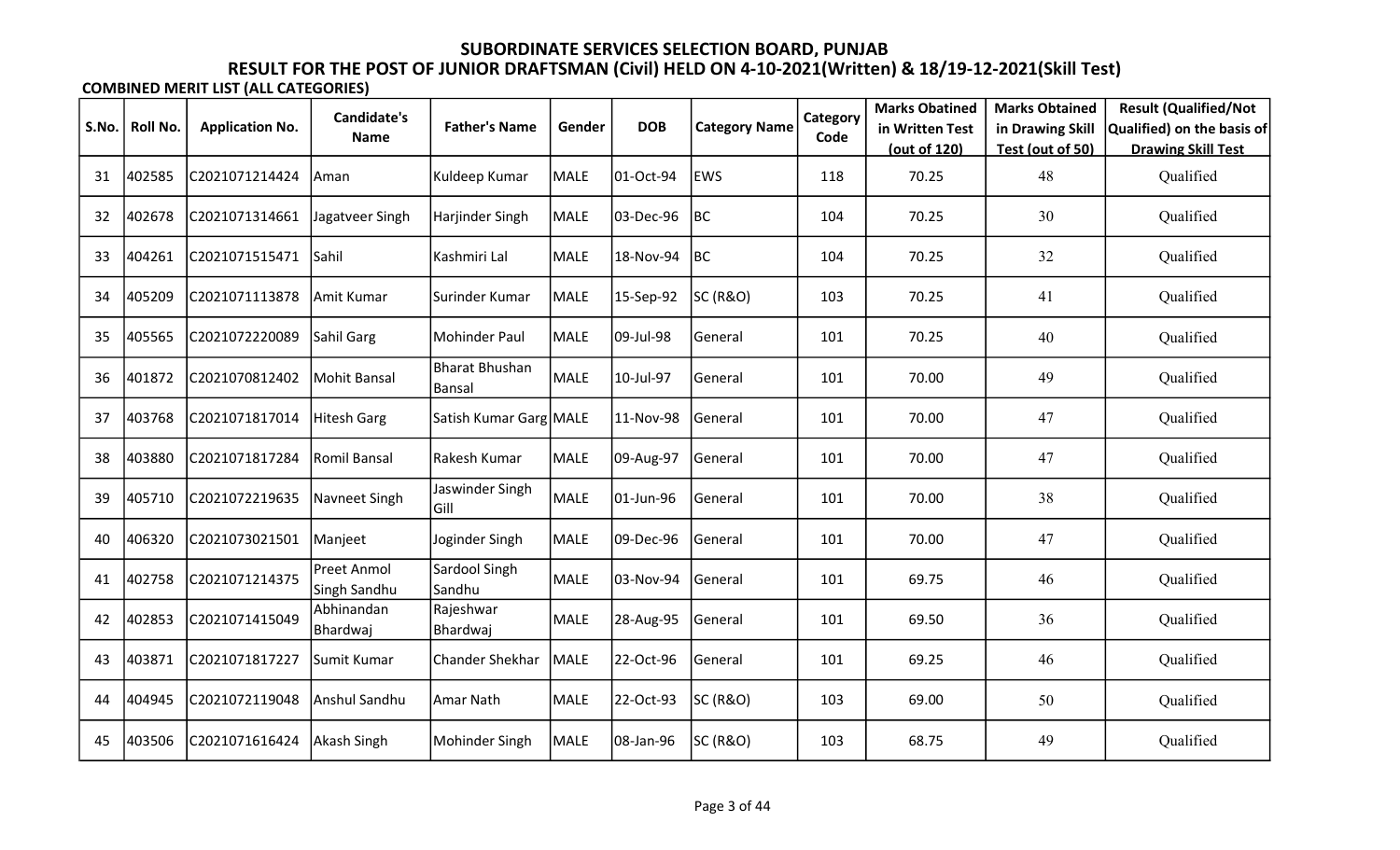|       |          |                        | <b>Candidate's</b>          |                                 |             |            |                      | Category | <b>Marks Obatined</b> | <b>Marks Obtained</b> | <b>Result (Qualified/Not</b> |
|-------|----------|------------------------|-----------------------------|---------------------------------|-------------|------------|----------------------|----------|-----------------------|-----------------------|------------------------------|
| S.No. | Roll No. | <b>Application No.</b> | <b>Name</b>                 | <b>Father's Name</b>            | Gender      | <b>DOB</b> | <b>Category Name</b> | Code     | in Written Test       | in Drawing Skill      | Qualified) on the basis of   |
|       |          |                        |                             |                                 |             |            |                      |          | (out of 120)          | Test (out of 50)      | <b>Drawing Skill Test</b>    |
| 31    | 402585   | C2021071214424         | Aman                        | Kuldeep Kumar                   | <b>MALE</b> | 01-Oct-94  | <b>EWS</b>           | 118      | 70.25                 | 48                    | Qualified                    |
| 32    | 402678   | C2021071314661         | Jagatveer Singh             | Harjinder Singh                 | <b>MALE</b> | 03-Dec-96  | BC                   | 104      | 70.25                 | 30                    | Qualified                    |
| 33    | 404261   | C2021071515471         | <b>Sahil</b>                | Kashmiri Lal                    | <b>MALE</b> | 18-Nov-94  | BC                   | 104      | 70.25                 | 32                    | Qualified                    |
| 34    | 405209   | C2021071113878         | Amit Kumar                  | Surinder Kumar                  | MALE        | 15-Sep-92  | <b>SC (R&amp;O)</b>  | 103      | 70.25                 | 41                    | Qualified                    |
| 35    | 405565   | C2021072220089         | Sahil Garg                  | Mohinder Paul                   | <b>MALE</b> | 09-Jul-98  | General              | 101      | 70.25                 | 40                    | Qualified                    |
| 36    | 401872   | C2021070812402         | Mohit Bansal                | <b>Bharat Bhushan</b><br>Bansal | MALE        | 10-Jul-97  | General              | 101      | 70.00                 | 49                    | Qualified                    |
| 37    | 403768   | C2021071817014         | Hitesh Garg                 | Satish Kumar Garg MALE          |             | 11-Nov-98  | General              | 101      | 70.00                 | 47                    | Qualified                    |
| 38    | 403880   | C2021071817284         | Romil Bansal                | Rakesh Kumar                    | <b>MALE</b> | 09-Aug-97  | General              | 101      | 70.00                 | 47                    | Qualified                    |
| 39    | 405710   | C2021072219635         | Navneet Singh               | Jaswinder Singh<br>Gill         | <b>MALE</b> | 01-Jun-96  | General              | 101      | 70.00                 | 38                    | Qualified                    |
| 40    | 406320   | C2021073021501         | Manjeet                     | Joginder Singh                  | <b>MALE</b> | 09-Dec-96  | General              | 101      | 70.00                 | 47                    | Qualified                    |
| 41    | 402758   | C2021071214375         | Preet Anmol<br>Singh Sandhu | Sardool Singh<br>Sandhu         | <b>MALE</b> | 03-Nov-94  | General              | 101      | 69.75                 | 46                    | Qualified                    |
| 42    | 402853   | C2021071415049         | Abhinandan<br>Bhardwaj      | Rajeshwar<br>Bhardwaj           | <b>MALE</b> | 28-Aug-95  | General              | 101      | 69.50                 | 36                    | Qualified                    |
| 43    | 403871   | C2021071817227         | Sumit Kumar                 | <b>Chander Shekhar</b>          | <b>MALE</b> | 22-Oct-96  | General              | 101      | 69.25                 | 46                    | Qualified                    |
| 44    | 404945   | C2021072119048         | Anshul Sandhu               | Amar Nath                       | <b>MALE</b> | 22-Oct-93  | SC (R&O)             | 103      | 69.00                 | 50                    | Qualified                    |
| 45    | 403506   | C2021071616424         | Akash Singh                 | Mohinder Singh                  | <b>MALE</b> | 08-Jan-96  | <b>SC (R&amp;O)</b>  | 103      | 68.75                 | 49                    | Qualified                    |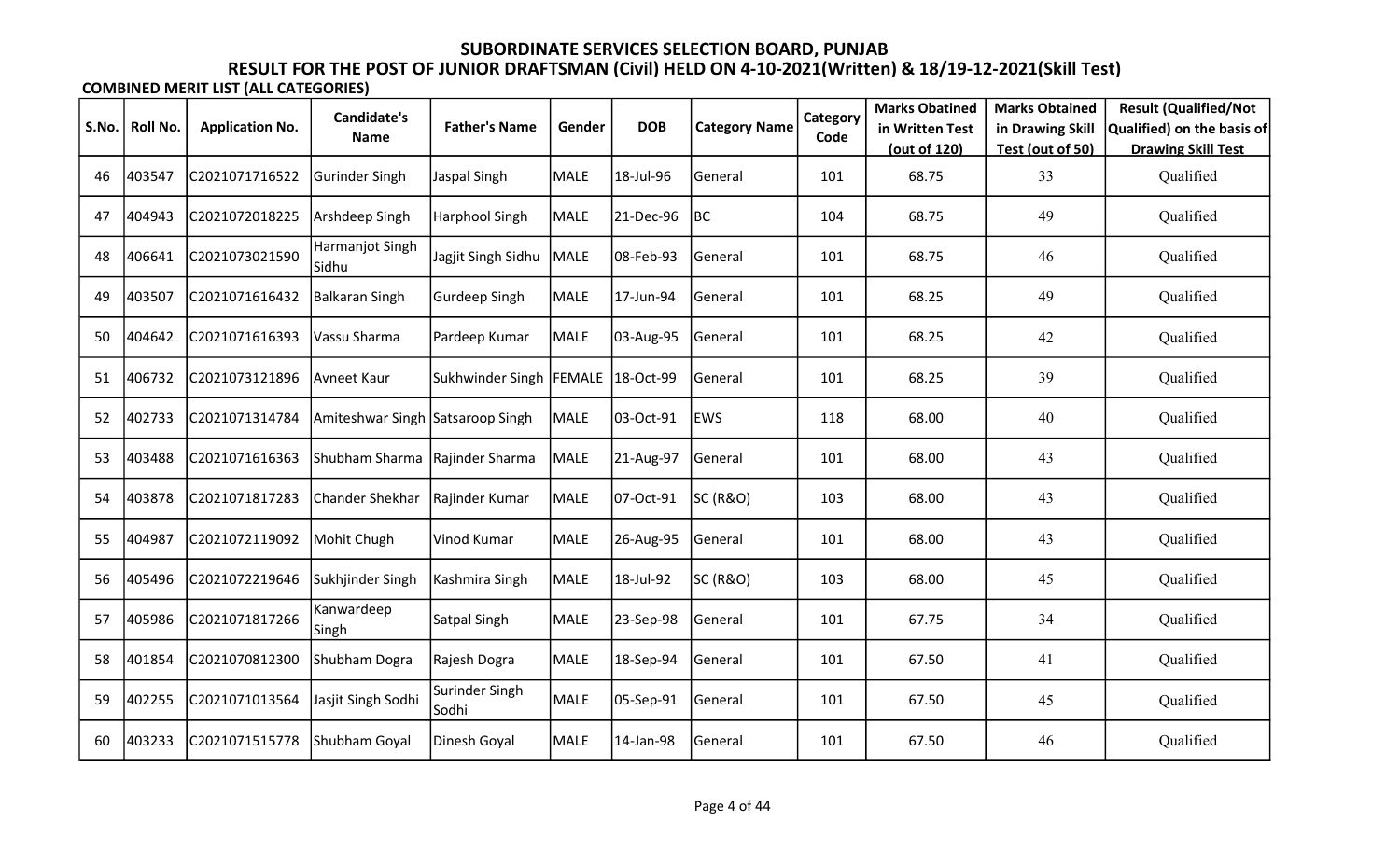|       |          |                        | <b>Candidate's</b>               |                         |             |            |                      | Category | <b>Marks Obatined</b> | <b>Marks Obtained</b> | <b>Result (Qualified/Not</b> |
|-------|----------|------------------------|----------------------------------|-------------------------|-------------|------------|----------------------|----------|-----------------------|-----------------------|------------------------------|
| S.No. | Roll No. | <b>Application No.</b> | <b>Name</b>                      | <b>Father's Name</b>    | Gender      | <b>DOB</b> | <b>Category Name</b> | Code     | in Written Test       | in Drawing Skill      | Qualified) on the basis of   |
|       |          |                        |                                  |                         |             |            |                      |          | (out of 120)          | Test (out of 50)      | <b>Drawing Skill Test</b>    |
| 46    | 403547   | C2021071716522         | Gurinder Singh                   | Jaspal Singh            | <b>MALE</b> | 18-Jul-96  | General              | 101      | 68.75                 | 33                    | Qualified                    |
| 47    | 404943   | C2021072018225         | Arshdeep Singh                   | Harphool Singh          | <b>MALE</b> | 21-Dec-96  | BC                   | 104      | 68.75                 | 49                    | Qualified                    |
| 48    | 406641   | C2021073021590         | Harmanjot Singh<br> Sidhu        | Jagjit Singh Sidhu      | MALE        | 08-Feb-93  | General              | 101      | 68.75                 | 46                    | Qualified                    |
| 49    | 403507   | C2021071616432         | Balkaran Singh                   | Gurdeep Singh           | MALE        | 17-Jun-94  | General              | 101      | 68.25                 | 49                    | Qualified                    |
| 50    | 404642   | C2021071616393         | Vassu Sharma                     | Pardeep Kumar           | <b>MALE</b> | 03-Aug-95  | General              | 101      | 68.25                 | 42                    | Qualified                    |
| 51    | 406732   | C2021073121896         | Avneet Kaur                      | Sukhwinder Singh        | FEMALE      | 18-Oct-99  | General              | 101      | 68.25                 | 39                    | Qualified                    |
| 52    | 402733   | C2021071314784         | Amiteshwar Singh Satsaroop Singh |                         | <b>MALE</b> | 03-Oct-91  | <b>EWS</b>           | 118      | 68.00                 | 40                    | Qualified                    |
| 53    | 403488   | C2021071616363         | Shubham Sharma                   | Rajinder Sharma         | <b>MALE</b> | 21-Aug-97  | General              | 101      | 68.00                 | 43                    | Qualified                    |
| 54    | 403878   | C2021071817283         | Chander Shekhar                  | Rajinder Kumar          | <b>MALE</b> | 07-Oct-91  | <b>SC (R&amp;O)</b>  | 103      | 68.00                 | 43                    | Qualified                    |
| 55    | 404987   | C2021072119092         | Mohit Chugh                      | Vinod Kumar             | <b>MALE</b> | 26-Aug-95  | General              | 101      | 68.00                 | 43                    | Qualified                    |
| 56    | 405496   | C2021072219646         | Sukhjinder Singh                 | Kashmira Singh          | MALE        | 18-Jul-92  | <b>SC (R&amp;O)</b>  | 103      | 68.00                 | 45                    | Qualified                    |
| 57    | 405986   | C2021071817266         | Kanwardeep<br> Singh             | Satpal Singh            | <b>MALE</b> | 23-Sep-98  | General              | 101      | 67.75                 | 34                    | Qualified                    |
| 58    | 401854   | C2021070812300         | Shubham Dogra                    | Rajesh Dogra            | <b>MALE</b> | 18-Sep-94  | General              | 101      | 67.50                 | 41                    | Qualified                    |
| 59    | 402255   | C2021071013564         | Jasjit Singh Sodhi               | Surinder Singh<br>Sodhi | <b>MALE</b> | 05-Sep-91  | General              | 101      | 67.50                 | 45                    | Qualified                    |
| 60    | 403233   | C2021071515778         | Shubham Goyal                    | Dinesh Goyal            | <b>MALE</b> | 14-Jan-98  | General              | 101      | 67.50                 | 46                    | Qualified                    |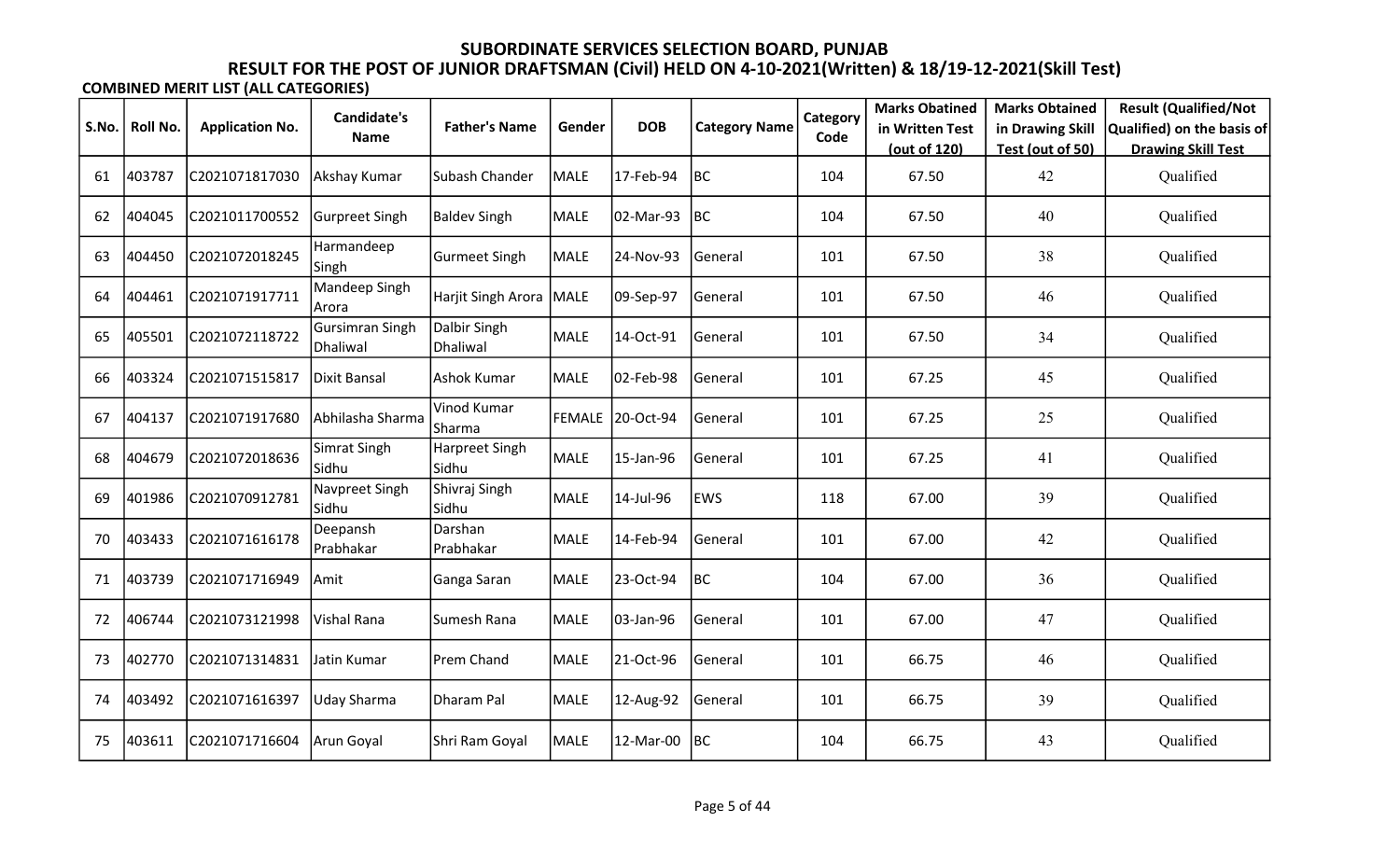|       |          |                        | Candidate's                 |                          |             |                  |                      | Category | <b>Marks Obatined</b> | <b>Marks Obtained</b> | <b>Result (Qualified/Not</b> |
|-------|----------|------------------------|-----------------------------|--------------------------|-------------|------------------|----------------------|----------|-----------------------|-----------------------|------------------------------|
| S.No. | Roll No. | <b>Application No.</b> | Name                        | <b>Father's Name</b>     | Gender      | <b>DOB</b>       | <b>Category Name</b> | Code     | in Written Test       | in Drawing Skill      | Qualified) on the basis of   |
|       |          |                        |                             |                          |             |                  |                      |          | (out of 120)          | Test (out of 50)      | <b>Drawing Skill Test</b>    |
| 61    | 403787   | C2021071817030         | Akshay Kumar                | Subash Chander           | <b>MALE</b> | 17-Feb-94        | BC                   | 104      | 67.50                 | 42                    | Qualified                    |
| 62    | 404045   | C2021011700552         | Gurpreet Singh              | <b>Baldev Singh</b>      | <b>MALE</b> | 02-Mar-93        | <b>BC</b>            | 104      | 67.50                 | 40                    | Qualified                    |
| 63    | 404450   | C2021072018245         | Harmandeep<br>Singh         | <b>Gurmeet Singh</b>     | <b>MALE</b> | 24-Nov-93        | General              | 101      | 67.50                 | 38                    | Qualified                    |
| 64    | 404461   | C2021071917711         | Mandeep Singh<br>Arora      | Harjit Singh Arora       | MALE        | 09-Sep-97        | General              | 101      | 67.50                 | 46                    | Qualified                    |
| 65    | 405501   | C2021072118722         | Gursimran Singh<br>Dhaliwal | Dalbir Singh<br>Dhaliwal | <b>MALE</b> | 14-Oct-91        | General              | 101      | 67.50                 | 34                    | Qualified                    |
| 66    | 403324   | C2021071515817         | Dixit Bansal                | Ashok Kumar              | <b>MALE</b> | 02-Feb-98        | General              | 101      | 67.25                 | 45                    | Qualified                    |
| 67    | 404137   | C2021071917680         | lAbhilasha Sharma           | Vinod Kumar<br>Sharma    |             | FEMALE 20-Oct-94 | General              | 101      | 67.25                 | 25                    | Qualified                    |
| 68    | 404679   | C2021072018636         | Simrat Singh<br>Sidhu       | Harpreet Singh<br>Sidhu  | <b>MALE</b> | 15-Jan-96        | General              | 101      | 67.25                 | 41                    | Qualified                    |
| 69    | 401986   | C2021070912781         | Navpreet Singh<br>Sidhu     | Shivraj Singh<br>Sidhu   | <b>MALE</b> | 14-Jul-96        | EWS                  | 118      | 67.00                 | 39                    | Qualified                    |
| 70    | 403433   | C2021071616178         | Deepansh<br>Prabhakar       | Darshan<br>Prabhakar     | <b>MALE</b> | 14-Feb-94        | General              | 101      | 67.00                 | 42                    | Qualified                    |
| 71    | 403739   | C2021071716949         | Amit                        | Ganga Saran              | MALE        | 23-Oct-94        | BC                   | 104      | 67.00                 | 36                    | Qualified                    |
| 72    | 406744   | C2021073121998         | Vishal Rana                 | Sumesh Rana              | <b>MALE</b> | 03-Jan-96        | General              | 101      | 67.00                 | 47                    | Qualified                    |
| 73    | 402770   | C2021071314831         | Jatin Kumar                 | Prem Chand               | <b>MALE</b> | 21-Oct-96        | General              | 101      | 66.75                 | 46                    | Qualified                    |
| 74    | 403492   | C2021071616397         | Uday Sharma                 | Dharam Pal               | <b>MALE</b> | 12-Aug-92        | General              | 101      | 66.75                 | 39                    | Qualified                    |
| 75    | 403611   | C2021071716604         | Arun Goyal                  | Shri Ram Goyal           | <b>MALE</b> | 12-Mar-00        | BC                   | 104      | 66.75                 | 43                    | Qualified                    |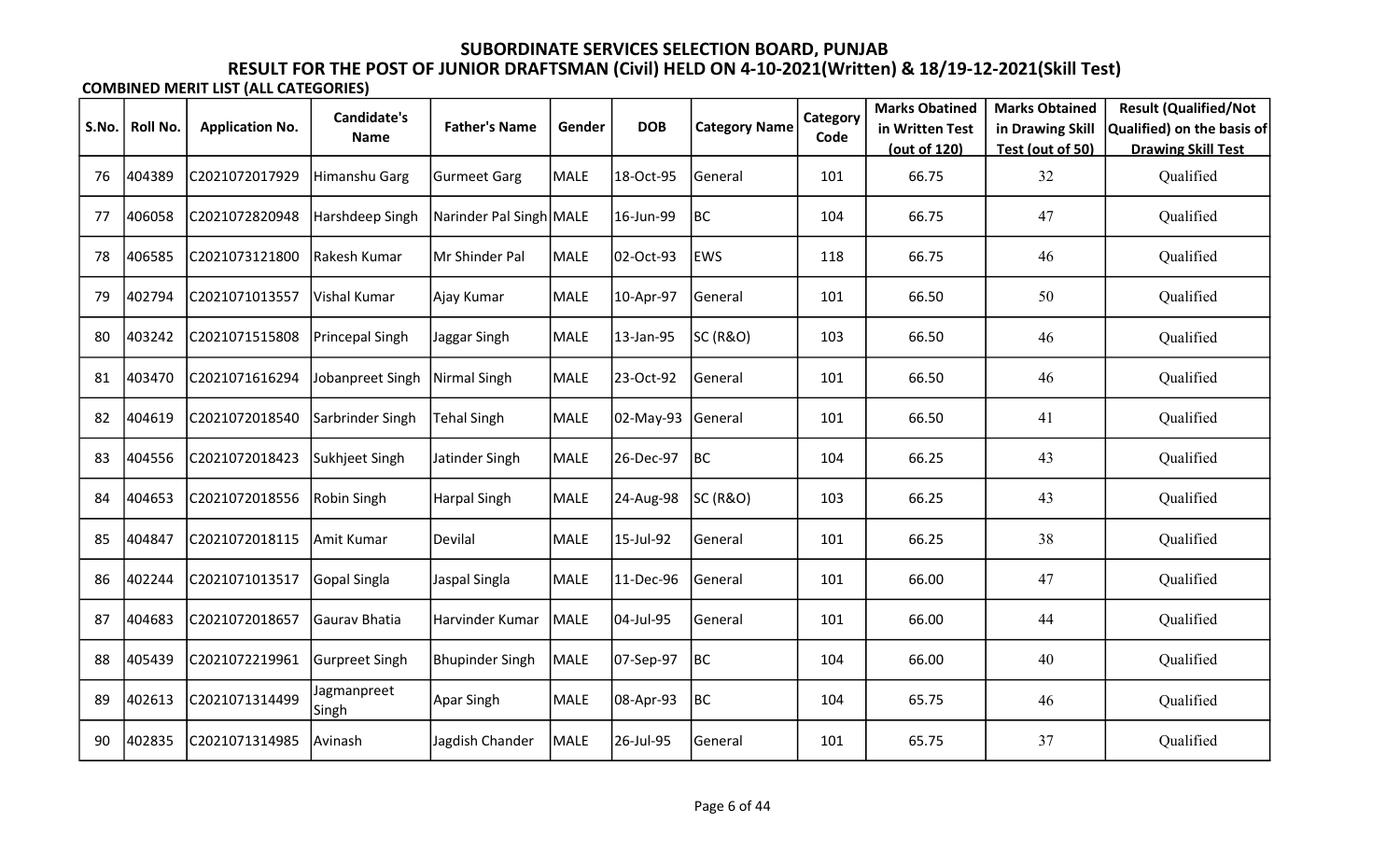|       |          |                        | <b>Candidate's</b>   |                         |             |            |                      | Category | <b>Marks Obatined</b> | <b>Marks Obtained</b> | <b>Result (Qualified/Not</b> |
|-------|----------|------------------------|----------------------|-------------------------|-------------|------------|----------------------|----------|-----------------------|-----------------------|------------------------------|
| S.No. | Roll No. | <b>Application No.</b> | <b>Name</b>          | <b>Father's Name</b>    | Gender      | <b>DOB</b> | <b>Category Name</b> | Code     | in Written Test       | in Drawing Skill      | Qualified) on the basis of   |
|       |          |                        |                      |                         |             |            |                      |          | (out of 120)          | Test (out of 50)      | <b>Drawing Skill Test</b>    |
| 76    | 404389   | C2021072017929         | Himanshu Garg        | <b>Gurmeet Garg</b>     | <b>MALE</b> | 18-Oct-95  | General              | 101      | 66.75                 | 32                    | Qualified                    |
| 77    | 406058   | C2021072820948         | Harshdeep Singh      | Narinder Pal Singh MALE |             | 16-Jun-99  | BC                   | 104      | 66.75                 | 47                    | Qualified                    |
| 78    | 406585   | C2021073121800         | Rakesh Kumar         | Mr Shinder Pal          | <b>MALE</b> | 02-Oct-93  | <b>EWS</b>           | 118      | 66.75                 | 46                    | Qualified                    |
| 79    | 402794   | C2021071013557         | Vishal Kumar         | Ajay Kumar              | <b>MALE</b> | 10-Apr-97  | General              | 101      | 66.50                 | 50                    | Qualified                    |
| 80    | 403242   | C2021071515808         | Princepal Singh      | Jaggar Singh            | <b>MALE</b> | 13-Jan-95  | <b>SC (R&amp;O)</b>  | 103      | 66.50                 | 46                    | Qualified                    |
| 81    | 403470   | C2021071616294         | Jobanpreet Singh     | Nirmal Singh            | <b>MALE</b> | 23-Oct-92  | General              | 101      | 66.50                 | 46                    | Qualified                    |
| 82    | 404619   | C2021072018540         | Sarbrinder Singh     | <b>Tehal Singh</b>      | <b>MALE</b> | 02-May-93  | General              | 101      | 66.50                 | 41                    | Qualified                    |
| 83    | 404556   | C2021072018423         | Sukhjeet Singh       | Jatinder Singh          | <b>MALE</b> | 26-Dec-97  | BC                   | 104      | 66.25                 | 43                    | Qualified                    |
| 84    | 404653   | C2021072018556         | Robin Singh          | Harpal Singh            | <b>MALE</b> | 24-Aug-98  | <b>SC (R&amp;O)</b>  | 103      | 66.25                 | 43                    | Qualified                    |
| 85    | 404847   | C2021072018115         | Amit Kumar           | Devilal                 | <b>MALE</b> | 15-Jul-92  | General              | 101      | 66.25                 | 38                    | Qualified                    |
| 86    | 402244   | C2021071013517         | Gopal Singla         | Jaspal Singla           | <b>MALE</b> | 11-Dec-96  | General              | 101      | 66.00                 | 47                    | Qualified                    |
| 87    | 404683   | C2021072018657         | Gaurav Bhatia        | Harvinder Kumar         | MALE        | 04-Jul-95  | General              | 101      | 66.00                 | 44                    | Qualified                    |
| 88    | 405439   | C2021072219961         | Gurpreet Singh       | <b>Bhupinder Singh</b>  | <b>MALE</b> | 07-Sep-97  | BC                   | 104      | 66.00                 | 40                    | Qualified                    |
| 89    | 402613   | C2021071314499         | Jagmanpreet<br>Singh | <b>Apar Singh</b>       | <b>MALE</b> | 08-Apr-93  | BC                   | 104      | 65.75                 | 46                    | Qualified                    |
| 90    | 402835   | C2021071314985         | Avinash              | Jagdish Chander         | <b>MALE</b> | 26-Jul-95  | General              | 101      | 65.75                 | 37                    | Qualified                    |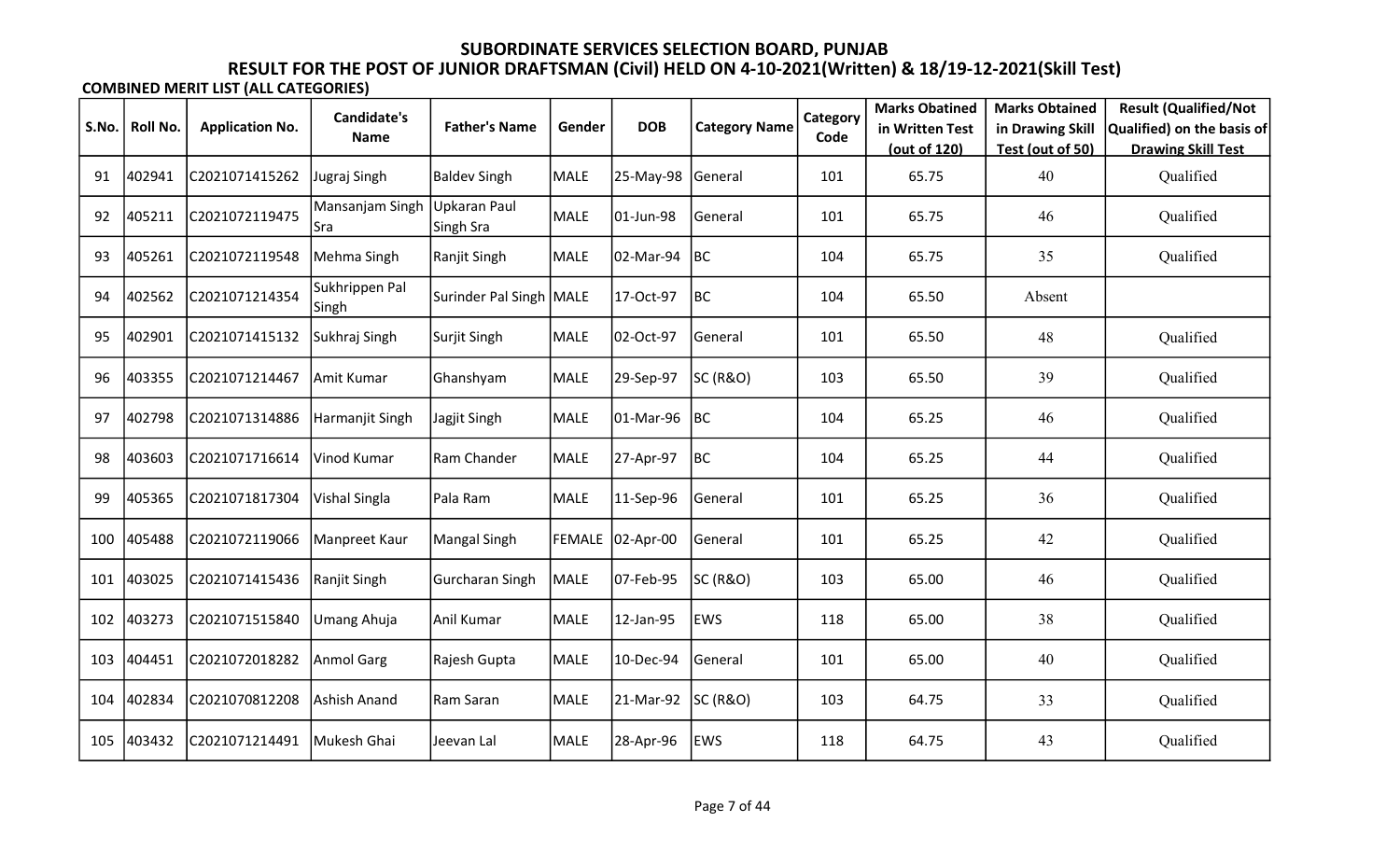|       |          |                        | Candidate's             |                                  |             |                  |                      | Category | <b>Marks Obatined</b> | <b>Marks Obtained</b> | <b>Result (Qualified/Not</b> |
|-------|----------|------------------------|-------------------------|----------------------------------|-------------|------------------|----------------------|----------|-----------------------|-----------------------|------------------------------|
| S.No. | Roll No. | <b>Application No.</b> | Name                    | <b>Father's Name</b>             | Gender      | <b>DOB</b>       | <b>Category Name</b> | Code     | in Written Test       | in Drawing Skill      | Qualified) on the basis of   |
|       |          |                        |                         |                                  |             |                  |                      |          | (out of 120)          | Test (out of 50)      | <b>Drawing Skill Test</b>    |
| 91    | 402941   | C2021071415262         | Jugraj Singh            | <b>Baldev Singh</b>              | <b>MALE</b> | 25-May-98        | General              | 101      | 65.75                 | 40                    | Qualified                    |
| 92    | 405211   | C2021072119475         | Mansanjam Singh<br>lSra | <b>Upkaran Paul</b><br>Singh Sra | <b>MALE</b> | 01-Jun-98        | General              | 101      | 65.75                 | 46                    | Qualified                    |
| 93    | 405261   | C2021072119548         | Mehma Singh             | Ranjit Singh                     | <b>MALE</b> | 02-Mar-94        | BC                   | 104      | 65.75                 | 35                    | Qualified                    |
| 94    | 402562   | C2021071214354         | Sukhrippen Pal<br>Singh | Surinder Pal Singh   MALE        |             | 17-Oct-97        | BC                   | 104      | 65.50                 | Absent                |                              |
| 95    | 402901   | C2021071415132         | Sukhraj Singh           | Surjit Singh                     | MALE        | 02-Oct-97        | General              | 101      | 65.50                 | 48                    | Qualified                    |
| 96    | 403355   | C2021071214467         | Amit Kumar              | Ghanshyam                        | MALE        | 29-Sep-97        | SC (R&O)             | 103      | 65.50                 | 39                    | Qualified                    |
| 97    | 402798   | C2021071314886         | Harmanjit Singh         | Jagjit Singh                     | MALE        | 01-Mar-96        | <b>BC</b>            | 104      | 65.25                 | 46                    | Qualified                    |
| 98    | 403603   | C2021071716614         | Vinod Kumar             | Ram Chander                      | <b>MALE</b> | 27-Apr-97        | BC                   | 104      | 65.25                 | 44                    | Qualified                    |
| 99    | 405365   | C2021071817304         | Vishal Singla           | Pala Ram                         | <b>MALE</b> | 11-Sep-96        | General              | 101      | 65.25                 | 36                    | Qualified                    |
| 100   | 405488   | C2021072119066         | Manpreet Kaur           | <b>Mangal Singh</b>              |             | FEMALE 02-Apr-00 | General              | 101      | 65.25                 | 42                    | Qualified                    |
| 101   | 403025   | C2021071415436         | Ranjit Singh            | Gurcharan Singh                  | <b>MALE</b> | 07-Feb-95        | SC (R&O)             | 103      | 65.00                 | 46                    | Qualified                    |
| 102   | 403273   | C2021071515840         | Umang Ahuja             | Anil Kumar                       | <b>MALE</b> | 12-Jan-95        | <b>EWS</b>           | 118      | 65.00                 | 38                    | Qualified                    |
| 103   | 404451   | C2021072018282         | Anmol Garg              | Rajesh Gupta                     | <b>MALE</b> | 10-Dec-94        | General              | 101      | 65.00                 | 40                    | Qualified                    |
| 104   | 402834   | C2021070812208         | Ashish Anand            | Ram Saran                        | MALE        | 21-Mar-92        | <b>SC (R&amp;O)</b>  | 103      | 64.75                 | 33                    | Qualified                    |
| 105   | 403432   | C2021071214491         | Mukesh Ghai             | Jeevan Lal                       | <b>MALE</b> | 28-Apr-96        | <b>EWS</b>           | 118      | 64.75                 | 43                    | Qualified                    |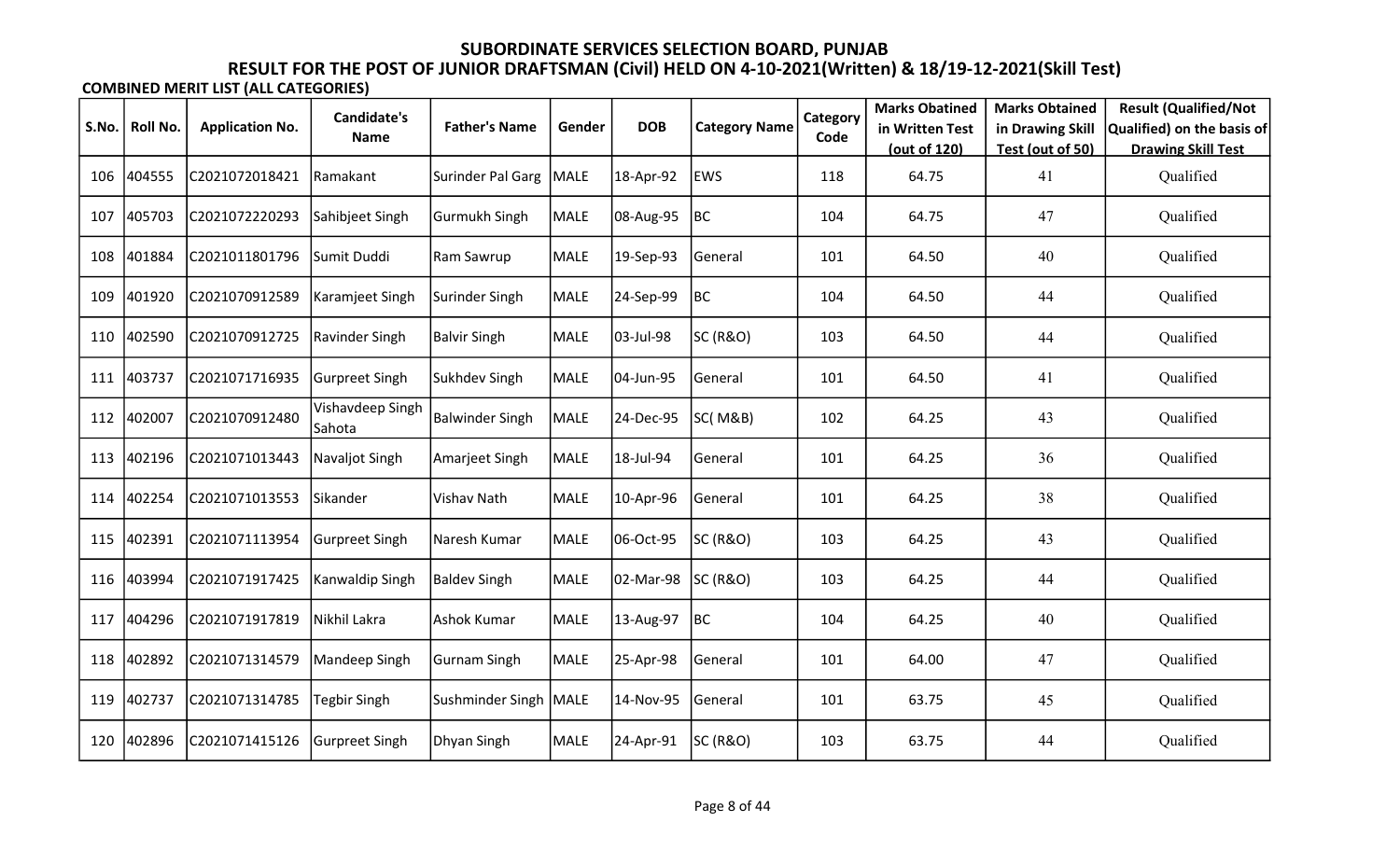|       |          |                        | Candidate's                       |                         |             |            |                      | Category | <b>Marks Obatined</b>           | <b>Marks Obtained</b>                | <b>Result (Qualified/Not</b>                            |
|-------|----------|------------------------|-----------------------------------|-------------------------|-------------|------------|----------------------|----------|---------------------------------|--------------------------------------|---------------------------------------------------------|
| S.No. | Roll No. | <b>Application No.</b> | Name                              | <b>Father's Name</b>    | Gender      | <b>DOB</b> | <b>Category Name</b> | Code     | in Written Test<br>(out of 120) | in Drawing Skill<br>Test (out of 50) | Qualified) on the basis of<br><b>Drawing Skill Test</b> |
| 106   | 404555   | C2021072018421         | Ramakant                          | Surinder Pal Garg       | MALE        | 18-Apr-92  | <b>EWS</b>           | 118      | 64.75                           | 41                                   | Qualified                                               |
| 107   | 405703   | C2021072220293         | Sahibjeet Singh                   | Gurmukh Singh           | <b>MALE</b> | 08-Aug-95  | BC                   | 104      | 64.75                           | 47                                   | Qualified                                               |
| 108   | 401884   | C2021011801796         | Sumit Duddi                       | Ram Sawrup              | <b>MALE</b> | 19-Sep-93  | General              | 101      | 64.50                           | 40                                   | Qualified                                               |
| 109   | 401920   | C2021070912589         | Karamjeet Singh                   | Surinder Singh          | <b>MALE</b> | 24-Sep-99  | BC                   | 104      | 64.50                           | 44                                   | Qualified                                               |
| 110   | 402590   | C2021070912725         | Ravinder Singh                    | Balvir Singh            | MALE        | 03-Jul-98  | SC (R&O)             | 103      | 64.50                           | 44                                   | Qualified                                               |
| 111   | 403737   | C2021071716935         | Gurpreet Singh                    | Sukhdev Singh           | <b>MALE</b> | 04-Jun-95  | General              | 101      | 64.50                           | 41                                   | Qualified                                               |
| 112   | 402007   | C2021070912480         | Vishavdeep Singh<br><b>Sahota</b> | Balwinder Singh         | <b>MALE</b> | 24-Dec-95  | SC(M&B)              | 102      | 64.25                           | 43                                   | Qualified                                               |
| 113   | 402196   | C2021071013443         | Navaljot Singh                    | Amarjeet Singh          | <b>MALE</b> | 18-Jul-94  | General              | 101      | 64.25                           | 36                                   | Qualified                                               |
| 114   | 402254   | C2021071013553         | Sikander                          | Vishav Nath             | <b>MALE</b> | 10-Apr-96  | General              | 101      | 64.25                           | 38                                   | Qualified                                               |
| 115   | 402391   | C2021071113954         | <b>Gurpreet Singh</b>             | Naresh Kumar            | <b>MALE</b> | 06-Oct-95  | SC (R&O)             | 103      | 64.25                           | 43                                   | Qualified                                               |
| 116   | 403994   | C2021071917425         | Kanwaldip Singh                   | <b>Baldev Singh</b>     | <b>MALE</b> | 02-Mar-98  | <b>SC (R&amp;O)</b>  | 103      | 64.25                           | 44                                   | Qualified                                               |
| 117   | 404296   | C2021071917819         | Nikhil Lakra                      | Ashok Kumar             | <b>MALE</b> | 13-Aug-97  | <b>BC</b>            | 104      | 64.25                           | 40                                   | Qualified                                               |
| 118   | 402892   | C2021071314579         | Mandeep Singh                     | <b>Gurnam Singh</b>     | <b>MALE</b> | 25-Apr-98  | General              | 101      | 64.00                           | 47                                   | Qualified                                               |
| 119   | 402737   | C2021071314785         | Tegbir Singh                      | Sushminder Singh   MALE |             | 14-Nov-95  | General              | 101      | 63.75                           | 45                                   | Qualified                                               |
| 120   | 402896   | C2021071415126         | Gurpreet Singh                    | Dhyan Singh             | MALE        | 24-Apr-91  | SC (R&O)             | 103      | 63.75                           | 44                                   | Qualified                                               |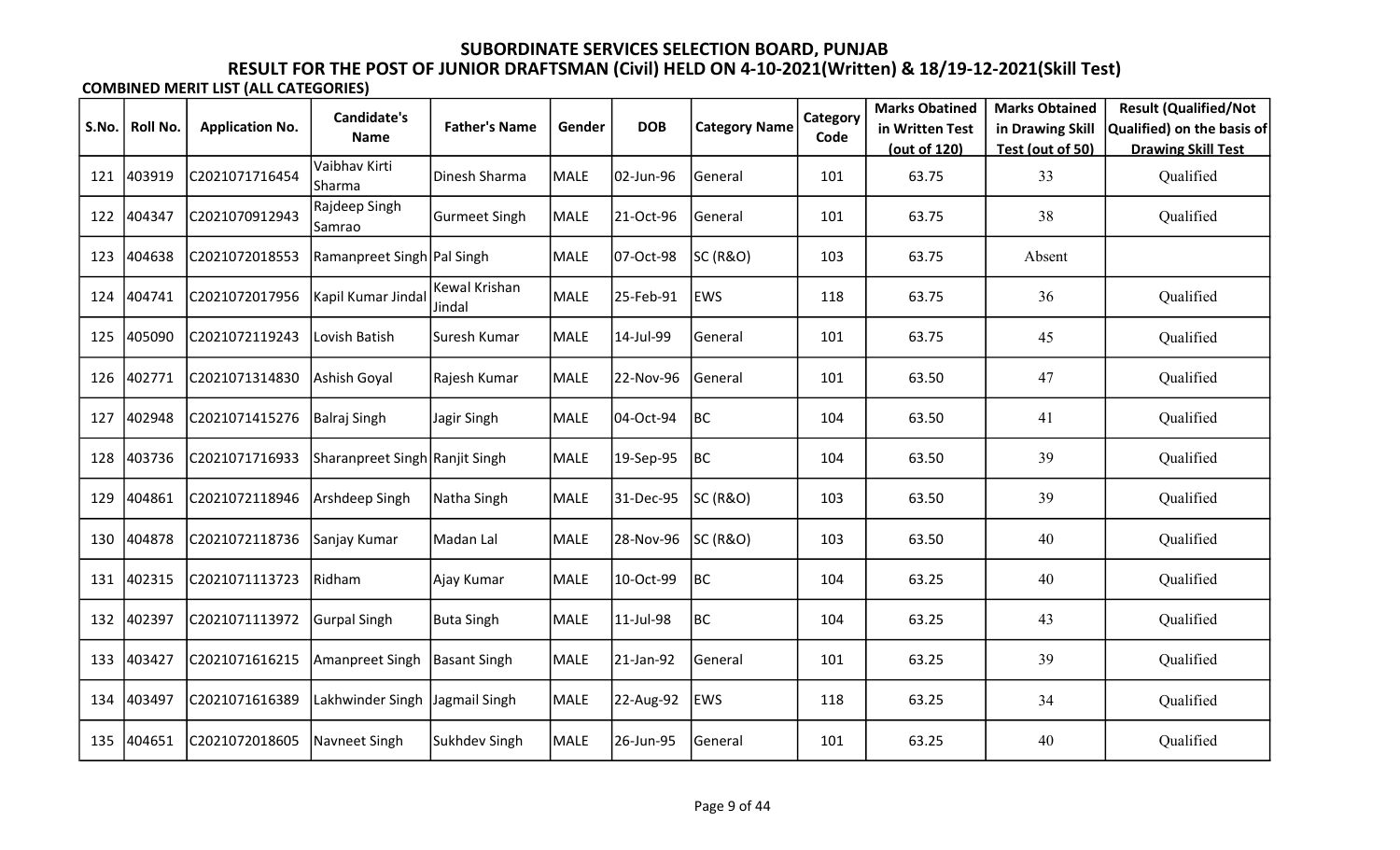|       |                 |                        | <b>Candidate's</b>             |                         |             |            |                      | Category | <b>Marks Obatined</b> | <b>Marks Obtained</b> | <b>Result (Qualified/Not</b> |
|-------|-----------------|------------------------|--------------------------------|-------------------------|-------------|------------|----------------------|----------|-----------------------|-----------------------|------------------------------|
| S.No. | <b>Roll No.</b> | <b>Application No.</b> | <b>Name</b>                    | <b>Father's Name</b>    | Gender      | <b>DOB</b> | <b>Category Name</b> | Code     | in Written Test       | in Drawing Skill      | Qualified) on the basis of   |
|       |                 |                        |                                |                         |             |            |                      |          | (out of 120)          | Test (out of 50)      | <b>Drawing Skill Test</b>    |
| 121   | 403919          | C2021071716454         | Vaibhav Kirti<br>Sharma        | Dinesh Sharma           | <b>MALE</b> | 02-Jun-96  | General              | 101      | 63.75                 | 33                    | Qualified                    |
| 122   | 404347          | C2021070912943         | Rajdeep Singh<br>Samrao        | <b>Gurmeet Singh</b>    | MALE        | 21-Oct-96  | General              | 101      | 63.75                 | 38                    | Qualified                    |
| 123   | 404638          | C2021072018553         | Ramanpreet Singh   Pal Singh   |                         | MALE        | 07-Oct-98  | SC (R&O)             | 103      | 63.75                 | Absent                |                              |
| 124   | 404741          | C2021072017956         | Kapil Kumar Jindal             | Kewal Krishan<br>Jindal | <b>MALE</b> | 25-Feb-91  | <b>EWS</b>           | 118      | 63.75                 | 36                    | Qualified                    |
| 125   | 405090          | C2021072119243         | Lovish Batish                  | Suresh Kumar            | MALE        | 14-Jul-99  | General              | 101      | 63.75                 | 45                    | Qualified                    |
| 126   | 402771          | C2021071314830         | Ashish Goyal                   | Rajesh Kumar            | <b>MALE</b> | 22-Nov-96  | General              | 101      | 63.50                 | 47                    | Qualified                    |
| 127   | 402948          | C2021071415276         | Balraj Singh                   | Jagir Singh             | MALE        | 04-Oct-94  | <b>BC</b>            | 104      | 63.50                 | 41                    | Qualified                    |
| 128   | 403736          | C2021071716933         | Sharanpreet Singh Ranjit Singh |                         | MALE        | 19-Sep-95  | BC                   | 104      | 63.50                 | 39                    | Qualified                    |
| 129   | 404861          | C2021072118946         | Arshdeep Singh                 | Natha Singh             | MALE        | 31-Dec-95  | SC (R&O)             | 103      | 63.50                 | 39                    | Qualified                    |
| 130   | 404878          | C2021072118736         | Sanjay Kumar                   | Madan Lal               | <b>MALE</b> | 28-Nov-96  | SC (R&O)             | 103      | 63.50                 | 40                    | Qualified                    |
| 131   | 402315          | C2021071113723         | Ridham                         | Ajay Kumar              | <b>MALE</b> | 10-Oct-99  | BC                   | 104      | 63.25                 | 40                    | Qualified                    |
| 132   | 402397          | C2021071113972         | Gurpal Singh                   | <b>Buta Singh</b>       | <b>MALE</b> | 11-Jul-98  | BC                   | 104      | 63.25                 | 43                    | Qualified                    |
| 133   | 403427          | C2021071616215         | Amanpreet Singh                | <b>Basant Singh</b>     | MALE        | 21-Jan-92  | General              | 101      | 63.25                 | 39                    | Qualified                    |
| 134   | 403497          | C2021071616389         | Lakhwinder Singh               | Jagmail Singh           | MALE        | 22-Aug-92  | <b>EWS</b>           | 118      | 63.25                 | 34                    | Qualified                    |
| 135   | 404651          | C2021072018605         | Navneet Singh                  | Sukhdev Singh           | MALE        | 26-Jun-95  | General              | 101      | 63.25                 | 40                    | Qualified                    |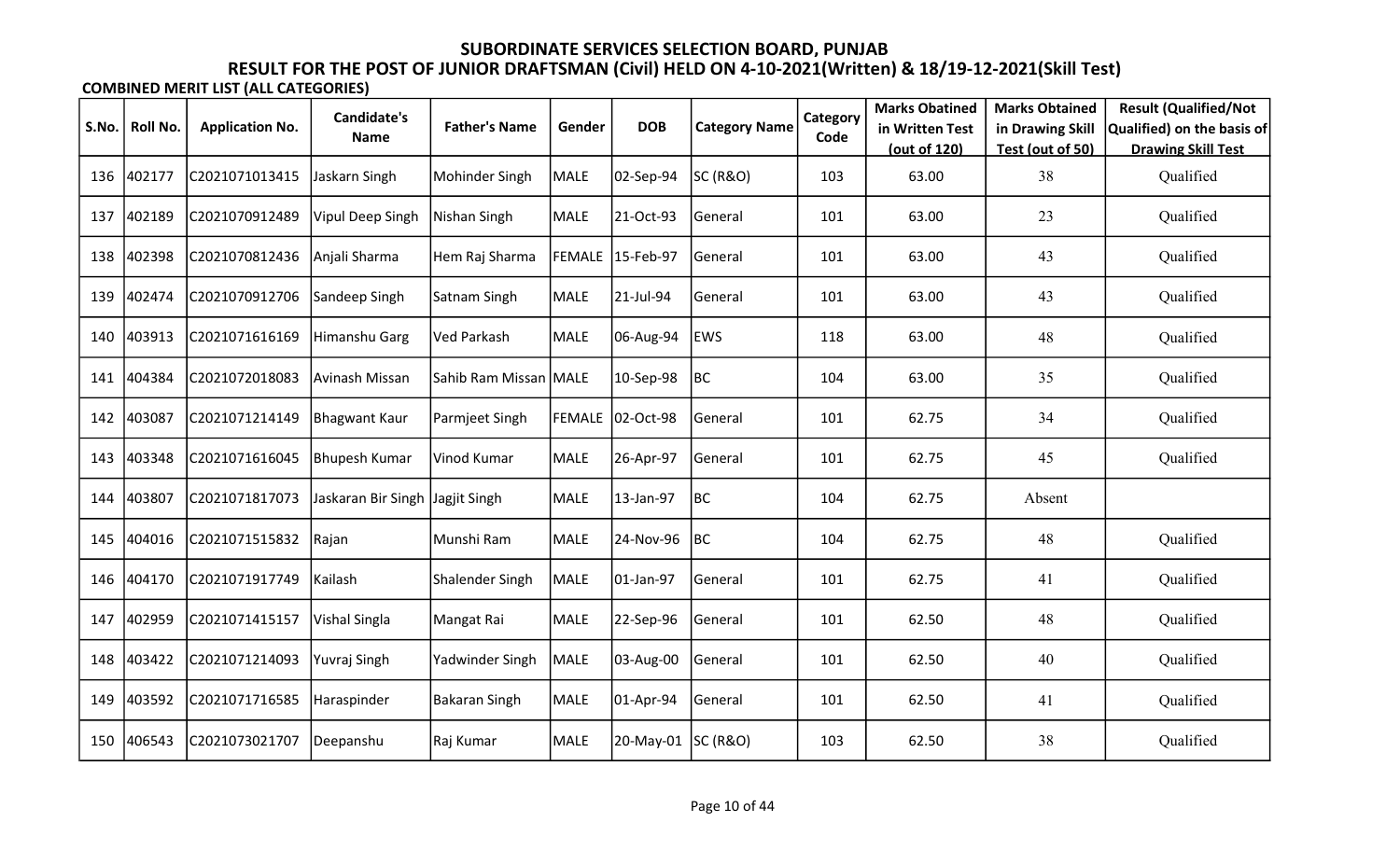|       |          |                        | Candidate's             |                       |             |                  |                      | Category | <b>Marks Obatined</b> | <b>Marks Obtained</b> | <b>Result (Qualified/Not</b> |
|-------|----------|------------------------|-------------------------|-----------------------|-------------|------------------|----------------------|----------|-----------------------|-----------------------|------------------------------|
| S.No. | Roll No. | <b>Application No.</b> | <b>Name</b>             | <b>Father's Name</b>  | Gender      | <b>DOB</b>       | <b>Category Name</b> | Code     | in Written Test       | in Drawing Skill      | Qualified) on the basis of   |
|       |          |                        |                         |                       |             |                  |                      |          | (out of 120)          | Test (out of 50)      | <b>Drawing Skill Test</b>    |
| 136   | 402177   | C2021071013415         | Jaskarn Singh           | Mohinder Singh        | <b>MALE</b> | 02-Sep-94        | SC (R&O)             | 103      | 63.00                 | 38                    | Qualified                    |
| 137   | 402189   | C2021070912489         | <b>Vipul Deep Singh</b> | Nishan Singh          | <b>MALE</b> | 21-Oct-93        | General              | 101      | 63.00                 | 23                    | Qualified                    |
| 138   | 402398   | C2021070812436         | Anjali Sharma           | Hem Raj Sharma        |             | FEMALE 15-Feb-97 | General              | 101      | 63.00                 | 43                    | Qualified                    |
| 139   | 402474   | C2021070912706         | Sandeep Singh           | Satnam Singh          | <b>MALE</b> | 21-Jul-94        | General              | 101      | 63.00                 | 43                    | Qualified                    |
| 140   | 403913   | C2021071616169         | Himanshu Garg           | Ved Parkash           | MALE        | 06-Aug-94        | <b>EWS</b>           | 118      | 63.00                 | 48                    | Qualified                    |
| 141   | 404384   | C2021072018083         | Avinash Missan          | Sahib Ram Missan MALE |             | 10-Sep-98        | BC                   | 104      | 63.00                 | 35                    | Qualified                    |
| 142   | 403087   | C2021071214149         | Bhagwant Kaur           | Parmjeet Singh        |             | FEMALE 02-Oct-98 | General              | 101      | 62.75                 | 34                    | Qualified                    |
| 143   | 403348   | C2021071616045         | Bhupesh Kumar           | Vinod Kumar           | <b>MALE</b> | 26-Apr-97        | General              | 101      | 62.75                 | 45                    | Qualified                    |
| 144   | 403807   | C2021071817073         | Jaskaran Bir Singh      | Jagjit Singh          | <b>MALE</b> | 13-Jan-97        | BC                   | 104      | 62.75                 | Absent                |                              |
| 145   | 404016   | C2021071515832         | Rajan                   | Munshi Ram            | <b>MALE</b> | 24-Nov-96        | BC                   | 104      | 62.75                 | 48                    | Qualified                    |
| 146   | 404170   | C2021071917749         | Kailash                 | Shalender Singh       | <b>MALE</b> | 01-Jan-97        | General              | 101      | 62.75                 | 41                    | Qualified                    |
| 147   | 402959   | C2021071415157         | Vishal Singla           | Mangat Rai            | <b>MALE</b> | 22-Sep-96        | General              | 101      | 62.50                 | 48                    | Qualified                    |
| 148   | 403422   | C2021071214093         | Yuvraj Singh            | Yadwinder Singh       | <b>MALE</b> | 03-Aug-00        | General              | 101      | 62.50                 | 40                    | Qualified                    |
| 149   | 403592   | C2021071716585         | Haraspinder             | <b>Bakaran Singh</b>  | MALE        | 01-Apr-94        | General              | 101      | 62.50                 | 41                    | Qualified                    |
| 150   | 406543   | C2021073021707         | Deepanshu               | Raj Kumar             | MALE        | 20-May-01        | <b>SC (R&amp;O)</b>  | 103      | 62.50                 | 38                    | Qualified                    |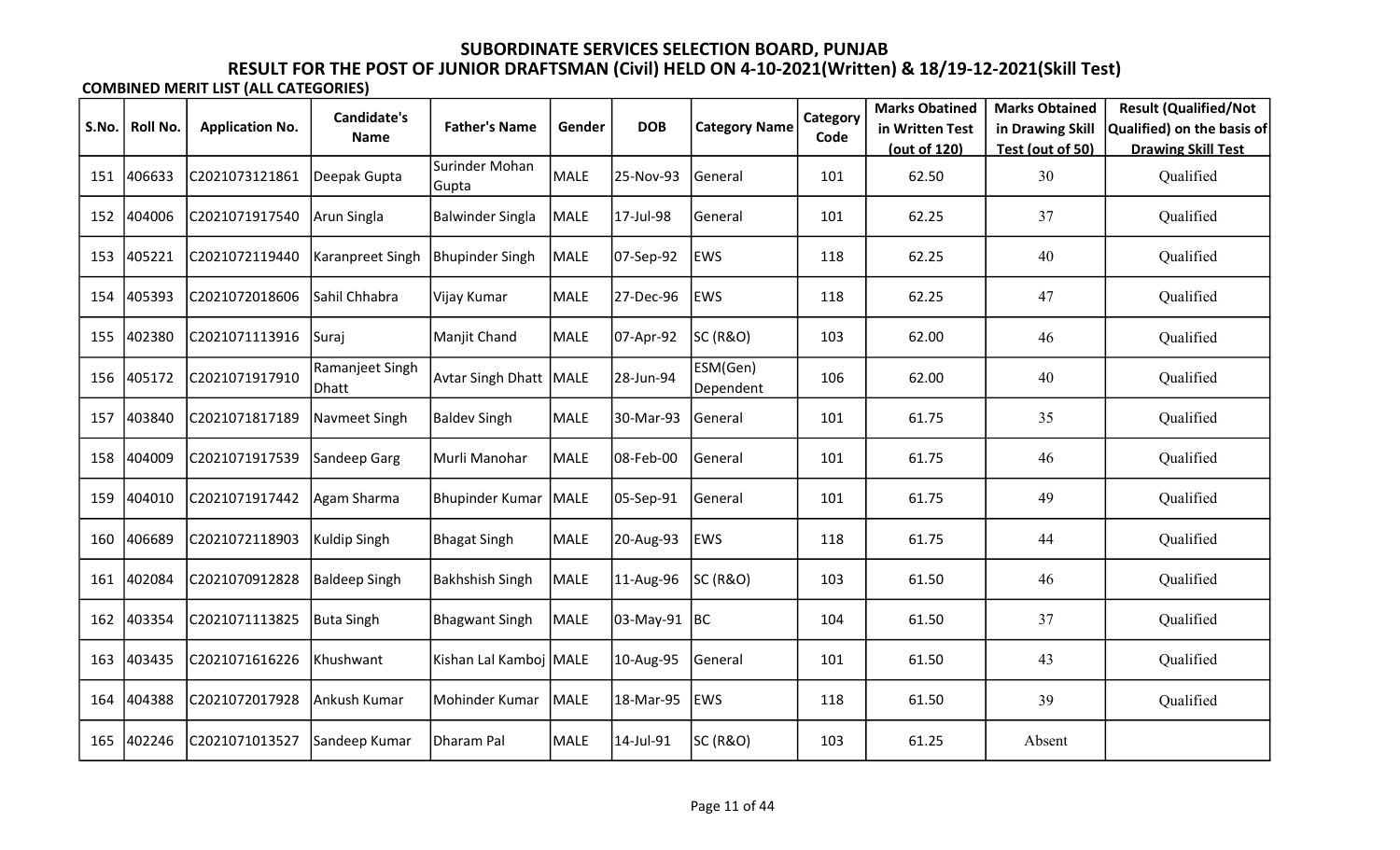|       |          |                        | <b>Candidate's</b>       |                          |             |              |                       | Category | <b>Marks Obatined</b> | <b>Marks Obtained</b> | <b>Result (Qualified/Not</b> |
|-------|----------|------------------------|--------------------------|--------------------------|-------------|--------------|-----------------------|----------|-----------------------|-----------------------|------------------------------|
| S.No. | Roll No. | <b>Application No.</b> | <b>Name</b>              | <b>Father's Name</b>     | Gender      | <b>DOB</b>   | <b>Category Name</b>  | Code     | in Written Test       | in Drawing Skill      | Qualified) on the basis of   |
|       |          |                        |                          |                          |             |              |                       |          | (out of 120)          | Test (out of 50)      | <b>Drawing Skill Test</b>    |
| 151   | 406633   | C2021073121861         | Deepak Gupta             | Surinder Mohan<br>Gupta  | <b>MALE</b> | 25-Nov-93    | General               | 101      | 62.50                 | 30                    | Qualified                    |
| 152   | 404006   | C2021071917540         | Arun Singla              | <b>Balwinder Singla</b>  | <b>MALE</b> | 17-Jul-98    | General               | 101      | 62.25                 | 37                    | Qualified                    |
| 153   | 405221   | C2021072119440         | Karanpreet Singh         | <b>Bhupinder Singh</b>   | <b>MALE</b> | 07-Sep-92    | <b>EWS</b>            | 118      | 62.25                 | 40                    | Qualified                    |
| 154   | 405393   | C2021072018606         | Sahil Chhabra            | Vijay Kumar              | <b>MALE</b> | 27-Dec-96    | <b>EWS</b>            | 118      | 62.25                 | 47                    | Qualified                    |
| 155   | 402380   | C2021071113916         | ISurai                   | Manjit Chand             | <b>MALE</b> | 07-Apr-92    | <b>SC (R&amp;O)</b>   | 103      | 62.00                 | 46                    | Qualified                    |
| 156   | 405172   | C2021071917910         | Ramanjeet Singh<br>Dhatt | <b>Avtar Singh Dhatt</b> | MALE        | 28-Jun-94    | ESM(Gen)<br>Dependent | 106      | 62.00                 | 40                    | Qualified                    |
| 157   | 403840   | C2021071817189         | Navmeet Singh            | <b>Baldev Singh</b>      | <b>MALE</b> | 30-Mar-93    | General               | 101      | 61.75                 | 35                    | Qualified                    |
| 158   | 404009   | C2021071917539         | Sandeep Garg             | Murli Manohar            | <b>MALE</b> | 08-Feb-00    | General               | 101      | 61.75                 | 46                    | Qualified                    |
| 159   | 404010   | C2021071917442         | Agam Sharma              | Bhupinder Kumar          | MALE        | 05-Sep-91    | General               | 101      | 61.75                 | 49                    | Qualified                    |
| 160   | 406689   | C2021072118903         | Kuldip Singh             | Bhagat Singh             | <b>MALE</b> | 20-Aug-93    | <b>EWS</b>            | 118      | 61.75                 | 44                    | Qualified                    |
| 161   | 402084   | C2021070912828         | <b>Baldeep Singh</b>     | <b>Bakhshish Singh</b>   | MALE        | 11-Aug-96    | <b>SC (R&amp;O)</b>   | 103      | 61.50                 | 46                    | Qualified                    |
| 162   | 403354   | C2021071113825         | Buta Singh               | Bhagwant Singh           | <b>MALE</b> | 03-May-91 BC |                       | 104      | 61.50                 | 37                    | Qualified                    |
| 163   | 403435   | C2021071616226         | Khushwant                | Kishan Lal Kamboj MALE   |             | 10-Aug-95    | General               | 101      | 61.50                 | 43                    | Qualified                    |
| 164   | 404388   | C2021072017928         | Ankush Kumar             | Mohinder Kumar           | MALE        | 18-Mar-95    | <b>EWS</b>            | 118      | 61.50                 | 39                    | Qualified                    |
| 165   | 402246   | C2021071013527         | Sandeep Kumar            | Dharam Pal               | <b>MALE</b> | 14-Jul-91    | SC (R&O)              | 103      | 61.25                 | Absent                |                              |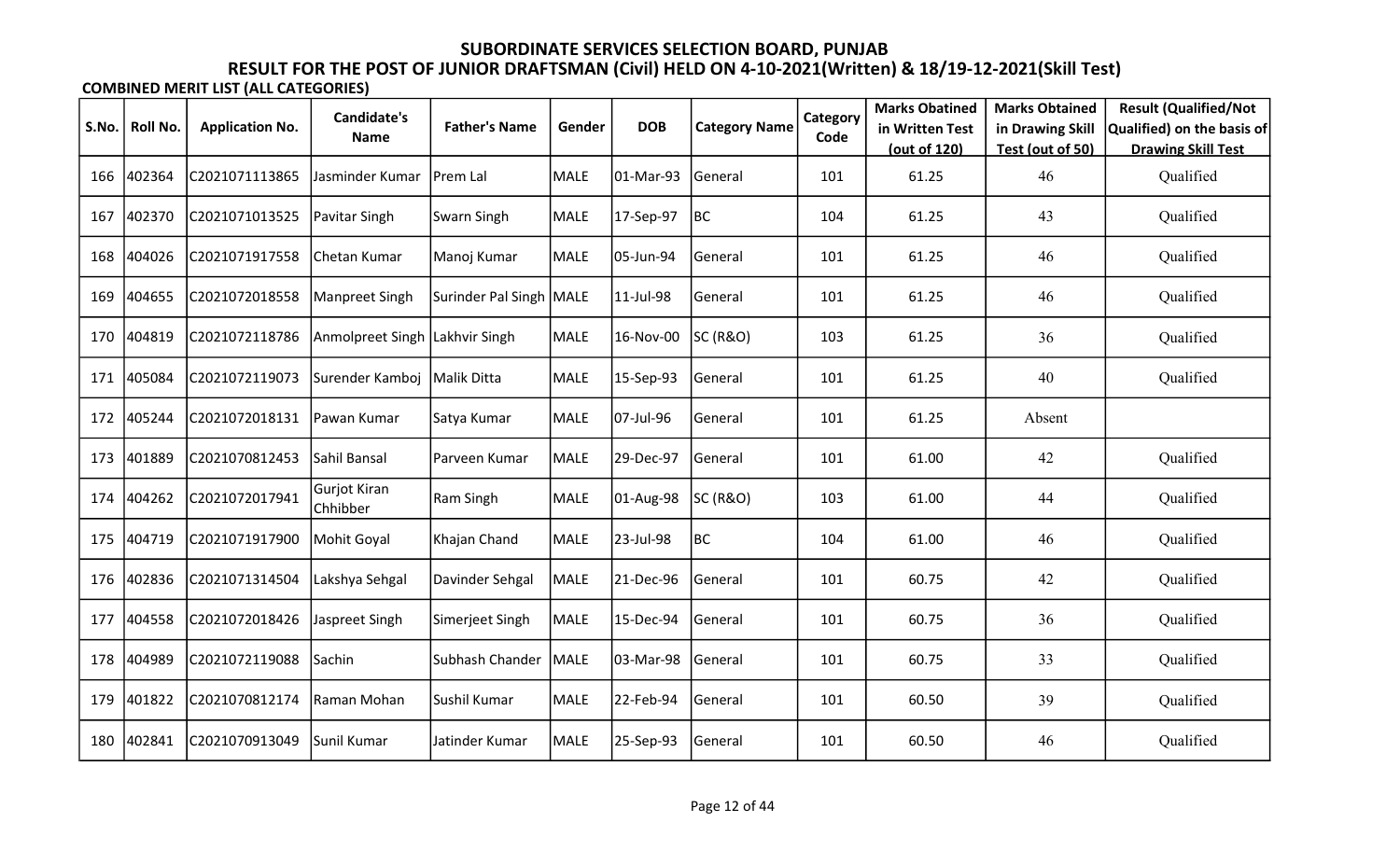| S.No. | Roll No. | <b>Application No.</b> | Candidate's                     | <b>Father's Name</b>      | Gender      | <b>DOB</b> | <b>Category Name</b> | Category | <b>Marks Obatined</b><br>in Written Test | <b>Marks Obtained</b><br>in Drawing Skill | <b>Result (Qualified/Not</b><br>Qualified) on the basis of |
|-------|----------|------------------------|---------------------------------|---------------------------|-------------|------------|----------------------|----------|------------------------------------------|-------------------------------------------|------------------------------------------------------------|
|       |          |                        | Name                            |                           |             |            |                      | Code     | (out of 120)                             | Test (out of 50)                          | <b>Drawing Skill Test</b>                                  |
| 166   | 402364   | C2021071113865         | Jasminder Kumar                 | Prem Lal                  | <b>MALE</b> | 01-Mar-93  | General              | 101      | 61.25                                    | 46                                        | Qualified                                                  |
| 167   | 402370   | C2021071013525         | Pavitar Singh                   | Swarn Singh               | <b>MALE</b> | 17-Sep-97  | BC                   | 104      | 61.25                                    | 43                                        | Qualified                                                  |
| 168   | 404026   | C2021071917558         | Chetan Kumar                    | Manoj Kumar               | <b>MALE</b> | 05-Jun-94  | General              | 101      | 61.25                                    | 46                                        | Qualified                                                  |
| 169   | 404655   | C2021072018558         | Manpreet Singh                  | Surinder Pal Singh   MALE |             | 11-Jul-98  | General              | 101      | 61.25                                    | 46                                        | Qualified                                                  |
| 170   | 404819   | C2021072118786         | Anmolpreet Singh Lakhvir Singh  |                           | MALE        | 16-Nov-00  | SC (R&O)             | 103      | 61.25                                    | 36                                        | Qualified                                                  |
| 171   | 405084   | C2021072119073         | Surender Kamboj                 | Malik Ditta               | <b>MALE</b> | 15-Sep-93  | General              | 101      | 61.25                                    | 40                                        | Qualified                                                  |
| 172   | 405244   | C2021072018131         | Pawan Kumar                     | Satya Kumar               | MALE        | 07-Jul-96  | General              | 101      | 61.25                                    | Absent                                    |                                                            |
| 173   | 401889   | C2021070812453         | Sahil Bansal                    | Parveen Kumar             | <b>MALE</b> | 29-Dec-97  | General              | 101      | 61.00                                    | 42                                        | Qualified                                                  |
| 174   | 404262   | C2021072017941         | <b>Gurjot Kiran</b><br>Chhibber | Ram Singh                 | <b>MALE</b> | 01-Aug-98  | SC (R&O)             | 103      | 61.00                                    | 44                                        | Qualified                                                  |
| 175   | 404719   | C2021071917900         | Mohit Goyal                     | Khajan Chand              | <b>MALE</b> | 23-Jul-98  | BC                   | 104      | 61.00                                    | 46                                        | Qualified                                                  |
| 176   | 402836   | C2021071314504         | Lakshya Sehgal                  | Davinder Sehgal           | <b>MALE</b> | 21-Dec-96  | General              | 101      | 60.75                                    | 42                                        | Qualified                                                  |
| 177   | 404558   | C2021072018426         | Jaspreet Singh                  | Simerjeet Singh           | MALE        | 15-Dec-94  | General              | 101      | 60.75                                    | 36                                        | Qualified                                                  |
| 178   | 404989   | C2021072119088         | Sachin                          | Subhash Chander           | MALE        | 03-Mar-98  | General              | 101      | 60.75                                    | 33                                        | Qualified                                                  |
| 179   | 401822   | C2021070812174         | Raman Mohan                     | Sushil Kumar              | MALE        | 22-Feb-94  | General              | 101      | 60.50                                    | 39                                        | Qualified                                                  |
| 180   | 402841   | C2021070913049         | Sunil Kumar                     | Jatinder Kumar            | <b>MALE</b> | 25-Sep-93  | General              | 101      | 60.50                                    | 46                                        | Qualified                                                  |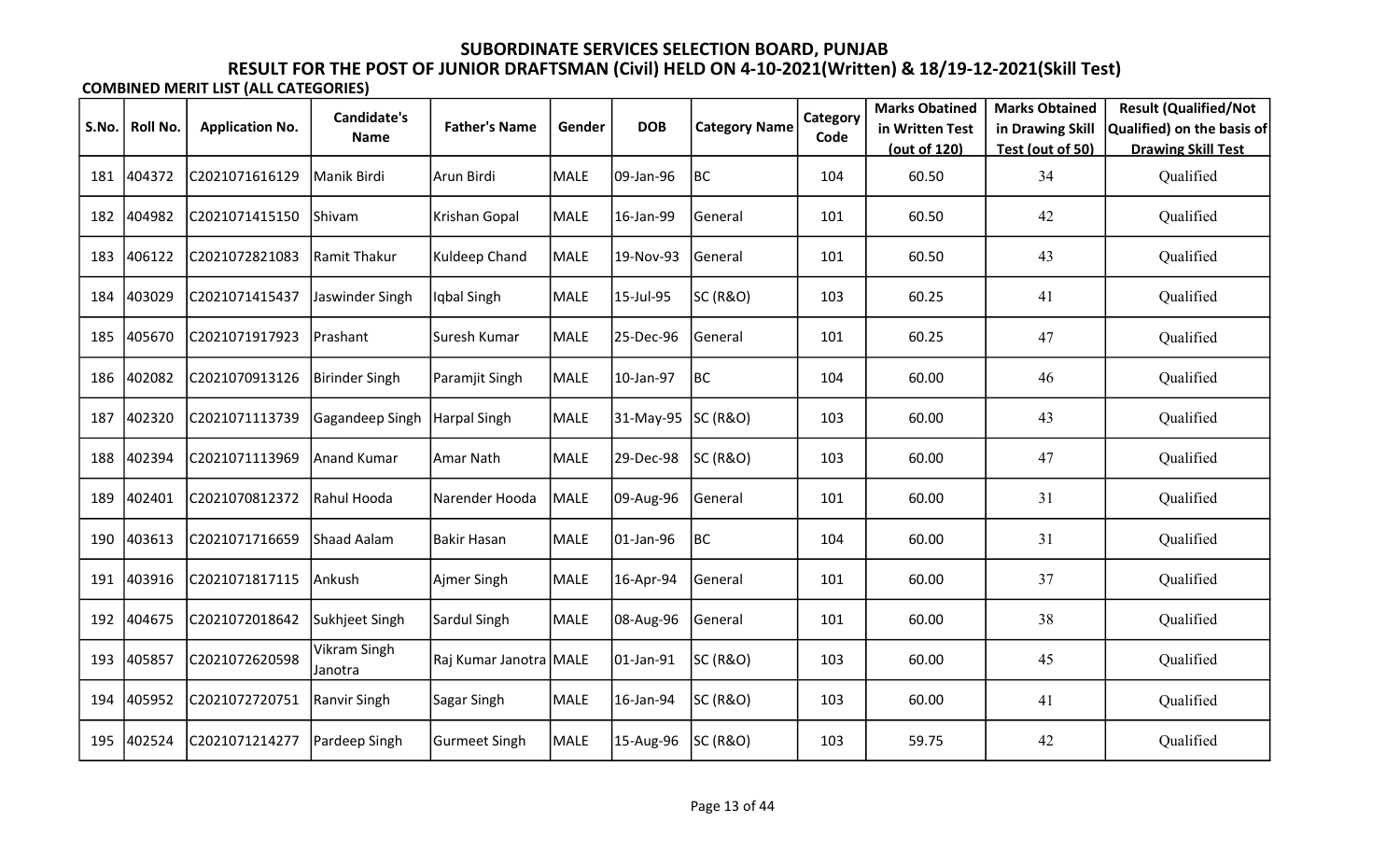| S.No. | Roll No. | <b>Application No.</b> | <b>Candidate's</b>      | <b>Father's Name</b>   | Gender | <b>DOB</b> | <b>Category Name</b> | Category | <b>Marks Obatined</b><br>in Written Test | <b>Marks Obtained</b><br>in Drawing Skill | <b>Result (Qualified/Not</b><br>Qualified) on the basis of |
|-------|----------|------------------------|-------------------------|------------------------|--------|------------|----------------------|----------|------------------------------------------|-------------------------------------------|------------------------------------------------------------|
|       |          |                        | <b>Name</b>             |                        |        |            |                      | Code     | (out of 120)                             | Test (out of 50)                          | <b>Drawing Skill Test</b>                                  |
| 181   | 404372   | C2021071616129         | Manik Birdi             | Arun Birdi             | MALE   | 09-Jan-96  | BC                   | 104      | 60.50                                    | 34                                        | Qualified                                                  |
| 182   | 404982   | C2021071415150         | Shivam                  | Krishan Gopal          | MALE   | 16-Jan-99  | General              | 101      | 60.50                                    | 42                                        | Qualified                                                  |
| 183   | 406122   | C2021072821083         | Ramit Thakur            | Kuldeep Chand          | MALE   | 19-Nov-93  | General              | 101      | 60.50                                    | 43                                        | Qualified                                                  |
| 184   | 403029   | C2021071415437         | Jaswinder Singh         | Iqbal Singh            | MALE   | 15-Jul-95  | SC (R&O)             | 103      | 60.25                                    | 41                                        | Qualified                                                  |
| 185   | 405670   | C2021071917923         | Prashant                | Suresh Kumar           | MALE   | 25-Dec-96  | General              | 101      | 60.25                                    | 47                                        | Qualified                                                  |
| 186   | 402082   | C2021070913126         | Birinder Singh          | Paramjit Singh         | MALE   | 10-Jan-97  | BC                   | 104      | 60.00                                    | 46                                        | Qualified                                                  |
| 187   | 402320   | C2021071113739         | Gagandeep Singh         | Harpal Singh           | MALE   | 31-May-95  | <b>SC (R&amp;O)</b>  | 103      | 60.00                                    | 43                                        | Qualified                                                  |
| 188   | 402394   | C2021071113969         | <b>Anand Kumar</b>      | Amar Nath              | MALE   | 29-Dec-98  | <b>SC (R&amp;O)</b>  | 103      | 60.00                                    | 47                                        | Qualified                                                  |
| 189   | 402401   | C2021070812372         | Rahul Hooda             | Narender Hooda         | MALE   | 09-Aug-96  | General              | 101      | 60.00                                    | 31                                        | Qualified                                                  |
| 190   | 403613   | C2021071716659         | Shaad Aalam             | <b>Bakir Hasan</b>     | MALE   | 01-Jan-96  | BC                   | 104      | 60.00                                    | 31                                        | Qualified                                                  |
| 191   | 403916   | C2021071817115         | Ankush                  | Ajmer Singh            | MALE   | 16-Apr-94  | General              | 101      | 60.00                                    | 37                                        | Qualified                                                  |
| 192   | 404675   | C2021072018642         | Sukhjeet Singh          | Sardul Singh           | MALE   | 08-Aug-96  | General              | 101      | 60.00                                    | 38                                        | Qualified                                                  |
| 193   | 405857   | C2021072620598         | Vikram Singh<br>Janotra | Raj Kumar Janotra MALE |        | 01-Jan-91  | SC (R&O)             | 103      | 60.00                                    | 45                                        | Qualified                                                  |
| 194   | 405952   | C2021072720751         | Ranvir Singh            | Sagar Singh            | MALE   | 16-Jan-94  | <b>SC (R&amp;O)</b>  | 103      | 60.00                                    | 41                                        | Qualified                                                  |
| 195   | 402524   | C2021071214277         | Pardeep Singh           | <b>Gurmeet Singh</b>   | MALE   | 15-Aug-96  | <b>SC (R&amp;O)</b>  | 103      | 59.75                                    | 42                                        | Qualified                                                  |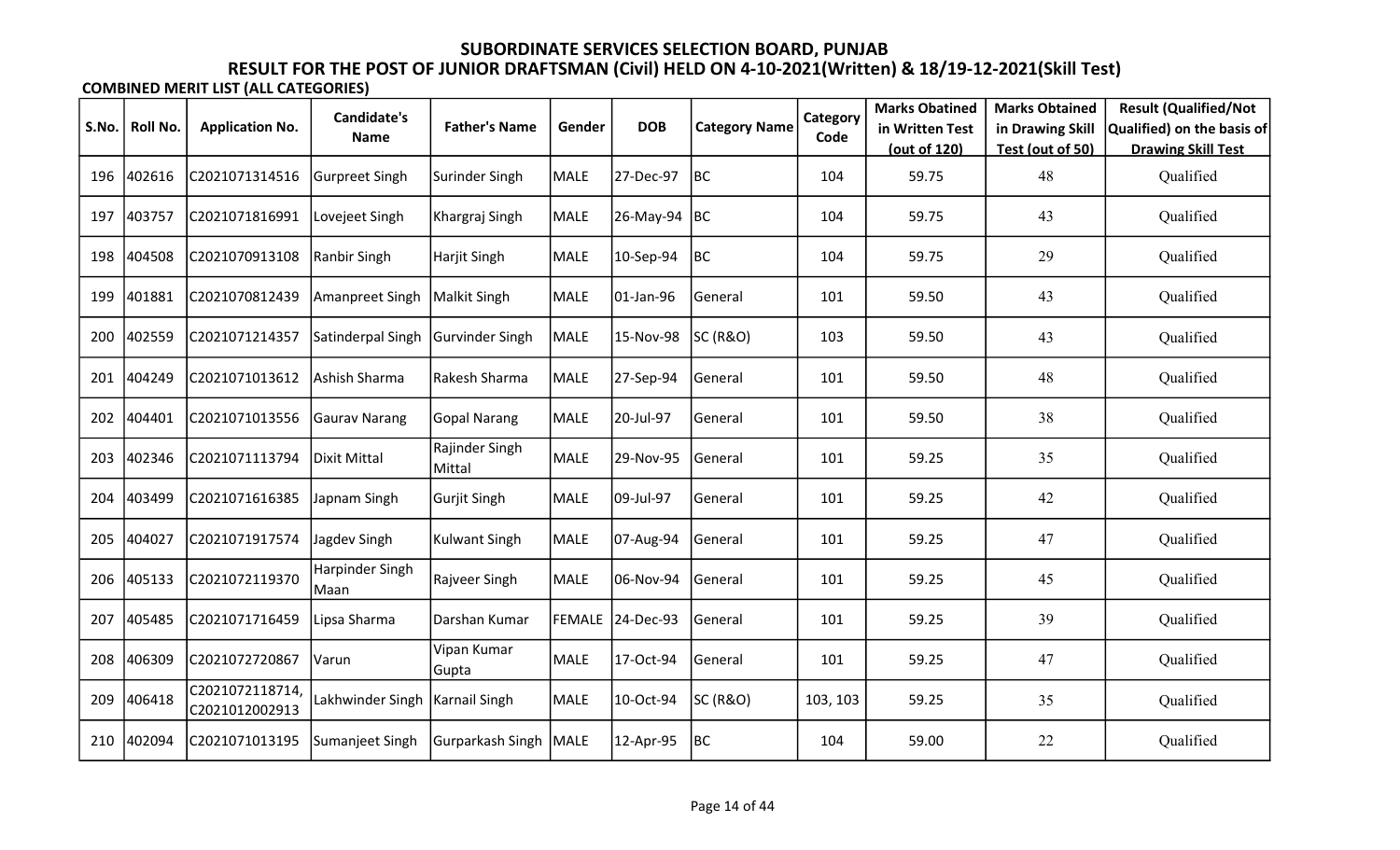| S.No. | Roll No. | <b>Application No.</b>            | <b>Candidate's</b>       | <b>Father's Name</b>     | Gender | <b>DOB</b>       | <b>Category Name</b> | Category | <b>Marks Obatined</b><br>in Written Test | <b>Marks Obtained</b><br>in Drawing Skill | <b>Result (Qualified/Not</b><br>Qualified) on the basis of |
|-------|----------|-----------------------------------|--------------------------|--------------------------|--------|------------------|----------------------|----------|------------------------------------------|-------------------------------------------|------------------------------------------------------------|
|       |          |                                   | Name                     |                          |        |                  |                      | Code     | (out of 120)                             | Test (out of 50)                          | <b>Drawing Skill Test</b>                                  |
| 196   | 402616   | C2021071314516                    | Gurpreet Singh           | Surinder Singh           | MALE   | 27-Dec-97        | BC                   | 104      | 59.75                                    | 48                                        | Qualified                                                  |
| 197   | 403757   | C2021071816991                    | Lovejeet Singh           | Khargraj Singh           | MALE   | 26-May-94        | BC                   | 104      | 59.75                                    | 43                                        | Qualified                                                  |
| 198   | 404508   | C2021070913108                    | Ranbir Singh             | Harjit Singh             | MALE   | 10-Sep-94        | BC                   | 104      | 59.75                                    | 29                                        | Qualified                                                  |
| 199   | 401881   | C2021070812439                    | Amanpreet Singh          | <b>Malkit Singh</b>      | MALE   | 01-Jan-96        | General              | 101      | 59.50                                    | 43                                        | Qualified                                                  |
| 200   | 402559   | C2021071214357                    | Satinderpal Singh        | Gurvinder Singh          | MALE   | 15-Nov-98        | <b>SC (R&amp;O)</b>  | 103      | 59.50                                    | 43                                        | Qualified                                                  |
| 201   | 404249   | C2021071013612                    | Ashish Sharma            | Rakesh Sharma            | MALE   | 27-Sep-94        | General              | 101      | 59.50                                    | 48                                        | Qualified                                                  |
| 202   | 404401   | C2021071013556                    | <b>Gaurav Narang</b>     | <b>Gopal Narang</b>      | MALE   | 20-Jul-97        | General              | 101      | 59.50                                    | 38                                        | Qualified                                                  |
| 203   | 402346   | C2021071113794                    | Dixit Mittal             | Rajinder Singh<br>Mittal | MALE   | 29-Nov-95        | General              | 101      | 59.25                                    | 35                                        | Qualified                                                  |
| 204   | 403499   | C2021071616385                    | Japnam Singh             | <b>Gurjit Singh</b>      | MALE   | 09-Jul-97        | General              | 101      | 59.25                                    | 42                                        | Qualified                                                  |
| 205   | 404027   | C2021071917574                    | Jagdev Singh             | <b>Kulwant Singh</b>     | MALE   | 07-Aug-94        | General              | 101      | 59.25                                    | 47                                        | Qualified                                                  |
| 206   | 405133   | C2021072119370                    | Harpinder Singh<br> Maan | Rajveer Singh            | MALE   | 06-Nov-94        | General              | 101      | 59.25                                    | 45                                        | Qualified                                                  |
| 207   | 405485   | C2021071716459                    | Lipsa Sharma             | Darshan Kumar            |        | FEMALE 24-Dec-93 | General              | 101      | 59.25                                    | 39                                        | Qualified                                                  |
| 208   | 406309   | C2021072720867                    | Varun                    | Vipan Kumar<br>Gupta     | MALE   | 17-Oct-94        | General              | 101      | 59.25                                    | 47                                        | Qualified                                                  |
| 209   | 406418   | C2021072118714,<br>C2021012002913 | Lakhwinder Singh         | Karnail Singh            | MALE   | 10-Oct-94        | <b>SC (R&amp;O)</b>  | 103, 103 | 59.25                                    | 35                                        | Qualified                                                  |
| 210   | 402094   | C2021071013195                    | Sumanjeet Singh          | Gurparkash Singh   MALE  |        | 12-Apr-95        | BC                   | 104      | 59.00                                    | 22                                        | Qualified                                                  |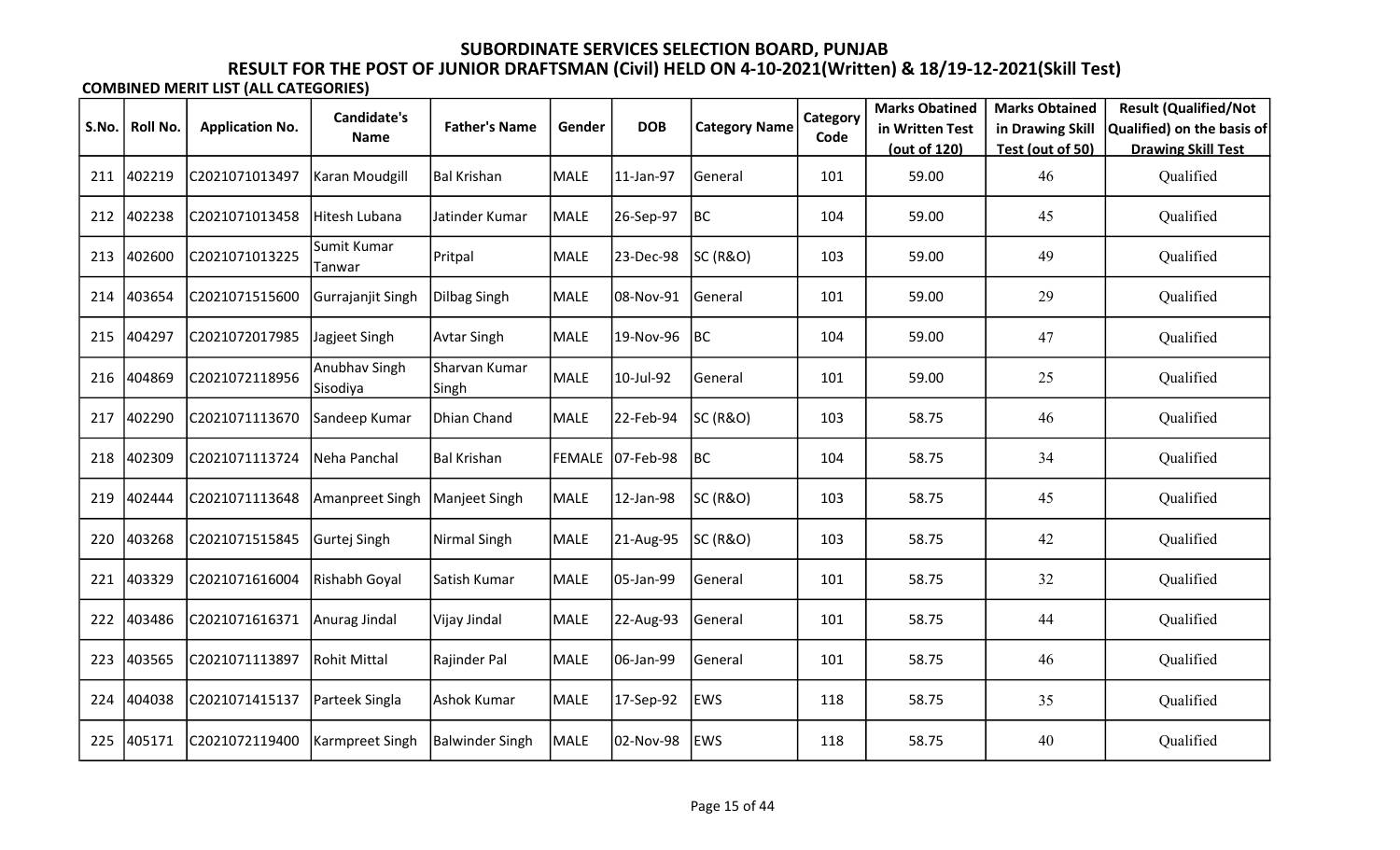|       |          |                        | Candidate's               |                        |             |                  |                      | Category | <b>Marks Obatined</b> | <b>Marks Obtained</b> | <b>Result (Qualified/Not</b> |
|-------|----------|------------------------|---------------------------|------------------------|-------------|------------------|----------------------|----------|-----------------------|-----------------------|------------------------------|
| S.No. | Roll No. | <b>Application No.</b> | <b>Name</b>               | <b>Father's Name</b>   | Gender      | <b>DOB</b>       | <b>Category Name</b> | Code     | in Written Test       | in Drawing Skill      | Qualified) on the basis of   |
|       |          |                        |                           |                        |             |                  |                      |          | (out of 120)          | Test (out of 50)      | <b>Drawing Skill Test</b>    |
| 211   | 402219   | C2021071013497         | Karan Moudgill            | Bal Krishan            | <b>MALE</b> | 11-Jan-97        | <b>General</b>       | 101      | 59.00                 | 46                    | Qualified                    |
| 212   | 402238   | C2021071013458         | lHitesh Lubana            | Jatinder Kumar         | <b>MALE</b> | 26-Sep-97        | BC                   | 104      | 59.00                 | 45                    | Qualified                    |
| 213   | 402600   | C2021071013225         | Sumit Kumar<br>Tanwar     | Pritpal                | <b>MALE</b> | 23-Dec-98        | SC (R&O)             | 103      | 59.00                 | 49                    | Qualified                    |
| 214   | 403654   | C2021071515600         | Gurrajanjit Singh         | Dilbag Singh           | MALE        | 08-Nov-91        | General              | 101      | 59.00                 | 29                    | Qualified                    |
| 215   | 404297   | C2021072017985         | Jagjeet Singh             | <b>Avtar Singh</b>     | MALE        | 19-Nov-96        | BC                   | 104      | 59.00                 | 47                    | Qualified                    |
| 216   | 404869   | C2021072118956         | Anubhav Singh<br>Sisodiya | Sharvan Kumar<br>Singh | MALE        | 10-Jul-92        | General              | 101      | 59.00                 | 25                    | Qualified                    |
| 217   | 402290   | C2021071113670         | Sandeep Kumar             | Dhian Chand            | <b>MALE</b> | 22-Feb-94        | SC (R&O)             | 103      | 58.75                 | 46                    | Qualified                    |
| 218   | 402309   | C2021071113724         | Neha Panchal              | <b>Bal Krishan</b>     |             | FEMALE 07-Feb-98 | BC                   | 104      | 58.75                 | 34                    | Qualified                    |
| 219   | 402444   | C2021071113648         | Amanpreet Singh           | Manjeet Singh          | <b>MALE</b> | 12-Jan-98        | SC (R&O)             | 103      | 58.75                 | 45                    | Qualified                    |
| 220   | 403268   | C2021071515845         | Gurtej Singh              | Nirmal Singh           | <b>MALE</b> | 21-Aug-95        | SC (R&O)             | 103      | 58.75                 | 42                    | Qualified                    |
| 221   | 403329   | C2021071616004         | Rishabh Goyal             | Satish Kumar           | <b>MALE</b> | 05-Jan-99        | General              | 101      | 58.75                 | 32                    | Qualified                    |
| 222   | 403486   | C2021071616371         | Anurag Jindal             | Vijay Jindal           | MALE        | 22-Aug-93        | General              | 101      | 58.75                 | 44                    | Qualified                    |
| 223   | 403565   | C2021071113897         | Rohit Mittal              | Rajinder Pal           | <b>MALE</b> | 06-Jan-99        | General              | 101      | 58.75                 | 46                    | Qualified                    |
| 224   | 404038   | C2021071415137         | Parteek Singla            | Ashok Kumar            | MALE        | 17-Sep-92        | <b>EWS</b>           | 118      | 58.75                 | 35                    | Qualified                    |
| 225   | 405171   | C2021072119400         | Karmpreet Singh           | <b>Balwinder Singh</b> | <b>MALE</b> | 02-Nov-98        | EWS                  | 118      | 58.75                 | 40                    | Qualified                    |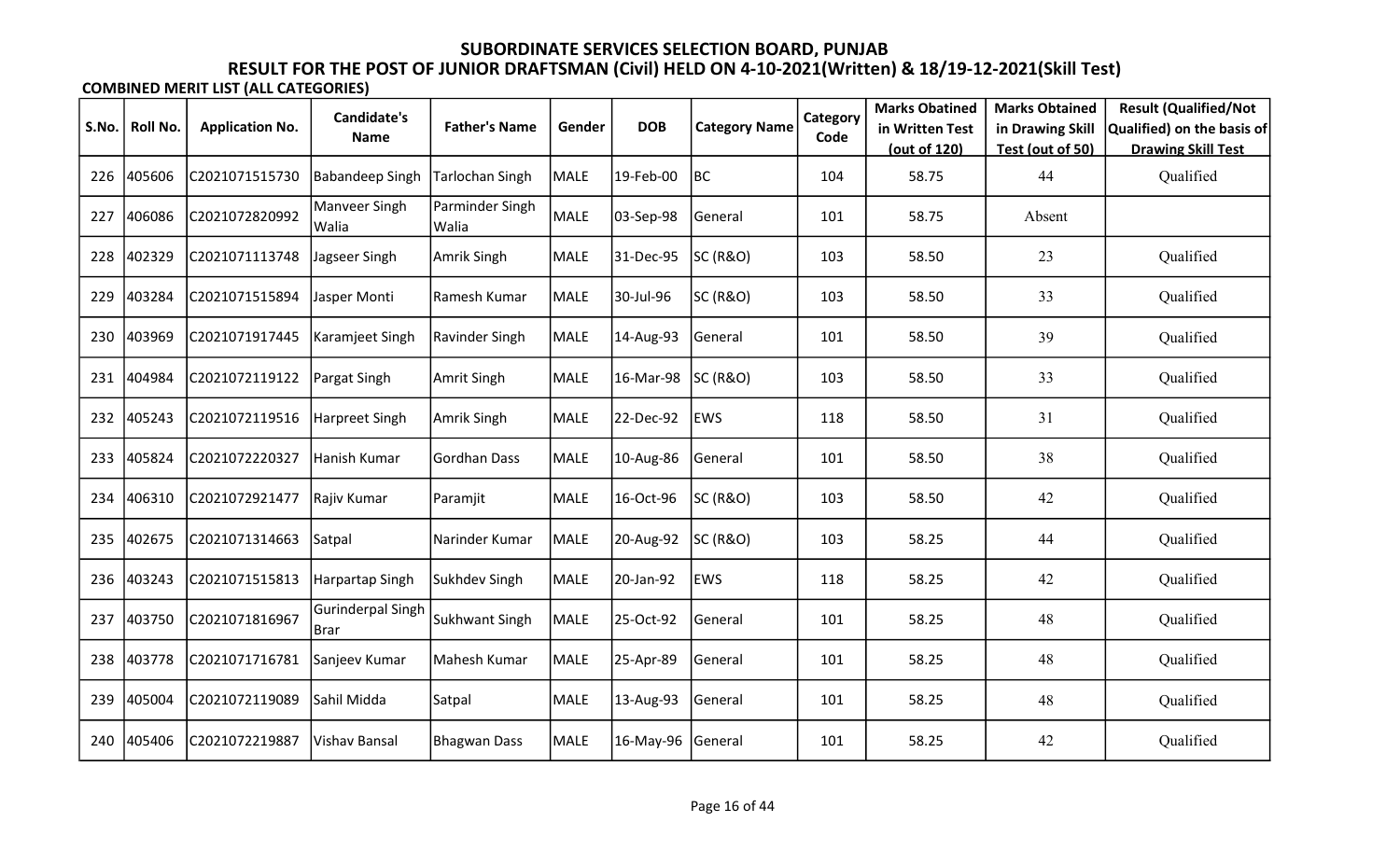|       |                 |                        | Candidate's                |                          |             |            |                      | Category | <b>Marks Obatined</b> | <b>Marks Obtained</b> | <b>Result (Qualified/Not</b> |
|-------|-----------------|------------------------|----------------------------|--------------------------|-------------|------------|----------------------|----------|-----------------------|-----------------------|------------------------------|
| S.No. | <b>Roll No.</b> | <b>Application No.</b> | <b>Name</b>                | <b>Father's Name</b>     | Gender      | <b>DOB</b> | <b>Category Name</b> | Code     | in Written Test       | in Drawing Skill      | Qualified) on the basis of   |
|       |                 |                        |                            |                          |             |            |                      |          | (out of 120)          | Test (out of 50)      | <b>Drawing Skill Test</b>    |
| 226   | 405606          | C2021071515730         | <b>Babandeep Singh</b>     | Tarlochan Singh          | <b>MALE</b> | 19-Feb-00  | BC                   | 104      | 58.75                 | 44                    | Qualified                    |
| 227   | 406086          | C2021072820992         | Manveer Singh<br>Walia     | Parminder Singh<br>Walia | MALE        | 03-Sep-98  | General              | 101      | 58.75                 | Absent                |                              |
| 228   | 402329          | C2021071113748         | Jagseer Singh              | Amrik Singh              | <b>MALE</b> | 31-Dec-95  | SC (R&O)             | 103      | 58.50                 | 23                    | Qualified                    |
| 229   | 403284          | C2021071515894         | Jasper Monti               | Ramesh Kumar             | <b>MALE</b> | 30-Jul-96  | SC (R&O)             | 103      | 58.50                 | 33                    | Qualified                    |
| 230   | 403969          | C2021071917445         | Karamjeet Singh            | Ravinder Singh           | MALE        | 14-Aug-93  | General              | 101      | 58.50                 | 39                    | Qualified                    |
| 231   | 404984          | C2021072119122         | Pargat Singh               | Amrit Singh              | MALE        | 16-Mar-98  | SC (R&O)             | 103      | 58.50                 | 33                    | Qualified                    |
| 232   | 405243          | C2021072119516         | Harpreet Singh             | Amrik Singh              | MALE        | 22-Dec-92  | <b>EWS</b>           | 118      | 58.50                 | 31                    | Qualified                    |
| 233   | 405824          | C2021072220327         | Hanish Kumar               | Gordhan Dass             | <b>MALE</b> | 10-Aug-86  | General              | 101      | 58.50                 | 38                    | Qualified                    |
| 234   | 406310          | C2021072921477         | Rajiv Kumar                | Paramjit                 | <b>MALE</b> | 16-Oct-96  | SC (R&O)             | 103      | 58.50                 | 42                    | Qualified                    |
| 235   | 402675          | C2021071314663         | Satpal                     | Narinder Kumar           | <b>MALE</b> | 20-Aug-92  | <b>SC (R&amp;O)</b>  | 103      | 58.25                 | 44                    | Qualified                    |
| 236   | 403243          | C2021071515813         | Harpartap Singh            | Sukhdev Singh            | <b>MALE</b> | 20-Jan-92  | <b>EWS</b>           | 118      | 58.25                 | 42                    | Qualified                    |
| 237   | 403750          | C2021071816967         | Gurinderpal Singh<br> Brar | Sukhwant Singh           | MALE        | 25-Oct-92  | General              | 101      | 58.25                 | 48                    | Qualified                    |
| 238   | 403778          | C2021071716781         | Sanjeev Kumar              | Mahesh Kumar             | <b>MALE</b> | 25-Apr-89  | General              | 101      | 58.25                 | 48                    | Qualified                    |
| 239   | 405004          | C2021072119089         | Sahil Midda                | Satpal                   | MALE        | 13-Aug-93  | General              | 101      | 58.25                 | 48                    | Qualified                    |
| 240   | 405406          | C2021072219887         | Vishav Bansal              | Bhagwan Dass             | <b>MALE</b> | 16-May-96  | General              | 101      | 58.25                 | 42                    | Qualified                    |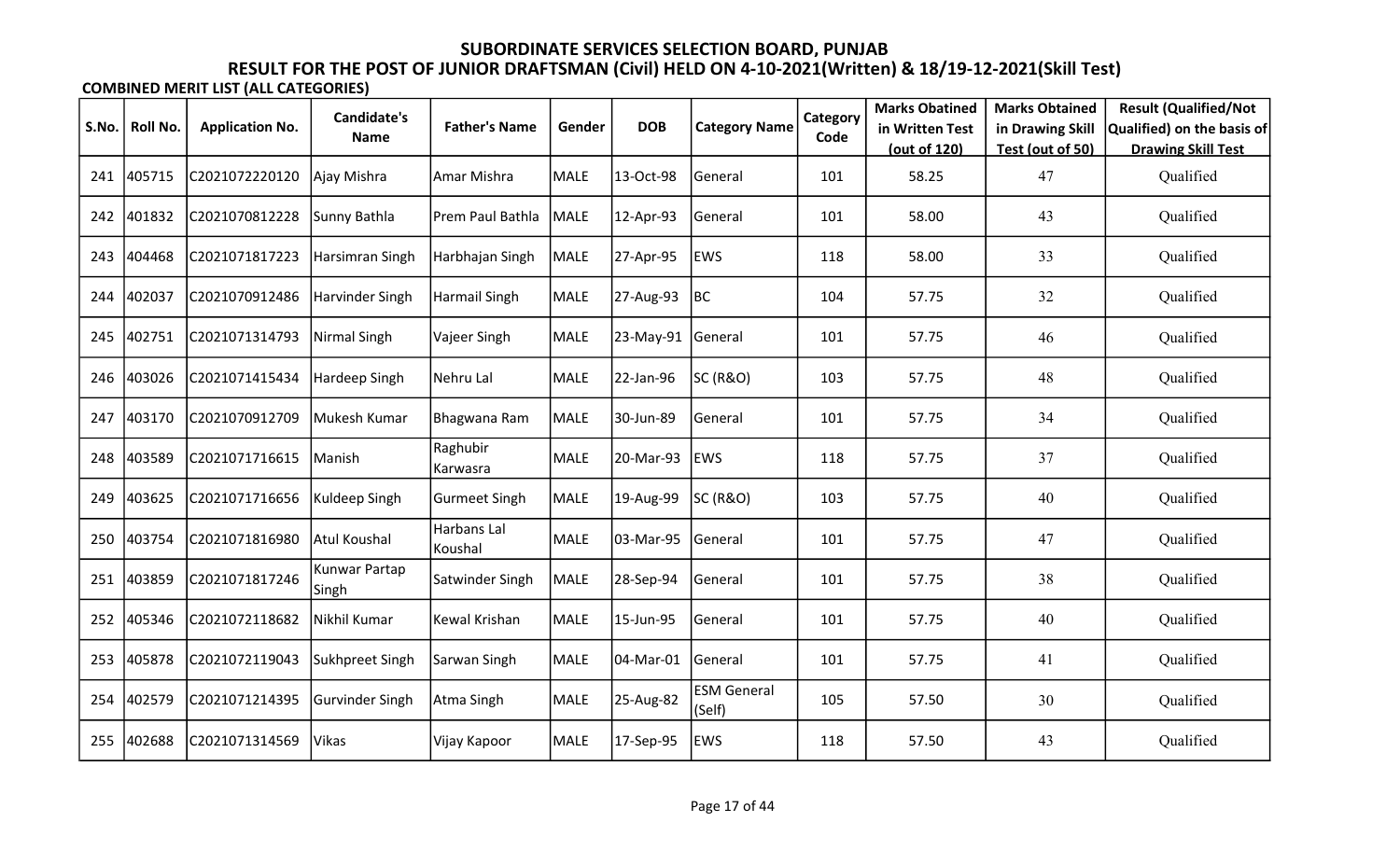|       |          |                        | <b>Candidate's</b>     |                        |             |            |                              | Category | <b>Marks Obatined</b> | <b>Marks Obtained</b> | <b>Result (Qualified/Not</b> |
|-------|----------|------------------------|------------------------|------------------------|-------------|------------|------------------------------|----------|-----------------------|-----------------------|------------------------------|
| S.No. | Roll No. | <b>Application No.</b> | <b>Name</b>            | <b>Father's Name</b>   | Gender      | <b>DOB</b> | <b>Category Name</b>         | Code     | in Written Test       | in Drawing Skill      | Qualified) on the basis of   |
|       |          |                        |                        |                        |             |            |                              |          | (out of 120)          | Test (out of 50)      | <b>Drawing Skill Test</b>    |
| 241   | 405715   | C2021072220120         | Ajay Mishra            | Amar Mishra            | MALE        | 13-Oct-98  | General                      | 101      | 58.25                 | 47                    | Qualified                    |
| 242   | 401832   | C2021070812228         | Sunny Bathla           | Prem Paul Bathla       | MALE        | 12-Apr-93  | General                      | 101      | 58.00                 | 43                    | Qualified                    |
| 243   | 404468   | C2021071817223         | Harsimran Singh        | Harbhajan Singh        | MALE        | 27-Apr-95  | <b>EWS</b>                   | 118      | 58.00                 | 33                    | Qualified                    |
| 244   | 402037   | C2021070912486         | Harvinder Singh        | Harmail Singh          | <b>MALE</b> | 27-Aug-93  | BC                           | 104      | 57.75                 | 32                    | Qualified                    |
| 245   | 402751   | C2021071314793         | Nirmal Singh           | Vajeer Singh           | MALE        | 23-May-91  | General                      | 101      | 57.75                 | 46                    | Qualified                    |
| 246   | 403026   | C2021071415434         | Hardeep Singh          | Nehru Lal              | MALE        | 22-Jan-96  | SC (R&O)                     | 103      | 57.75                 | 48                    | Qualified                    |
| 247   | 403170   | C2021070912709         | Mukesh Kumar           | Bhagwana Ram           | MALE        | 30-Jun-89  | General                      | 101      | 57.75                 | 34                    | Qualified                    |
| 248   | 403589   | C2021071716615         | Manish                 | Raghubir<br>Karwasra   | <b>MALE</b> | 20-Mar-93  | <b>EWS</b>                   | 118      | 57.75                 | 37                    | Qualified                    |
| 249   | 403625   | C2021071716656         | Kuldeep Singh          | <b>Gurmeet Singh</b>   | MALE        | 19-Aug-99  | SC (R&O)                     | 103      | 57.75                 | 40                    | Qualified                    |
| 250   | 403754   | C2021071816980         | Atul Koushal           | Harbans Lal<br>Koushal | <b>MALE</b> | 03-Mar-95  | General                      | 101      | 57.75                 | 47                    | Qualified                    |
| 251   | 403859   | C2021071817246         | Kunwar Partap<br>Singh | Satwinder Singh        | <b>MALE</b> | 28-Sep-94  | General                      | 101      | 57.75                 | 38                    | Qualified                    |
| 252   | 405346   | C2021072118682         | Nikhil Kumar           | Kewal Krishan          | MALE        | 15-Jun-95  | General                      | 101      | 57.75                 | 40                    | Qualified                    |
| 253   | 405878   | C2021072119043         | Sukhpreet Singh        | Sarwan Singh           | <b>MALE</b> | 04-Mar-01  | General                      | 101      | 57.75                 | 41                    | Qualified                    |
| 254   | 402579   | C2021071214395         | Gurvinder Singh        | Atma Singh             | MALE        | 25-Aug-82  | <b>ESM General</b><br>(Self) | 105      | 57.50                 | 30                    | Qualified                    |
| 255   | 402688   | C2021071314569         | Vikas                  | Vijay Kapoor           | MALE        | 17-Sep-95  | <b>EWS</b>                   | 118      | 57.50                 | 43                    | Qualified                    |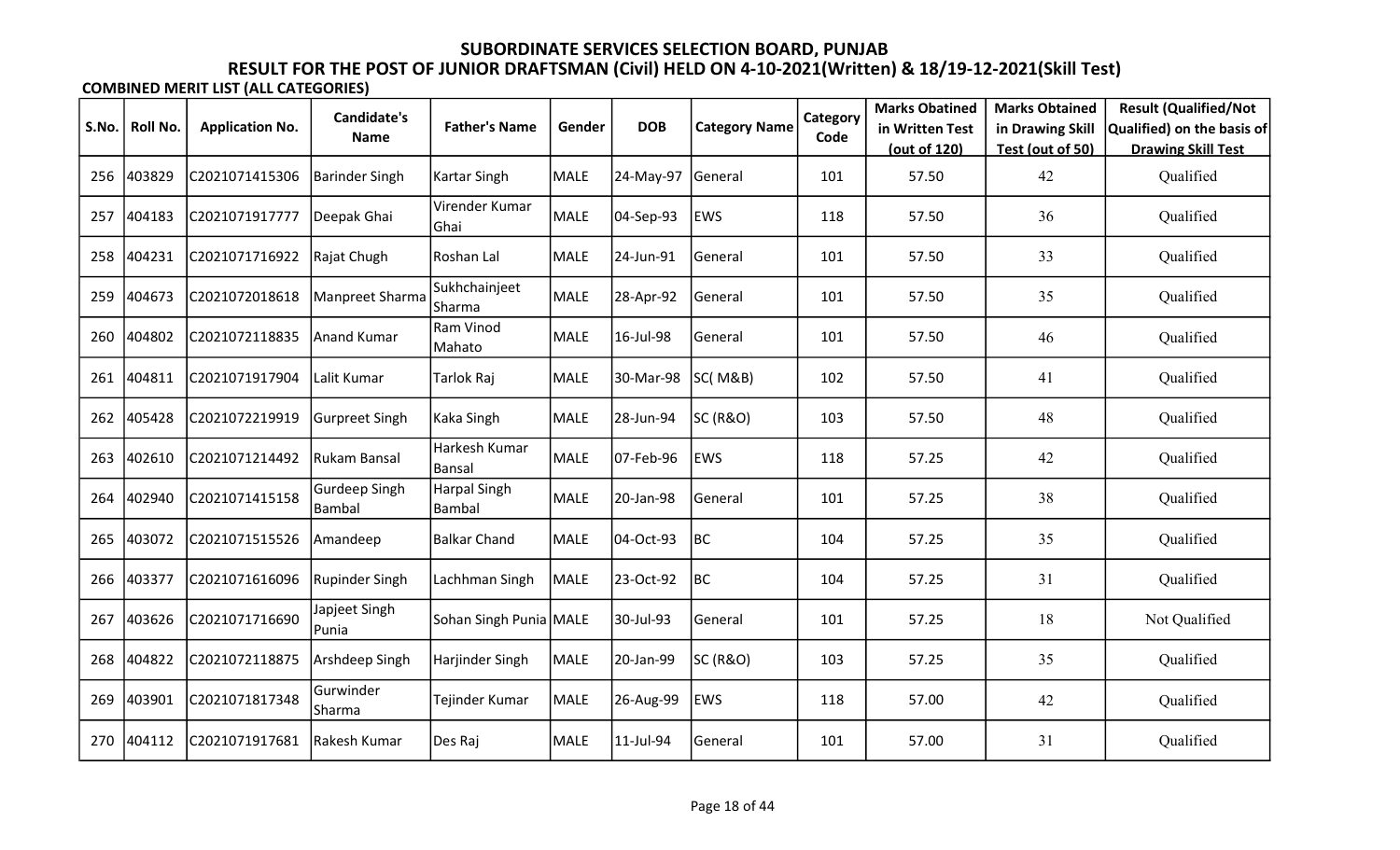|       |          |                        | <b>Candidate's</b>       |                               |             |            |                      | Category | <b>Marks Obatined</b> | <b>Marks Obtained</b> | <b>Result (Qualified/Not</b> |
|-------|----------|------------------------|--------------------------|-------------------------------|-------------|------------|----------------------|----------|-----------------------|-----------------------|------------------------------|
| S.No. | Roll No. | <b>Application No.</b> | <b>Name</b>              | <b>Father's Name</b>          | Gender      | <b>DOB</b> | <b>Category Name</b> | Code     | in Written Test       | in Drawing Skill      | Qualified) on the basis of   |
|       |          |                        |                          |                               |             |            |                      |          | (out of 120)          | Test (out of 50)      | <b>Drawing Skill Test</b>    |
| 256   | 403829   | C2021071415306         | <b>Barinder Singh</b>    | Kartar Singh                  | <b>MALE</b> | 24-May-97  | General              | 101      | 57.50                 | 42                    | Qualified                    |
| 257   | 404183   | C2021071917777         | Deepak Ghai              | Virender Kumar<br>Ghai        | MALE        | 04-Sep-93  | EWS                  | 118      | 57.50                 | 36                    | Qualified                    |
| 258   | 404231   | C2021071716922         | Rajat Chugh              | Roshan Lal                    | <b>MALE</b> | 24-Jun-91  | General              | 101      | 57.50                 | 33                    | Qualified                    |
| 259   | 404673   | C2021072018618         | Manpreet Sharma          | Sukhchainjeet<br>Sharma       | <b>MALE</b> | 28-Apr-92  | General              | 101      | 57.50                 | 35                    | Qualified                    |
| 260   | 404802   | C2021072118835         | Anand Kumar              | Ram Vinod<br>Mahato           | <b>MALE</b> | 16-Jul-98  | General              | 101      | 57.50                 | 46                    | Qualified                    |
| 261   | 404811   | C2021071917904         | Lalit Kumar              | Tarlok Raj                    | <b>MALE</b> | 30-Mar-98  | <b>SC(M&amp;B)</b>   | 102      | 57.50                 | 41                    | Qualified                    |
| 262   | 405428   | C2021072219919         | Gurpreet Singh           | Kaka Singh                    | <b>MALE</b> | 28-Jun-94  | <b>SC (R&amp;O)</b>  | 103      | 57.50                 | 48                    | Qualified                    |
| 263   | 402610   | C2021071214492         | Rukam Bansal             | Harkesh Kumar<br>Bansal       | <b>MALE</b> | 07-Feb-96  | <b>EWS</b>           | 118      | 57.25                 | 42                    | Qualified                    |
| 264   | 402940   | C2021071415158         | Gurdeep Singh<br>Bambal  | <b>Harpal Singh</b><br>Bambal | <b>MALE</b> | 20-Jan-98  | General              | 101      | 57.25                 | 38                    | Qualified                    |
| 265   | 403072   | C2021071515526         | Amandeep                 | Balkar Chand                  | <b>MALE</b> | 04-Oct-93  | <b>BC</b>            | 104      | 57.25                 | 35                    | Qualified                    |
| 266   | 403377   | C2021071616096         | Rupinder Singh           | Lachhman Singh                | <b>MALE</b> | 23-Oct-92  | BC                   | 104      | 57.25                 | 31                    | Qualified                    |
| 267   | 403626   | C2021071716690         | Japjeet Singh<br>l Punia | Sohan Singh Punia MALE        |             | 30-Jul-93  | General              | 101      | 57.25                 | 18                    | Not Qualified                |
| 268   | 404822   | C2021072118875         | Arshdeep Singh           | Harjinder Singh               | <b>MALE</b> | 20-Jan-99  | <b>SC (R&amp;O)</b>  | 103      | 57.25                 | 35                    | Qualified                    |
| 269   | 403901   | C2021071817348         | Gurwinder<br> Sharma     | Tejinder Kumar                | <b>MALE</b> | 26-Aug-99  | <b>EWS</b>           | 118      | 57.00                 | 42                    | Qualified                    |
| 270   | 404112   | C2021071917681         | Rakesh Kumar             | Des Raj                       | <b>MALE</b> | 11-Jul-94  | General              | 101      | 57.00                 | 31                    | Qualified                    |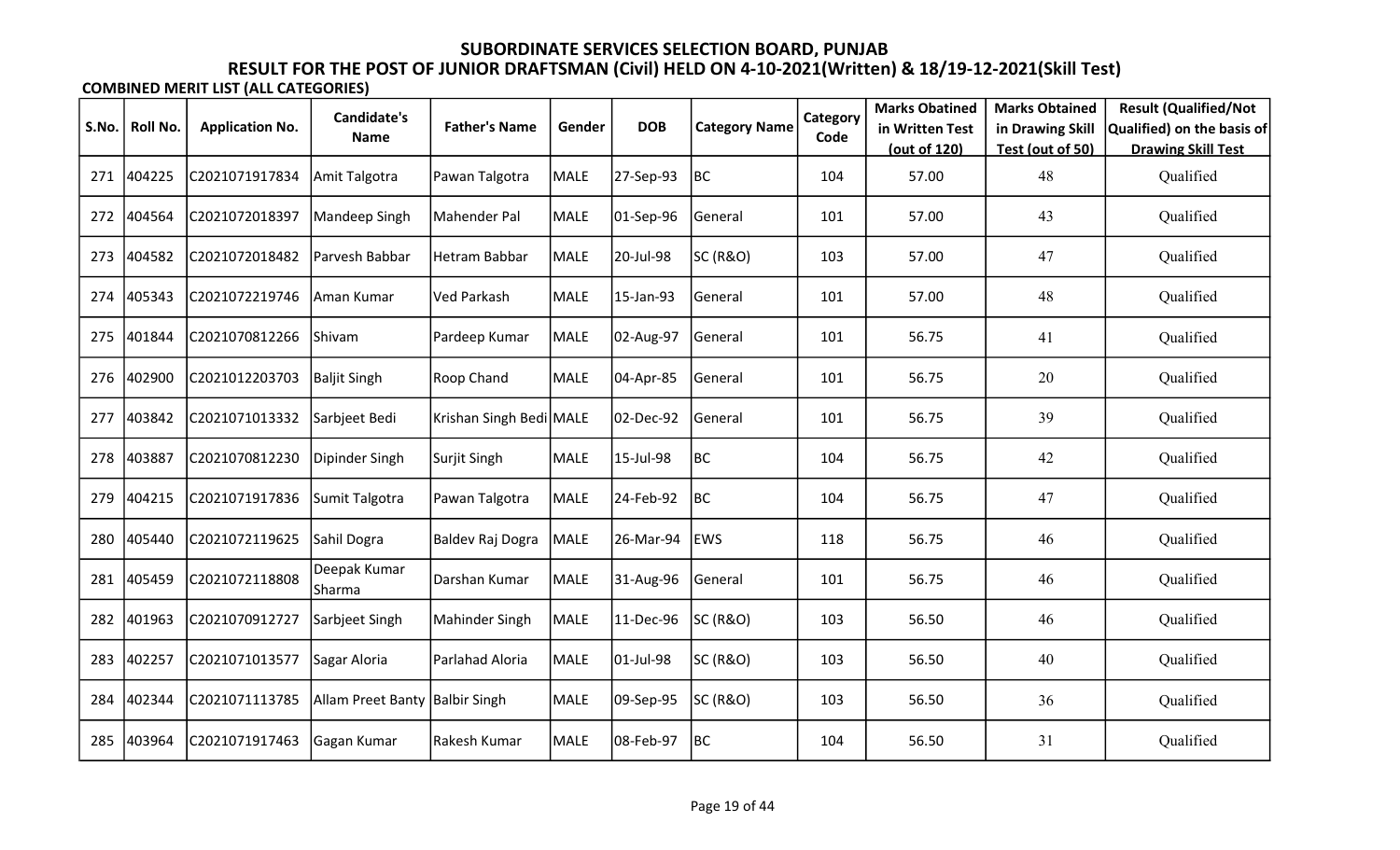|       |          |                        | Candidate's                    |                         |             |            |                      | Category | <b>Marks Obatined</b> | <b>Marks Obtained</b> | <b>Result (Qualified/Not</b> |
|-------|----------|------------------------|--------------------------------|-------------------------|-------------|------------|----------------------|----------|-----------------------|-----------------------|------------------------------|
| S.No. | Roll No. | <b>Application No.</b> | <b>Name</b>                    | <b>Father's Name</b>    | Gender      | <b>DOB</b> | <b>Category Name</b> | Code     | in Written Test       | in Drawing Skill      | Qualified) on the basis of   |
|       |          |                        |                                |                         |             |            |                      |          | (out of 120)          | Test (out of 50)      | <b>Drawing Skill Test</b>    |
| 271   | 404225   | C2021071917834         | Amit Talgotra                  | Pawan Talgotra          | <b>MALE</b> | 27-Sep-93  | BC                   | 104      | 57.00                 | 48                    | Qualified                    |
| 272   | 404564   | C2021072018397         | Mandeep Singh                  | Mahender Pal            | <b>MALE</b> | 01-Sep-96  | General              | 101      | 57.00                 | 43                    | Qualified                    |
| 273   | 404582   | C2021072018482         | Parvesh Babbar                 | Hetram Babbar           | MALE        | 20-Jul-98  | SC (R&O)             | 103      | 57.00                 | 47                    | Qualified                    |
| 274   | 405343   | C2021072219746         | Aman Kumar                     | Ved Parkash             | <b>MALE</b> | 15-Jan-93  | General              | 101      | 57.00                 | 48                    | Qualified                    |
| 275   | 401844   | C2021070812266         | <b>Shivam</b>                  | Pardeep Kumar           | MALE        | 02-Aug-97  | General              | 101      | 56.75                 | 41                    | Qualified                    |
| 276   | 402900   | C2021012203703         | <b>Baljit Singh</b>            | Roop Chand              | <b>MALE</b> | 04-Apr-85  | General              | 101      | 56.75                 | 20                    | Qualified                    |
| 277   | 403842   | C2021071013332         | Sarbjeet Bedi                  | Krishan Singh Bedi MALE |             | 02-Dec-92  | General              | 101      | 56.75                 | 39                    | Qualified                    |
| 278   | 403887   | C2021070812230         | Dipinder Singh                 | Surjit Singh            | MALE        | 15-Jul-98  | BC                   | 104      | 56.75                 | 42                    | Qualified                    |
| 279   | 404215   | C2021071917836         | Sumit Talgotra                 | Pawan Talgotra          | <b>MALE</b> | 24-Feb-92  | BC                   | 104      | 56.75                 | 47                    | Qualified                    |
| 280   | 405440   | C2021072119625         | Sahil Dogra                    | Baldev Raj Dogra        | MALE        | 26-Mar-94  | <b>EWS</b>           | 118      | 56.75                 | 46                    | Qualified                    |
| 281   | 405459   | C2021072118808         | Deepak Kumar<br>Sharma         | Darshan Kumar           | <b>MALE</b> | 31-Aug-96  | General              | 101      | 56.75                 | 46                    | Qualified                    |
| 282   | 401963   | C2021070912727         | Sarbjeet Singh                 | Mahinder Singh          | MALE        | 11-Dec-96  | SC (R&O)             | 103      | 56.50                 | 46                    | Qualified                    |
| 283   | 402257   | C2021071013577         | Sagar Aloria                   | Parlahad Aloria         | <b>MALE</b> | 01-Jul-98  | SC (R&O)             | 103      | 56.50                 | 40                    | Qualified                    |
| 284   | 402344   | C2021071113785         | Allam Preet Banty Balbir Singh |                         | MALE        | 09-Sep-95  | SC (R&O)             | 103      | 56.50                 | 36                    | Qualified                    |
| 285   | 403964   | C2021071917463         | Gagan Kumar                    | Rakesh Kumar            | <b>MALE</b> | 08-Feb-97  | BC                   | 104      | 56.50                 | 31                    | Qualified                    |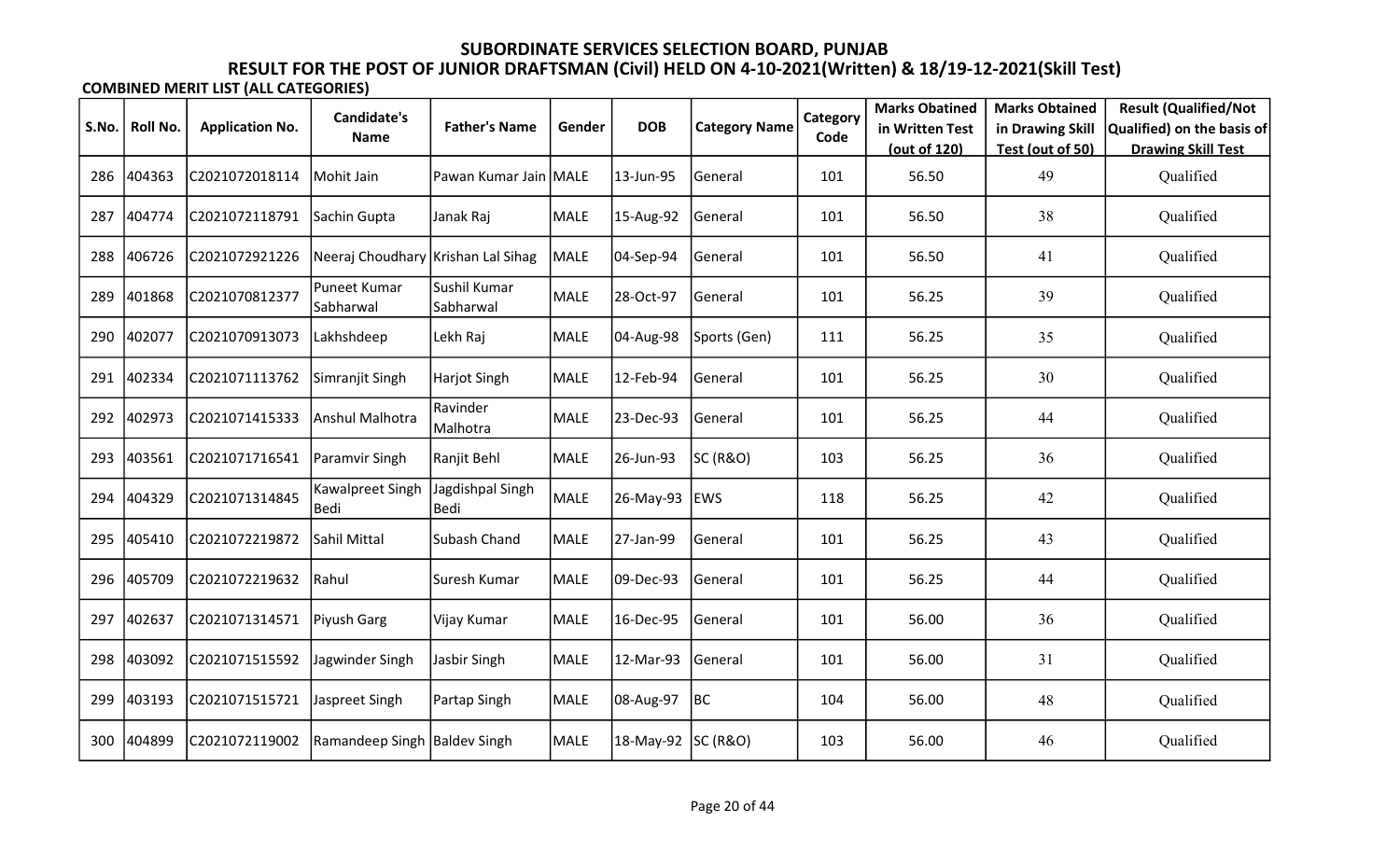|       |          |                        | <b>Candidate's</b>                 |                           |             |                    |                      | Category | <b>Marks Obatined</b> | <b>Marks Obtained</b>  | <b>Result (Qualified/Not</b>           |
|-------|----------|------------------------|------------------------------------|---------------------------|-------------|--------------------|----------------------|----------|-----------------------|------------------------|----------------------------------------|
| S.No. | Roll No. | <b>Application No.</b> | <b>Name</b>                        | <b>Father's Name</b>      | Gender      | <b>DOB</b>         | <b>Category Name</b> | Code     | in Written Test       | in Drawing Skill       | Qualified) on the basis of             |
| 286   | 404363   | C2021072018114         | Mohit Jain                         | Pawan Kumar Jain MALE     |             | 13-Jun-95          | General              | 101      | (out of 120)<br>56.50 | Test (out of 50)<br>49 | <b>Drawing Skill Test</b><br>Qualified |
| 287   | 404774   | C2021072118791         | Sachin Gupta                       | Janak Raj                 | <b>MALE</b> | 15-Aug-92          | General              | 101      | 56.50                 | 38                     | Qualified                              |
| 288   | 406726   | C2021072921226         | Neeraj Choudhary Krishan Lal Sihag |                           | MALE        | 04-Sep-94          | General              | 101      | 56.50                 | 41                     | Qualified                              |
| 289   | 401868   | C2021070812377         | Puneet Kumar<br>Sabharwal          | Sushil Kumar<br>Sabharwal | <b>MALE</b> | 28-Oct-97          | General              | 101      | 56.25                 | 39                     | Qualified                              |
| 290   | 402077   | C2021070913073         | Lakhshdeep                         | Lekh Raj                  | MALE        | 04-Aug-98          | Sports (Gen)         | 111      | 56.25                 | 35                     | Qualified                              |
| 291   | 402334   | C2021071113762         | Simranjit Singh                    | Harjot Singh              | MALE        | 12-Feb-94          | General              | 101      | 56.25                 | 30                     | Qualified                              |
| 292   | 402973   | C2021071415333         | Anshul Malhotra                    | Ravinder<br>Malhotra      | <b>MALE</b> | 23-Dec-93          | General              | 101      | 56.25                 | 44                     | Qualified                              |
| 293   | 403561   | C2021071716541         | Paramvir Singh                     | Ranjit Behl               | MALE        | 26-Jun-93          | SC (R&O)             | 103      | 56.25                 | 36                     | Qualified                              |
| 294   | 404329   | C2021071314845         | Kawalpreet Singh<br>Bedi           | Jagdishpal Singh<br>Bedi  | <b>MALE</b> | 26-May-93          | <b>EWS</b>           | 118      | 56.25                 | 42                     | Qualified                              |
| 295   | 405410   | C2021072219872         | Sahil Mittal                       | Subash Chand              | MALE        | 27-Jan-99          | General              | 101      | 56.25                 | 43                     | Qualified                              |
| 296   | 405709   | C2021072219632         | Rahul                              | Suresh Kumar              | <b>MALE</b> | 09-Dec-93          | General              | 101      | 56.25                 | 44                     | Qualified                              |
| 297   | 402637   | C2021071314571         | Piyush Garg                        | Vijay Kumar               | MALE        | 16-Dec-95          | General              | 101      | 56.00                 | 36                     | Qualified                              |
| 298   | 403092   | C2021071515592         | Jagwinder Singh                    | Jasbir Singh              | <b>MALE</b> | 12-Mar-93          | General              | 101      | 56.00                 | 31                     | Qualified                              |
| 299   | 403193   | C2021071515721         | Jaspreet Singh                     | Partap Singh              | MALE        | 08-Aug-97          | BC                   | 104      | 56.00                 | 48                     | Qualified                              |
| 300   | 404899   | C2021072119002         | Ramandeep Singh   Baldev Singh     |                           | MALE        | 18-May-92 SC (R&O) |                      | 103      | 56.00                 | 46                     | Qualified                              |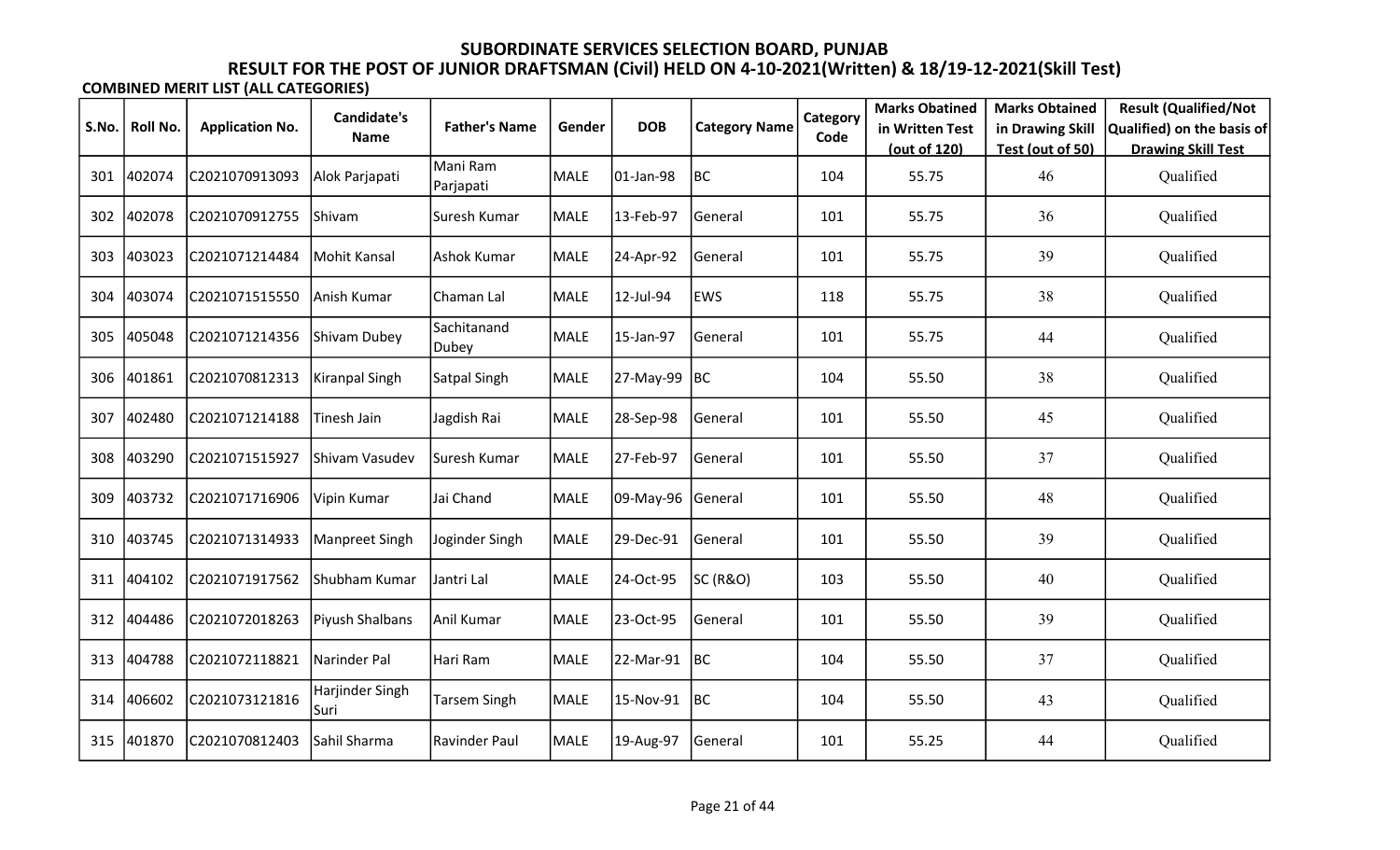|       |          |                        | <b>Candidate's</b>       |                       |        |            |                      | Category | <b>Marks Obatined</b>           | <b>Marks Obtained</b>  | <b>Result (Qualified/Not</b>           |
|-------|----------|------------------------|--------------------------|-----------------------|--------|------------|----------------------|----------|---------------------------------|------------------------|----------------------------------------|
| S.No. | Roll No. | <b>Application No.</b> | Name                     | <b>Father's Name</b>  | Gender | <b>DOB</b> | <b>Category Name</b> | Code     | in Written Test<br>(out of 120) | in Drawing Skill       | Qualified) on the basis of             |
| 301   | 402074   | C2021070913093         | Alok Parjapati           | Mani Ram<br>Parjapati | MALE   | 01-Jan-98  | BC                   | 104      | 55.75                           | Test (out of 50)<br>46 | <b>Drawing Skill Test</b><br>Qualified |
| 302   | 402078   | C2021070912755         | Shivam                   | Suresh Kumar          | MALE   | 13-Feb-97  | General              | 101      | 55.75                           | 36                     | Qualified                              |
| 303   | 403023   | C2021071214484         | Mohit Kansal             | Ashok Kumar           | MALE   | 24-Apr-92  | General              | 101      | 55.75                           | 39                     | Qualified                              |
| 304   | 403074   | C2021071515550         | Anish Kumar              | Chaman Lal            | MALE   | 12-Jul-94  | <b>EWS</b>           | 118      | 55.75                           | 38                     | Qualified                              |
| 305   | 405048   | C2021071214356         | Shivam Dubey             | Sachitanand<br>Dubey  | MALE   | 15-Jan-97  | General              | 101      | 55.75                           | 44                     | Qualified                              |
| 306   | 401861   | C2021070812313         | Kiranpal Singh           | Satpal Singh          | MALE   | 27-May-99  | BC                   | 104      | 55.50                           | 38                     | Qualified                              |
| 307   | 402480   | C2021071214188         | Tinesh Jain              | Jagdish Rai           | MALE   | 28-Sep-98  | General              | 101      | 55.50                           | 45                     | Qualified                              |
| 308   | 403290   | C2021071515927         | Shivam Vasudev           | Suresh Kumar          | MALE   | 27-Feb-97  | General              | 101      | 55.50                           | 37                     | Qualified                              |
| 309   | 403732   | C2021071716906         | Vipin Kumar              | Jai Chand             | MALE   | 09-May-96  | General              | 101      | 55.50                           | 48                     | Qualified                              |
| 310   | 403745   | C2021071314933         | Manpreet Singh           | Joginder Singh        | MALE   | 29-Dec-91  | General              | 101      | 55.50                           | 39                     | Qualified                              |
| 311   | 404102   | C2021071917562         | Shubham Kumar            | Jantri Lal            | MALE   | 24-Oct-95  | SC (R&O)             | 103      | 55.50                           | 40                     | Qualified                              |
| 312   | 404486   | C2021072018263         | Piyush Shalbans          | Anil Kumar            | MALE   | 23-Oct-95  | General              | 101      | 55.50                           | 39                     | Qualified                              |
| 313   | 404788   | C2021072118821         | Narinder Pal             | Hari Ram              | MALE   | 22-Mar-91  | <b>BC</b>            | 104      | 55.50                           | 37                     | Qualified                              |
| 314   | 406602   | C2021073121816         | Harjinder Singh<br> Suri | Tarsem Singh          | MALE   | 15-Nov-91  | BC                   | 104      | 55.50                           | 43                     | Qualified                              |
| 315   | 401870   | C2021070812403         | Sahil Sharma             | <b>Ravinder Paul</b>  | MALE   | 19-Aug-97  | General              | 101      | 55.25                           | 44                     | Qualified                              |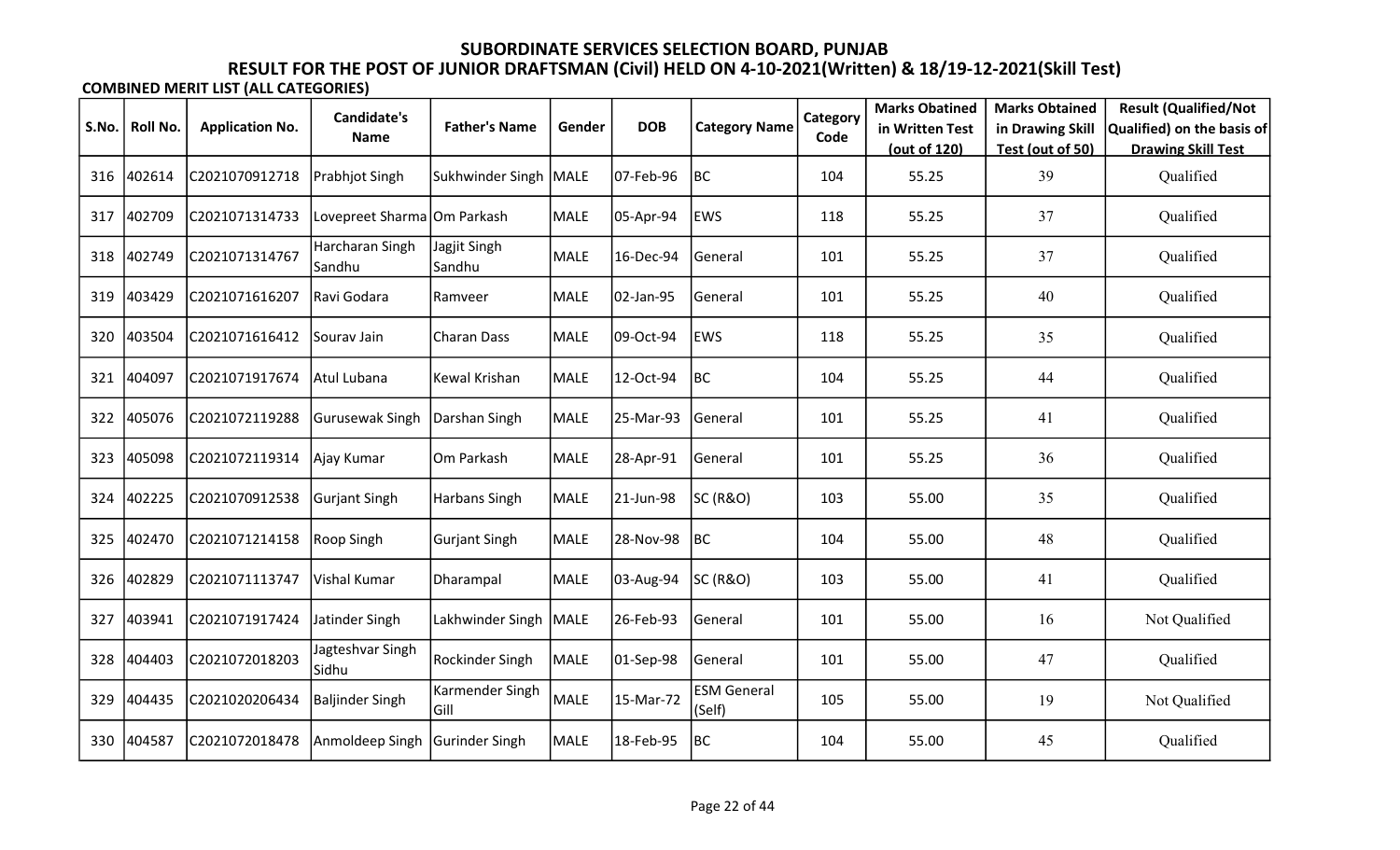|       |                 |                        | Candidate's                 |                         |             |            |                              | Category | <b>Marks Obatined</b> | <b>Marks Obtained</b> | <b>Result (Qualified/Not</b> |
|-------|-----------------|------------------------|-----------------------------|-------------------------|-------------|------------|------------------------------|----------|-----------------------|-----------------------|------------------------------|
| S.No. | <b>Roll No.</b> | <b>Application No.</b> | Name                        | <b>Father's Name</b>    | Gender      | <b>DOB</b> | <b>Category Name</b>         | Code     | in Written Test       | in Drawing Skill      | Qualified) on the basis of   |
|       |                 |                        |                             |                         |             |            |                              |          | (out of 120)          | Test (out of 50)      | <b>Drawing Skill Test</b>    |
| 316   | 402614          | C2021070912718         | Prabhjot Singh              | Sukhwinder Singh   MALE |             | 07-Feb-96  | BC                           | 104      | 55.25                 | 39                    | Qualified                    |
| 317   | 402709          | C2021071314733         | Lovepreet Sharma Om Parkash |                         | <b>MALE</b> | 05-Apr-94  | <b>EWS</b>                   | 118      | 55.25                 | 37                    | Qualified                    |
| 318   | 402749          | C2021071314767         | Harcharan Singh<br> Sandhu  | Jagjit Singh<br>Sandhu  | <b>MALE</b> | 16-Dec-94  | General                      | 101      | 55.25                 | 37                    | Qualified                    |
| 319   | 403429          | C2021071616207         | Ravi Godara                 | Ramveer                 | <b>MALE</b> | 02-Jan-95  | General                      | 101      | 55.25                 | 40                    | Qualified                    |
| 320   | 403504          | C2021071616412         | Sourav Jain                 | Charan Dass             | MALE        | 09-Oct-94  | <b>EWS</b>                   | 118      | 55.25                 | 35                    | Qualified                    |
| 321   | 404097          | C2021071917674         | Atul Lubana                 | Kewal Krishan           | <b>MALE</b> | 12-Oct-94  | BC                           | 104      | 55.25                 | 44                    | Qualified                    |
| 322   | 405076          | C2021072119288         | <b>Gurusewak Singh</b>      | Darshan Singh           | <b>MALE</b> | 25-Mar-93  | <b>General</b>               | 101      | 55.25                 | 41                    | Qualified                    |
| 323   | 405098          | C2021072119314         | Ajay Kumar                  | Om Parkash              | <b>MALE</b> | 28-Apr-91  | General                      | 101      | 55.25                 | 36                    | Qualified                    |
| 324   | 402225          | C2021070912538         | <b>Gurjant Singh</b>        | <b>Harbans Singh</b>    | <b>MALE</b> | 21-Jun-98  | SC (R&O)                     | 103      | 55.00                 | 35                    | Qualified                    |
| 325   | 402470          | C2021071214158         | Roop Singh                  | <b>Gurjant Singh</b>    | <b>MALE</b> | 28-Nov-98  | <b>BC</b>                    | 104      | 55.00                 | 48                    | Qualified                    |
| 326   | 402829          | C2021071113747         | <b>Vishal Kumar</b>         | Dharampal               | <b>MALE</b> | 03-Aug-94  | <b>SC (R&amp;O)</b>          | 103      | 55.00                 | 41                    | Qualified                    |
| 327   | 403941          | C2021071917424         | Jatinder Singh              | Lakhwinder Singh   MALE |             | 26-Feb-93  | General                      | 101      | 55.00                 | 16                    | Not Qualified                |
| 328   | 404403          | C2021072018203         | Jagteshvar Singh<br>Sidhu   | Rockinder Singh         | MALE        | 01-Sep-98  | General                      | 101      | 55.00                 | 47                    | Qualified                    |
| 329   | 404435          | C2021020206434         | Baljinder Singh             | Karmender Singh<br>Gill | MALE        | 15-Mar-72  | <b>ESM General</b><br>(Self) | 105      | 55.00                 | 19                    | Not Qualified                |
| 330   | 404587          | C2021072018478         | Anmoldeep Singh             | Gurinder Singh          | <b>MALE</b> | 18-Feb-95  | BC                           | 104      | 55.00                 | 45                    | Qualified                    |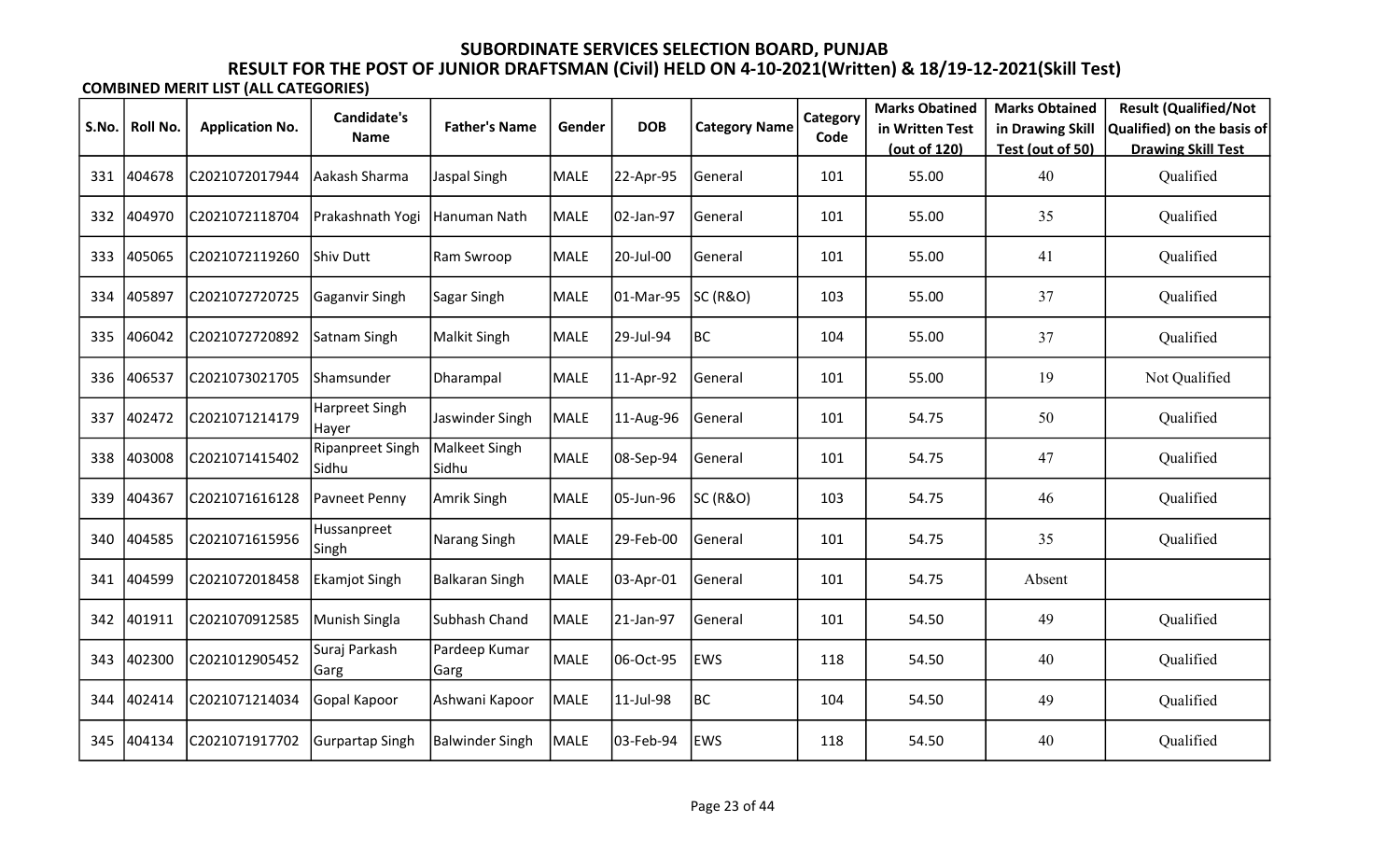|       |                 |                        | Candidate's               |                        |             |            |                      | Category | <b>Marks Obatined</b> | <b>Marks Obtained</b> | <b>Result (Qualified/Not</b> |
|-------|-----------------|------------------------|---------------------------|------------------------|-------------|------------|----------------------|----------|-----------------------|-----------------------|------------------------------|
| S.No. | <b>Roll No.</b> | <b>Application No.</b> | <b>Name</b>               | <b>Father's Name</b>   | Gender      | <b>DOB</b> | <b>Category Name</b> | Code     | in Written Test       | in Drawing Skill      | Qualified) on the basis of   |
|       |                 |                        |                           |                        |             |            |                      |          | (out of 120)          | Test (out of 50)      | <b>Drawing Skill Test</b>    |
| 331   | 404678          | C2021072017944         | Aakash Sharma             | Jaspal Singh           | <b>MALE</b> | 22-Apr-95  | General              | 101      | 55.00                 | 40                    | Qualified                    |
| 332   | 404970          | C2021072118704         | Prakashnath Yogi          | Hanuman Nath           | <b>MALE</b> | 02-Jan-97  | General              | 101      | 55.00                 | 35                    | Qualified                    |
| 333   | 405065          | C2021072119260         | Shiv Dutt                 | Ram Swroop             | <b>MALE</b> | 20-Jul-00  | General              | 101      | 55.00                 | 41                    | Qualified                    |
| 334   | 405897          | C2021072720725         | Gaganvir Singh            | Sagar Singh            | MALE        | 01-Mar-95  | SC (R&O)             | 103      | 55.00                 | 37                    | Qualified                    |
| 335   | 406042          | C2021072720892         | Satnam Singh              | Malkit Singh           | MALE        | 29-Jul-94  | BC                   | 104      | 55.00                 | 37                    | Qualified                    |
| 336   | 406537          | C2021073021705         | <b>Shamsunder</b>         | Dharampal              | <b>MALE</b> | 11-Apr-92  | General              | 101      | 55.00                 | 19                    | Not Qualified                |
| 337   | 402472          | C2021071214179         | Harpreet Singh<br>Hayer   | Jaswinder Singh        | <b>MALE</b> | 11-Aug-96  | General              | 101      | 54.75                 | 50                    | Qualified                    |
| 338   | 403008          | C2021071415402         | Ripanpreet Singh<br>Sidhu | Malkeet Singh<br>Sidhu | <b>MALE</b> | 08-Sep-94  | General              | 101      | 54.75                 | 47                    | Qualified                    |
| 339   | 404367          | C2021071616128         | Pavneet Penny             | Amrik Singh            | MALE        | 05-Jun-96  | SC (R&O)             | 103      | 54.75                 | 46                    | Qualified                    |
| 340   | 404585          | C2021071615956         | Hussanpreet<br> Singh     | Narang Singh           | <b>MALE</b> | 29-Feb-00  | General              | 101      | 54.75                 | 35                    | Qualified                    |
| 341   | 404599          | C2021072018458         | <b>Ekamjot Singh</b>      | <b>Balkaran Singh</b>  | <b>MALE</b> | 03-Apr-01  | General              | 101      | 54.75                 | Absent                |                              |
| 342   | 401911          | C2021070912585         | Munish Singla             | Subhash Chand          | <b>MALE</b> | 21-Jan-97  | General              | 101      | 54.50                 | 49                    | Qualified                    |
| 343   | 402300          | C2021012905452         | Suraj Parkash<br>Garg     | Pardeep Kumar<br>Garg  | MALE        | 06-Oct-95  | <b>EWS</b>           | 118      | 54.50                 | 40                    | Qualified                    |
| 344   | 402414          | C2021071214034         | Gopal Kapoor              | Ashwani Kapoor         | MALE        | 11-Jul-98  | BC                   | 104      | 54.50                 | 49                    | Qualified                    |
| 345   | 404134          | C2021071917702         | Gurpartap Singh           | <b>Balwinder Singh</b> | <b>MALE</b> | 03-Feb-94  | <b>EWS</b>           | 118      | 54.50                 | 40                    | Qualified                    |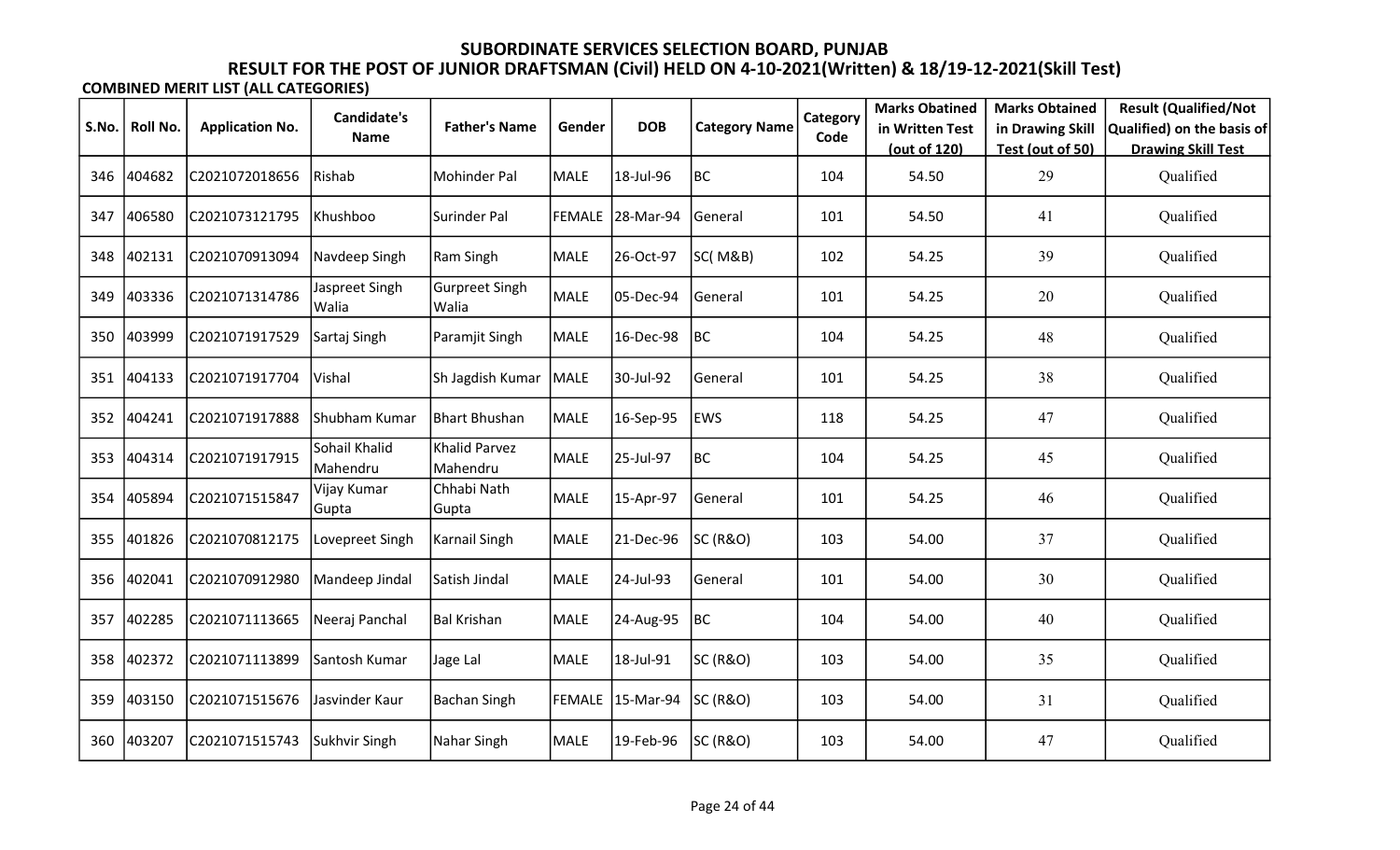| S.No. | Roll No. | <b>Application No.</b> | <b>Candidate's</b>        | <b>Father's Name</b>      | Gender      | <b>DOB</b>       | <b>Category Name</b> | Category | <b>Marks Obatined</b><br>in Written Test | <b>Marks Obtained</b><br>in Drawing Skill | <b>Result (Qualified/Not</b><br>Qualified) on the basis of |
|-------|----------|------------------------|---------------------------|---------------------------|-------------|------------------|----------------------|----------|------------------------------------------|-------------------------------------------|------------------------------------------------------------|
|       |          |                        | <b>Name</b>               |                           |             |                  |                      | Code     | (out of 120)                             | Test (out of 50)                          | <b>Drawing Skill Test</b>                                  |
| 346   | 404682   | C2021072018656         | Rishab                    | Mohinder Pal              | MALE        | 18-Jul-96        | BC                   | 104      | 54.50                                    | 29                                        | Qualified                                                  |
| 347   | 406580   | C2021073121795         | Khushboo                  | Surinder Pal              |             | FEMALE 28-Mar-94 | General              | 101      | 54.50                                    | 41                                        | Qualified                                                  |
| 348   | 402131   | C2021070913094         | Navdeep Singh             | Ram Singh                 | MALE        | 26-Oct-97        | SC(M&B)              | 102      | 54.25                                    | 39                                        | Qualified                                                  |
| 349   | 403336   | C2021071314786         | Jaspreet Singh<br>Walia   | Gurpreet Singh<br>Walia   | <b>MALE</b> | 05-Dec-94        | General              | 101      | 54.25                                    | 20                                        | Qualified                                                  |
| 350   | 403999   | C2021071917529         | Sartaj Singh              | Paramjit Singh            | MALE        | 16-Dec-98        | <b>BC</b>            | 104      | 54.25                                    | 48                                        | Qualified                                                  |
| 351   | 404133   | C2021071917704         | Vishal                    | Sh Jagdish Kumar          | MALE        | 30-Jul-92        | General              | 101      | 54.25                                    | 38                                        | Qualified                                                  |
| 352   | 404241   | C2021071917888         | Shubham Kumar             | <b>Bhart Bhushan</b>      | MALE        | 16-Sep-95        | <b>EWS</b>           | 118      | 54.25                                    | 47                                        | Qualified                                                  |
| 353   | 404314   | C2021071917915         | Sohail Khalid<br>Mahendru | Khalid Parvez<br>Mahendru | <b>MALE</b> | 25-Jul-97        | BC                   | 104      | 54.25                                    | 45                                        | Qualified                                                  |
| 354   | 405894   | C2021071515847         | Vijay Kumar<br>Gupta      | Chhabi Nath<br>Gupta      | <b>MALE</b> | 15-Apr-97        | General              | 101      | 54.25                                    | 46                                        | Qualified                                                  |
| 355   | 401826   | C2021070812175         | Lovepreet Singh           | <b>Karnail Singh</b>      | MALE        | 21-Dec-96        | <b>SC (R&amp;O)</b>  | 103      | 54.00                                    | 37                                        | Qualified                                                  |
| 356   | 402041   | C2021070912980         | Mandeep Jindal            | Satish Jindal             | MALE        | 24-Jul-93        | General              | 101      | 54.00                                    | 30                                        | Qualified                                                  |
| 357   | 402285   | C2021071113665         | Neeraj Panchal            | <b>Bal Krishan</b>        | MALE        | 24-Aug-95        | BC                   | 104      | 54.00                                    | 40                                        | Qualified                                                  |
| 358   | 402372   | C2021071113899         | Santosh Kumar             | Jage Lal                  | <b>MALE</b> | 18-Jul-91        | <b>SC (R&amp;O)</b>  | 103      | 54.00                                    | 35                                        | Qualified                                                  |
| 359   | 403150   | C2021071515676         | Jasvinder Kaur            | <b>Bachan Singh</b>       | FEMALE      | 15-Mar-94        | <b>SC (R&amp;O)</b>  | 103      | 54.00                                    | 31                                        | Qualified                                                  |
| 360   | 403207   | C2021071515743         | Sukhvir Singh             | Nahar Singh               | MALE        | 19-Feb-96        | SC (R&O)             | 103      | 54.00                                    | 47                                        | Qualified                                                  |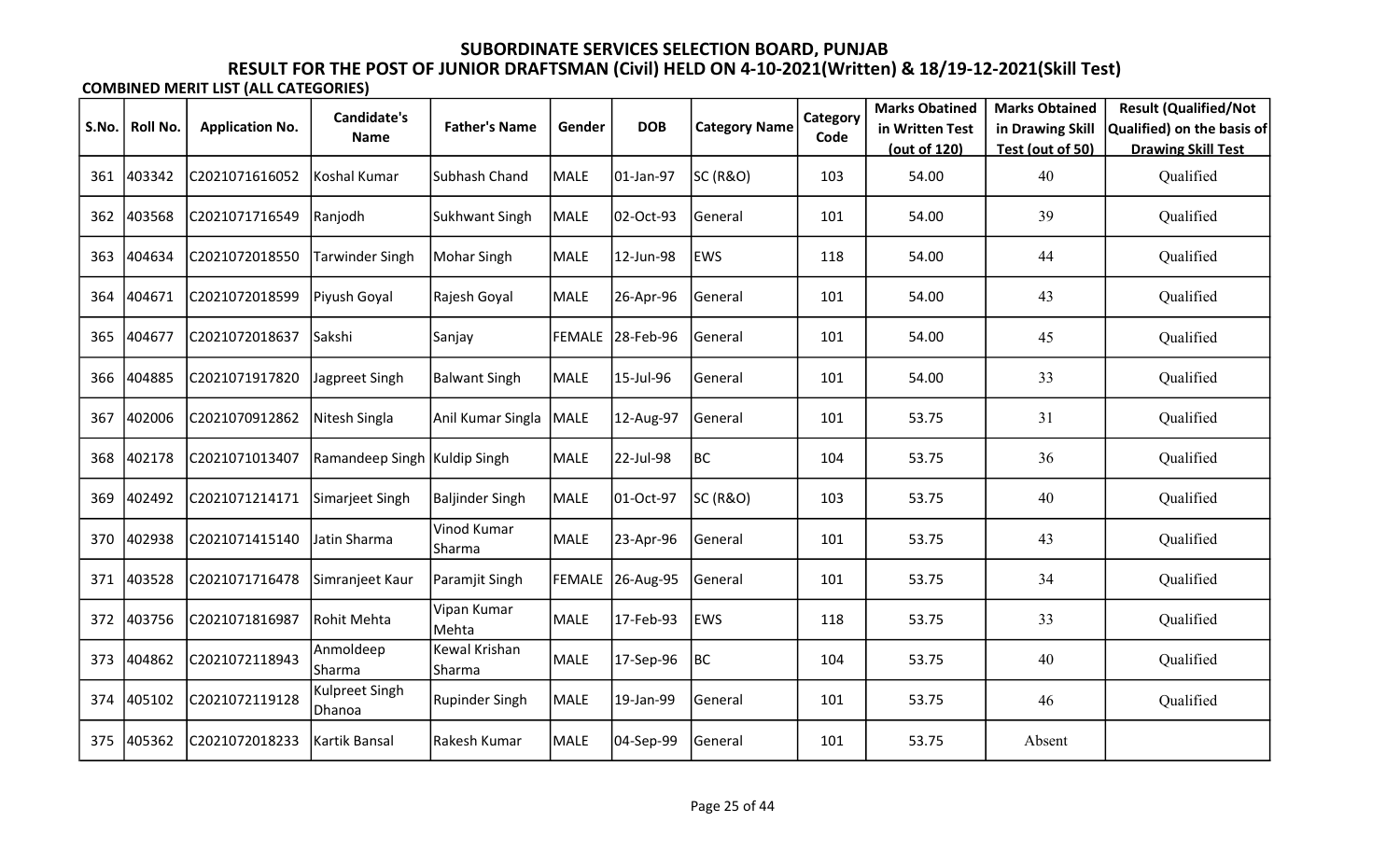|       |          |                        | Candidate's                     |                         |             |                  |                      | Category | <b>Marks Obatined</b> | <b>Marks Obtained</b> | <b>Result (Qualified/Not</b> |
|-------|----------|------------------------|---------------------------------|-------------------------|-------------|------------------|----------------------|----------|-----------------------|-----------------------|------------------------------|
| S.No. | Roll No. | <b>Application No.</b> | <b>Name</b>                     | <b>Father's Name</b>    | Gender      | <b>DOB</b>       | <b>Category Name</b> | Code     | in Written Test       | in Drawing Skill      | Qualified) on the basis of   |
|       |          |                        |                                 |                         |             |                  |                      |          | (out of 120)          | Test (out of 50)      | <b>Drawing Skill Test</b>    |
| 361   | 403342   | C2021071616052         | Koshal Kumar                    | Subhash Chand           | <b>MALE</b> | 01-Jan-97        | SC (R&O)             | 103      | 54.00                 | 40                    | Qualified                    |
| 362   | 403568   | C2021071716549         | Ranjodh                         | <b>Sukhwant Singh</b>   | <b>MALE</b> | 02-Oct-93        | General              | 101      | 54.00                 | 39                    | Qualified                    |
| 363   | 404634   | C2021072018550         | Tarwinder Singh                 | Mohar Singh             | <b>MALE</b> | 12-Jun-98        | <b>EWS</b>           | 118      | 54.00                 | 44                    | Qualified                    |
| 364   | 404671   | C2021072018599         | Piyush Goyal                    | Rajesh Goyal            | <b>MALE</b> | 26-Apr-96        | General              | 101      | 54.00                 | 43                    | Qualified                    |
| 365   | 404677   | C2021072018637         | Sakshi                          | Sanjay                  |             | FEMALE 28-Feb-96 | General              | 101      | 54.00                 | 45                    | Qualified                    |
| 366   | 404885   | C2021071917820         | Jagpreet Singh                  | <b>Balwant Singh</b>    | <b>MALE</b> | 15-Jul-96        | General              | 101      | 54.00                 | 33                    | Qualified                    |
| 367   | 402006   | C2021070912862         | Nitesh Singla                   | Anil Kumar Singla       | MALE        | 12-Aug-97        | General              | 101      | 53.75                 | 31                    | Qualified                    |
| 368   | 402178   | C2021071013407         | Ramandeep Singh                 | Kuldip Singh            | MALE        | 22-Jul-98        | BC                   | 104      | 53.75                 | 36                    | Qualified                    |
| 369   | 402492   | C2021071214171         | Simarjeet Singh                 | Baljinder Singh         | <b>MALE</b> | 01-Oct-97        | SC (R&O)             | 103      | 53.75                 | 40                    | Qualified                    |
| 370   | 402938   | C2021071415140         | Jatin Sharma                    | Vinod Kumar<br>Sharma   | <b>MALE</b> | 23-Apr-96        | General              | 101      | 53.75                 | 43                    | Qualified                    |
| 371   | 403528   | C2021071716478         | Simranjeet Kaur                 | Paramjit Singh          |             | FEMALE 26-Aug-95 | General              | 101      | 53.75                 | 34                    | Qualified                    |
| 372   | 403756   | C2021071816987         | Rohit Mehta                     | Vipan Kumar<br>Mehta    | <b>MALE</b> | 17-Feb-93        | <b>EWS</b>           | 118      | 53.75                 | 33                    | Qualified                    |
| 373   | 404862   | C2021072118943         | Anmoldeep<br>Sharma             | Kewal Krishan<br>Sharma | MALE        | 17-Sep-96        | <b>BC</b>            | 104      | 53.75                 | 40                    | Qualified                    |
| 374   | 405102   | C2021072119128         | <b>Kulpreet Singh</b><br>Dhanoa | <b>Rupinder Singh</b>   | MALE        | 19-Jan-99        | General              | 101      | 53.75                 | 46                    | Qualified                    |
| 375   | 405362   | C2021072018233         | Kartik Bansal                   | Rakesh Kumar            | <b>MALE</b> | 04-Sep-99        | General              | 101      | 53.75                 | Absent                |                              |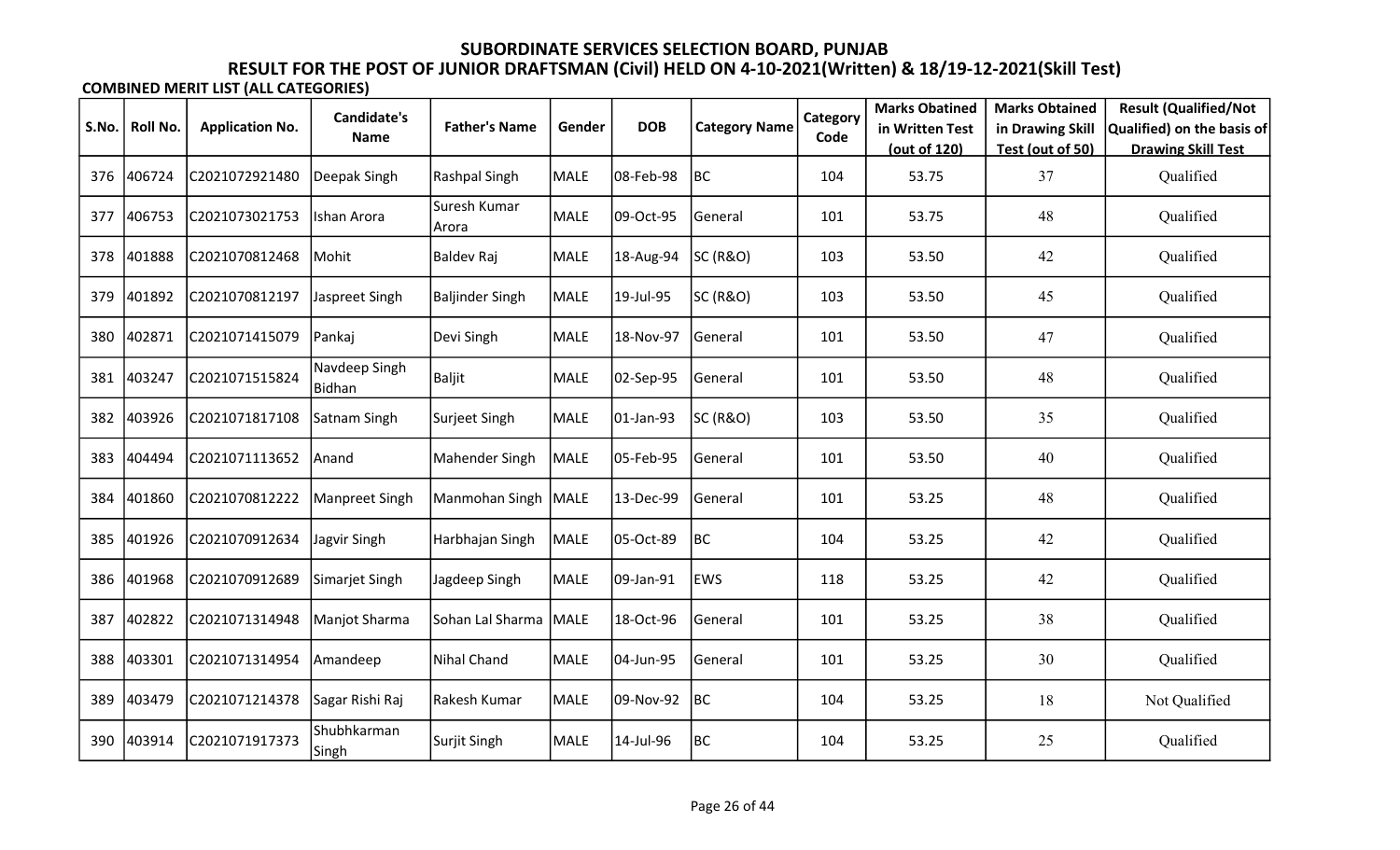|       |          |                        | <b>Candidate's</b>      |                         |        |            |                      | Category | <b>Marks Obatined</b> | <b>Marks Obtained</b> | <b>Result (Qualified/Not</b> |
|-------|----------|------------------------|-------------------------|-------------------------|--------|------------|----------------------|----------|-----------------------|-----------------------|------------------------------|
| S.No. | Roll No. | <b>Application No.</b> | Name                    | <b>Father's Name</b>    | Gender | <b>DOB</b> | <b>Category Name</b> | Code     | in Written Test       | in Drawing Skill      | Qualified) on the basis of   |
|       |          |                        |                         |                         |        |            |                      |          | (out of 120)          | Test (out of 50)      | <b>Drawing Skill Test</b>    |
| 376   | 406724   | C2021072921480         | Deepak Singh            | Rashpal Singh           | MALE   | 08-Feb-98  | BC                   | 104      | 53.75                 | 37                    | Qualified                    |
| 377   | 406753   | C2021073021753         | Ishan Arora             | Suresh Kumar<br>Arora   | MALE   | 09-Oct-95  | General              | 101      | 53.75                 | 48                    | Qualified                    |
| 378   | 401888   | C2021070812468         | Mohit                   | <b>Baldev Raj</b>       | MALE   | 18-Aug-94  | <b>SC (R&amp;O)</b>  | 103      | 53.50                 | 42                    | Qualified                    |
| 379   | 401892   | C2021070812197         | Jaspreet Singh          | <b>Baljinder Singh</b>  | MALE   | 19-Jul-95  | SC (R&O)             | 103      | 53.50                 | 45                    | Qualified                    |
| 380   | 402871   | C2021071415079         | Pankaj                  | Devi Singh              | MALE   | 18-Nov-97  | General              | 101      | 53.50                 | 47                    | Qualified                    |
| 381   | 403247   | C2021071515824         | Navdeep Singh<br>Bidhan | <b>Baljit</b>           | MALE   | 02-Sep-95  | General              | 101      | 53.50                 | 48                    | Qualified                    |
| 382   | 403926   | C2021071817108         | Satnam Singh            | Surjeet Singh           | MALE   | 01-Jan-93  | SC (R&O)             | 103      | 53.50                 | 35                    | Qualified                    |
| 383   | 404494   | C2021071113652         | Anand                   | Mahender Singh          | MALE   | 05-Feb-95  | General              | 101      | 53.50                 | 40                    | Qualified                    |
| 384   | 401860   | C2021070812222         | Manpreet Singh          | Manmohan Singh   MALE   |        | 13-Dec-99  | General              | 101      | 53.25                 | 48                    | Qualified                    |
| 385   | 401926   | C2021070912634         | Jagvir Singh            | Harbhajan Singh         | MALE   | 05-Oct-89  | BC                   | 104      | 53.25                 | 42                    | Qualified                    |
| 386   | 401968   | C2021070912689         | Simarjet Singh          | Jagdeep Singh           | MALE   | 09-Jan-91  | <b>EWS</b>           | 118      | 53.25                 | 42                    | Qualified                    |
| 387   | 402822   | C2021071314948         | Manjot Sharma           | Sohan Lal Sharma   MALE |        | 18-Oct-96  | General              | 101      | 53.25                 | 38                    | Qualified                    |
| 388   | 403301   | C2021071314954         | Amandeep                | Nihal Chand             | MALE   | 04-Jun-95  | General              | 101      | 53.25                 | 30                    | Qualified                    |
| 389   | 403479   | C2021071214378         | Sagar Rishi Raj         | Rakesh Kumar            | MALE   | 09-Nov-92  | BC                   | 104      | 53.25                 | 18                    | Not Qualified                |
| 390   | 403914   | C2021071917373         | Shubhkarman<br>Singh    | Surjit Singh            | MALE   | 14-Jul-96  | BC                   | 104      | 53.25                 | 25                    | Qualified                    |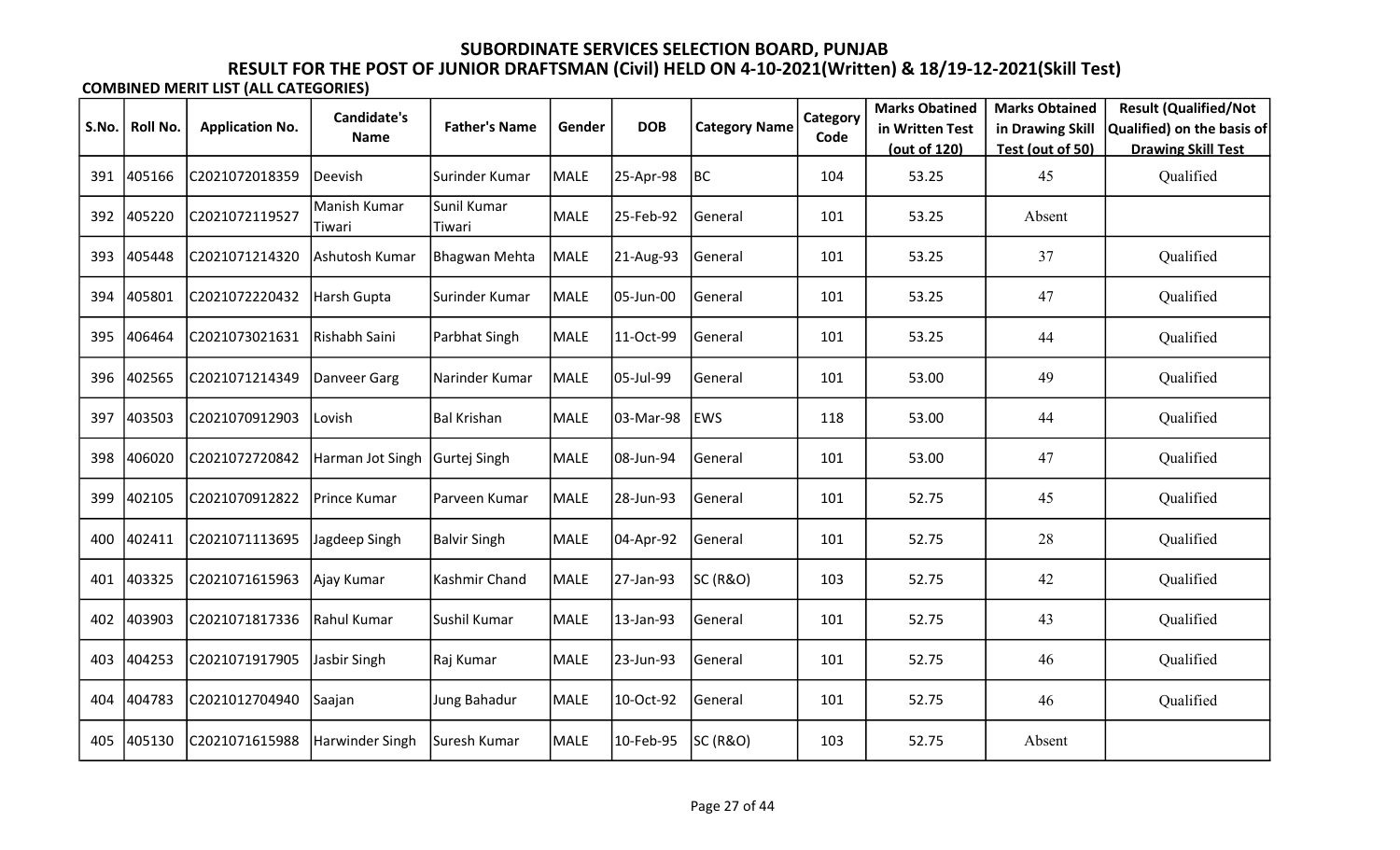|       |          |                        | <b>Candidate's</b>     |                       |             |            |                      | Category | <b>Marks Obatined</b> | <b>Marks Obtained</b> | <b>Result (Qualified/Not</b> |
|-------|----------|------------------------|------------------------|-----------------------|-------------|------------|----------------------|----------|-----------------------|-----------------------|------------------------------|
| S.No. | Roll No. | <b>Application No.</b> | <b>Name</b>            | <b>Father's Name</b>  | Gender      | <b>DOB</b> | <b>Category Name</b> | Code     | in Written Test       | in Drawing Skill      | Qualified) on the basis of   |
|       |          |                        |                        |                       |             |            |                      |          | (out of 120)          | Test (out of 50)      | <b>Drawing Skill Test</b>    |
| 391   | 405166   | C2021072018359         | Deevish                | Surinder Kumar        | MALE        | 25-Apr-98  | BC                   | 104      | 53.25                 | 45                    | Qualified                    |
| 392   | 405220   | C2021072119527         | Manish Kumar<br>Tiwari | Sunil Kumar<br>Tiwari | <b>MALE</b> | 25-Feb-92  | General              | 101      | 53.25                 | Absent                |                              |
| 393   | 405448   | C2021071214320         | Ashutosh Kumar         | <b>Bhagwan Mehta</b>  | MALE        | 21-Aug-93  | General              | 101      | 53.25                 | 37                    | Qualified                    |
| 394   | 405801   | C2021072220432         | Harsh Gupta            | Surinder Kumar        | <b>MALE</b> | 05-Jun-00  | General              | 101      | 53.25                 | 47                    | Qualified                    |
| 395   | 406464   | C2021073021631         | Rishabh Saini          | Parbhat Singh         | MALE        | 11-Oct-99  | General              | 101      | 53.25                 | 44                    | Qualified                    |
| 396   | 402565   | C2021071214349         | Danveer Garg           | Narinder Kumar        | MALE        | 05-Jul-99  | General              | 101      | 53.00                 | 49                    | Qualified                    |
| 397   | 403503   | C2021070912903         | Lovish                 | <b>Bal Krishan</b>    | MALE        | 03-Mar-98  | EWS                  | 118      | 53.00                 | 44                    | Qualified                    |
| 398   | 406020   | C2021072720842         | Harman Jot Singh       | Gurtej Singh          | MALE        | 08-Jun-94  | General              | 101      | 53.00                 | 47                    | Qualified                    |
| 399   | 402105   | C2021070912822         | Prince Kumar           | Parveen Kumar         | MALE        | 28-Jun-93  | General              | 101      | 52.75                 | 45                    | Qualified                    |
| 400   | 402411   | C2021071113695         | Jagdeep Singh          | <b>Balvir Singh</b>   | MALE        | 04-Apr-92  | General              | 101      | 52.75                 | 28                    | Qualified                    |
| 401   | 403325   | C2021071615963         | Ajay Kumar             | Kashmir Chand         | MALE        | 27-Jan-93  | <b>SC (R&amp;O)</b>  | 103      | 52.75                 | 42                    | Qualified                    |
| 402   | 403903   | C2021071817336         | Rahul Kumar            | Sushil Kumar          | MALE        | 13-Jan-93  | General              | 101      | 52.75                 | 43                    | Qualified                    |
| 403   | 404253   | C2021071917905         | Jasbir Singh           | Raj Kumar             | MALE        | 23-Jun-93  | General              | 101      | 52.75                 | 46                    | Qualified                    |
| 404   | 404783   | C2021012704940         | Saajan                 | Jung Bahadur          | MALE        | 10-Oct-92  | General              | 101      | 52.75                 | 46                    | Qualified                    |
| 405   | 405130   | C2021071615988         | Harwinder Singh        | Suresh Kumar          | <b>MALE</b> | 10-Feb-95  | SC (R&O)             | 103      | 52.75                 | Absent                |                              |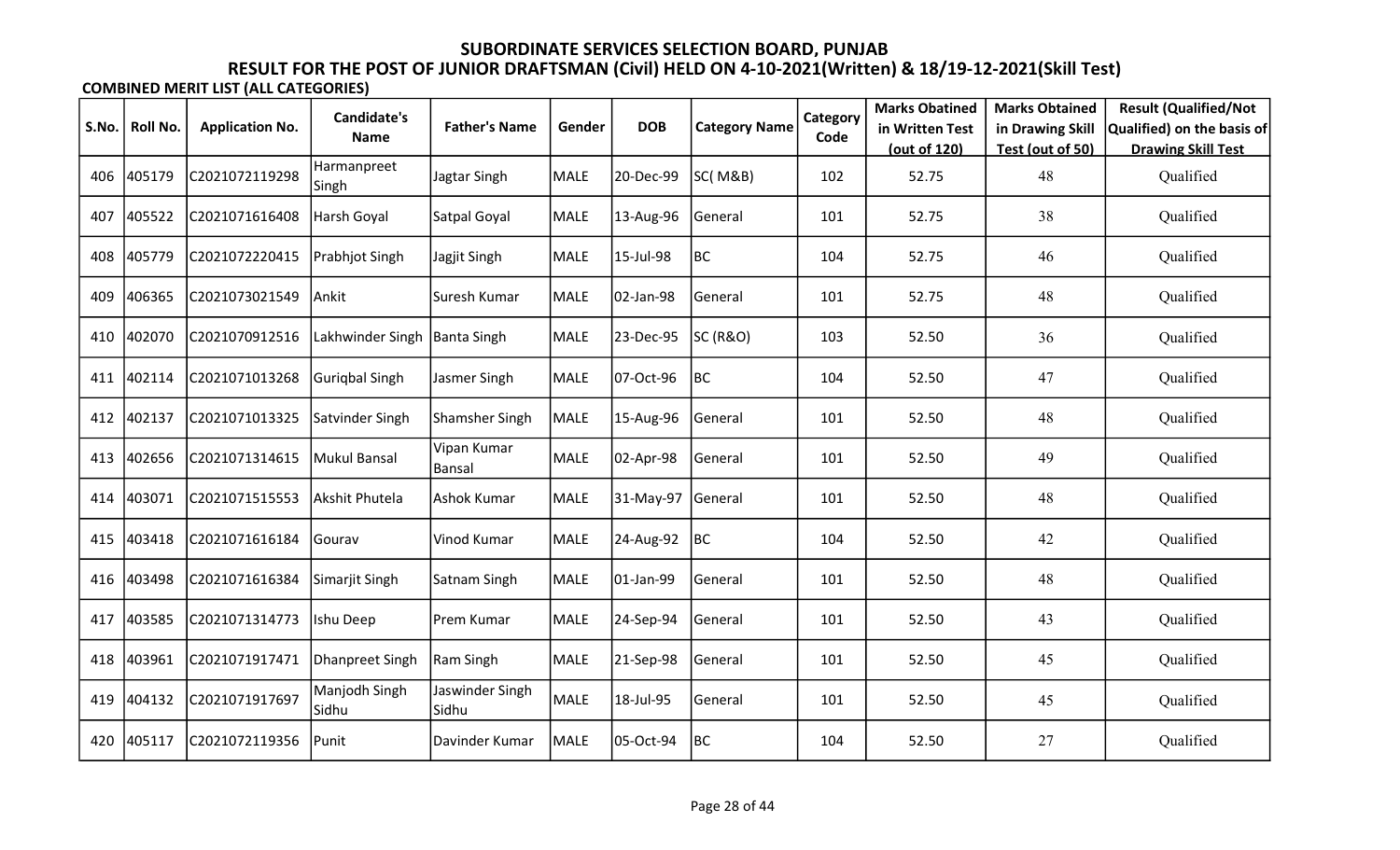|       |            |                        | <b>Candidate's</b>      |                          |             |            |                      | Category | <b>Marks Obatined</b> | <b>Marks Obtained</b> | <b>Result (Qualified/Not</b> |
|-------|------------|------------------------|-------------------------|--------------------------|-------------|------------|----------------------|----------|-----------------------|-----------------------|------------------------------|
| S.No. | Roll No.   | <b>Application No.</b> | <b>Name</b>             | <b>Father's Name</b>     | Gender      | <b>DOB</b> | <b>Category Name</b> | Code     | in Written Test       | in Drawing Skill      | Qualified) on the basis of   |
|       |            |                        |                         |                          |             |            |                      |          | (out of 120)          | Test (out of 50)      | <b>Drawing Skill Test</b>    |
| 406   | 405179     | C2021072119298         | Harmanpreet<br>Singh    | Jagtar Singh             | <b>MALE</b> | 20-Dec-99  | SC(M&B)              | 102      | 52.75                 | 48                    | Qualified                    |
| 407   | 405522     | C2021071616408         | Harsh Goyal             | Satpal Goyal             | MALE        | 13-Aug-96  | General              | 101      | 52.75                 | 38                    | Qualified                    |
| 408   | 405779     | C2021072220415         | Prabhjot Singh          | Jagjit Singh             | MALE        | 15-Jul-98  | BC                   | 104      | 52.75                 | 46                    | Qualified                    |
| 409   | 406365     | C2021073021549         | Ankit                   | Suresh Kumar             | <b>MALE</b> | 02-Jan-98  | General              | 101      | 52.75                 | 48                    | Qualified                    |
| 410   | 402070     | C2021070912516         | Lakhwinder Singh        | Banta Singh              | MALE        | 23-Dec-95  | SC (R&O)             | 103      | 52.50                 | 36                    | Qualified                    |
| 411   | 402114     | C2021071013268         | Guriqbal Singh          | Jasmer Singh             | MALE        | 07-Oct-96  | <b>BC</b>            | 104      | 52.50                 | 47                    | Qualified                    |
| 412   | 402137     | C2021071013325         | Satvinder Singh         | Shamsher Singh           | MALE        | 15-Aug-96  | General              | 101      | 52.50                 | 48                    | Qualified                    |
| 413   | 402656     | C2021071314615         | Mukul Bansal            | Vipan Kumar<br>Bansal    | <b>MALE</b> | 02-Apr-98  | General              | 101      | 52.50                 | 49                    | Qualified                    |
|       | 414 403071 | C2021071515553         | Akshit Phutela          | Ashok Kumar              | MALE        | 31-May-97  | General              | 101      | 52.50                 | 48                    | Qualified                    |
| 415   | 403418     | C2021071616184         | Gourav                  | Vinod Kumar              | MALE        | 24-Aug-92  | BC                   | 104      | 52.50                 | 42                    | Qualified                    |
| 416   | 403498     | C2021071616384         | Simarjit Singh          | Satnam Singh             | MALE        | 01-Jan-99  | General              | 101      | 52.50                 | 48                    | Qualified                    |
| 417   | 403585     | C2021071314773         | Ishu Deep               | Prem Kumar               | MALE        | 24-Sep-94  | General              | 101      | 52.50                 | 43                    | Qualified                    |
| 418   | 403961     | C2021071917471         | Dhanpreet Singh         | Ram Singh                | MALE        | 21-Sep-98  | General              | 101      | 52.50                 | 45                    | Qualified                    |
| 419   | 404132     | C2021071917697         | Manjodh Singh<br> Sidhu | Jaswinder Singh<br>Sidhu | <b>MALE</b> | 18-Jul-95  | General              | 101      | 52.50                 | 45                    | Qualified                    |
| 420   | 405117     | C2021072119356         | Punit                   | Davinder Kumar           | MALE        | 05-Oct-94  | <b>BC</b>            | 104      | 52.50                 | 27                    | Qualified                    |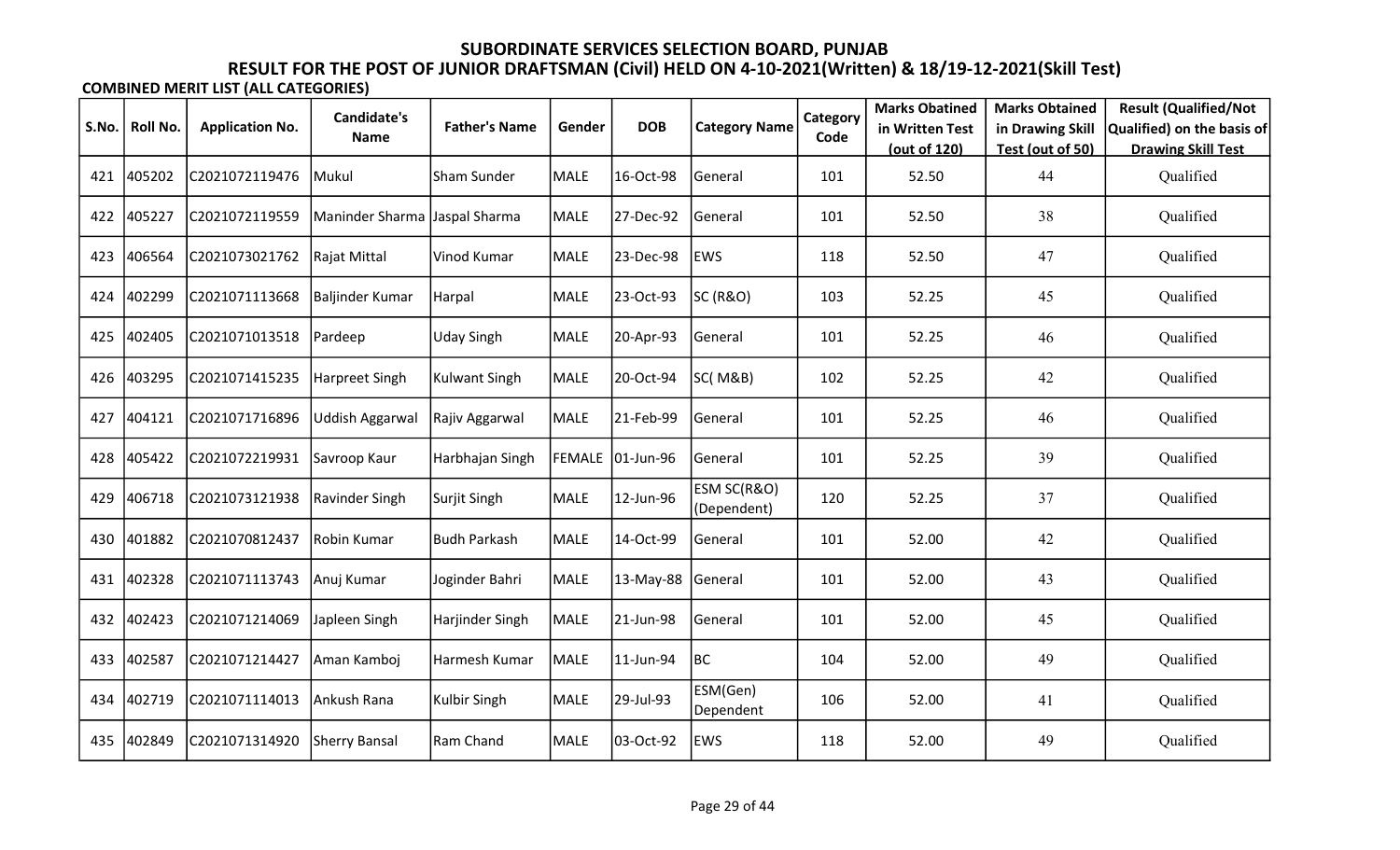|       |          |                        | Candidate's            |                      |             |                  |                            | Category | <b>Marks Obatined</b> | <b>Marks Obtained</b> | <b>Result (Qualified/Not</b> |
|-------|----------|------------------------|------------------------|----------------------|-------------|------------------|----------------------------|----------|-----------------------|-----------------------|------------------------------|
| S.No. | Roll No. | <b>Application No.</b> | Name                   | <b>Father's Name</b> | Gender      | <b>DOB</b>       | <b>Category Name</b>       | Code     | in Written Test       | in Drawing Skill      | Qualified) on the basis of   |
|       |          |                        |                        |                      |             |                  |                            |          | (out of 120)          | Test (out of 50)      | <b>Drawing Skill Test</b>    |
| 421   | 405202   | C2021072119476         | lMukul                 | Sham Sunder          | <b>MALE</b> | 16-Oct-98        | General                    | 101      | 52.50                 | 44                    | Qualified                    |
| 422   | 405227   | C2021072119559         | Maninder Sharma        | Jaspal Sharma        | <b>MALE</b> | 27-Dec-92        | General                    | 101      | 52.50                 | 38                    | Qualified                    |
| 423   | 406564   | C2021073021762         | Rajat Mittal           | Vinod Kumar          | <b>MALE</b> | 23-Dec-98        | <b>EWS</b>                 | 118      | 52.50                 | 47                    | Qualified                    |
| 424   | 402299   | C2021071113668         | Baljinder Kumar        | Harpal               | MALE        | 23-Oct-93        | SC (R&O)                   | 103      | 52.25                 | 45                    | Qualified                    |
| 425   | 402405   | C2021071013518         | <b>Pardeep</b>         | <b>Uday Singh</b>    | MALE        | 20-Apr-93        | General                    | 101      | 52.25                 | 46                    | Qualified                    |
| 426   | 403295   | C2021071415235         | Harpreet Singh         | <b>Kulwant Singh</b> | <b>MALE</b> | 20-Oct-94        | SC(M&B)                    | 102      | 52.25                 | 42                    | Qualified                    |
| 427   | 404121   | C2021071716896         | <b>Uddish Aggarwal</b> | Rajiv Aggarwal       | <b>MALE</b> | 21-Feb-99        | General                    | 101      | 52.25                 | 46                    | Qualified                    |
| 428   | 405422   | C2021072219931         | Savroop Kaur           | Harbhajan Singh      |             | FEMALE 01-Jun-96 | General                    | 101      | 52.25                 | 39                    | Qualified                    |
| 429   | 406718   | C2021073121938         | Ravinder Singh         | Surjit Singh         | <b>MALE</b> | 12-Jun-96        | ESM SC(R&O)<br>(Dependent) | 120      | 52.25                 | 37                    | Qualified                    |
| 430   | 401882   | C2021070812437         | Robin Kumar            | <b>Budh Parkash</b>  | <b>MALE</b> | 14-Oct-99        | General                    | 101      | 52.00                 | 42                    | Qualified                    |
| 431   | 402328   | C2021071113743         | Anuj Kumar             | Joginder Bahri       | <b>MALE</b> | 13-May-88        | General                    | 101      | 52.00                 | 43                    | Qualified                    |
| 432   | 402423   | C2021071214069         | Japleen Singh          | Harjinder Singh      | <b>MALE</b> | 21-Jun-98        | General                    | 101      | 52.00                 | 45                    | Qualified                    |
| 433   | 402587   | C2021071214427         | Aman Kamboj            | Harmesh Kumar        | <b>MALE</b> | 11-Jun-94        | BC                         | 104      | 52.00                 | 49                    | Qualified                    |
| 434   | 402719   | C2021071114013         | Ankush Rana            | Kulbir Singh         | MALE        | 29-Jul-93        | ESM(Gen)<br>Dependent      | 106      | 52.00                 | 41                    | Qualified                    |
| 435   | 402849   | C2021071314920         | Sherry Bansal          | Ram Chand            | <b>MALE</b> | 03-Oct-92        | EWS                        | 118      | 52.00                 | 49                    | Qualified                    |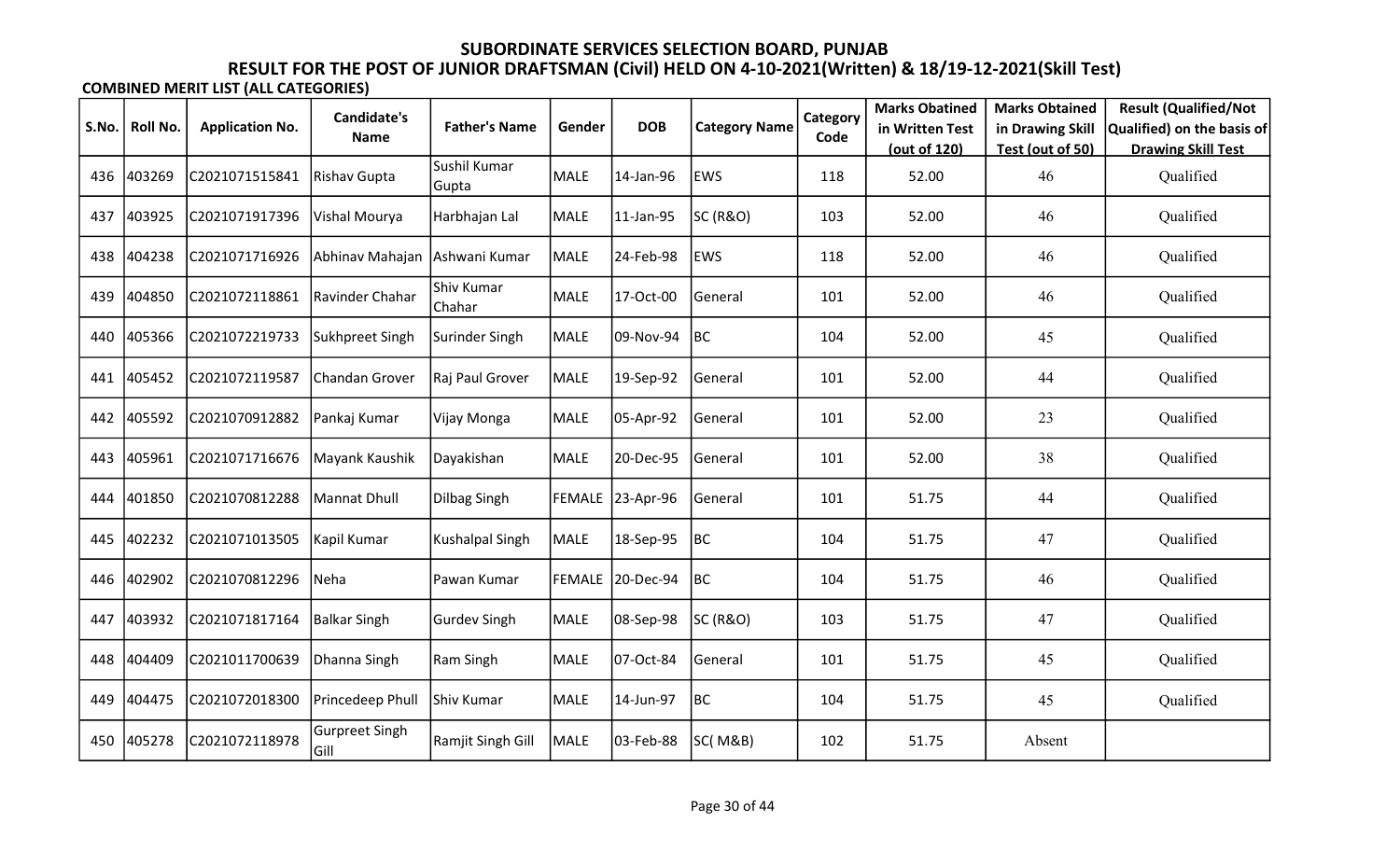|       |          |                        | <b>Candidate's</b>            |                       |        |                  |                      | Category | <b>Marks Obatined</b> | <b>Marks Obtained</b> | <b>Result (Qualified/Not</b> |
|-------|----------|------------------------|-------------------------------|-----------------------|--------|------------------|----------------------|----------|-----------------------|-----------------------|------------------------------|
| S.No. | Roll No. | <b>Application No.</b> | Name                          | <b>Father's Name</b>  | Gender | <b>DOB</b>       | <b>Category Name</b> | Code     | in Written Test       | in Drawing Skill      | Qualified) on the basis of   |
|       |          |                        |                               |                       |        |                  |                      |          | (out of 120)          | Test (out of 50)      | <b>Drawing Skill Test</b>    |
| 436   | 403269   | C2021071515841         | Rishav Gupta                  | Sushil Kumar<br>Gupta | MALE   | 14-Jan-96        | <b>EWS</b>           | 118      | 52.00                 | 46                    | Qualified                    |
| 437   | 403925   | C2021071917396         | Vishal Mourya                 | Harbhajan Lal         | MALE   | 11-Jan-95        | SC (R&O)             | 103      | 52.00                 | 46                    | Qualified                    |
| 438   | 404238   | C2021071716926         | Abhinav Mahajan Ashwani Kumar |                       | MALE   | 24-Feb-98        | <b>EWS</b>           | 118      | 52.00                 | 46                    | Qualified                    |
| 439   | 404850   | C2021072118861         | Ravinder Chahar               | Shiv Kumar<br>Chahar  | MALE   | 17-Oct-00        | General              | 101      | 52.00                 | 46                    | Qualified                    |
| 440   | 405366   | C2021072219733         | Sukhpreet Singh               | Surinder Singh        | MALE   | 09-Nov-94        | BC                   | 104      | 52.00                 | 45                    | Qualified                    |
| 441   | 405452   | C2021072119587         | Chandan Grover                | Raj Paul Grover       | MALE   | 19-Sep-92        | General              | 101      | 52.00                 | 44                    | Qualified                    |
| 442   | 405592   | C2021070912882         | Pankaj Kumar                  | Vijay Monga           | MALE   | 05-Apr-92        | General              | 101      | 52.00                 | 23                    | Qualified                    |
| 443   | 405961   | C2021071716676         | Mayank Kaushik                | Dayakishan            | MALE   | 20-Dec-95        | General              | 101      | 52.00                 | 38                    | Qualified                    |
| 444   | 401850   | C2021070812288         | Mannat Dhull                  | <b>Dilbag Singh</b>   |        | FEMALE 23-Apr-96 | General              | 101      | 51.75                 | 44                    | Qualified                    |
| 445   | 402232   | C2021071013505         | Kapil Kumar                   | Kushalpal Singh       | MALE   | 18-Sep-95        | BC                   | 104      | 51.75                 | 47                    | Qualified                    |
| 446   | 402902   | C2021070812296         | Neha                          | Pawan Kumar           | FEMALE | 20-Dec-94        | BC                   | 104      | 51.75                 | 46                    | Qualified                    |
| 447   | 403932   | C2021071817164         | Balkar Singh                  | <b>Gurdev Singh</b>   | MALE   | 08-Sep-98        | SC (R&O)             | 103      | 51.75                 | 47                    | Qualified                    |
| 448   | 404409   | C2021011700639         | Dhanna Singh                  | Ram Singh             | MALE   | 07-Oct-84        | General              | 101      | 51.75                 | 45                    | Qualified                    |
| 449   | 404475   | C2021072018300         | Princedeep Phull              | Shiv Kumar            | MALE   | 14-Jun-97        | BC                   | 104      | 51.75                 | 45                    | Qualified                    |
| 450   | 405278   | C2021072118978         | Gurpreet Singh<br> Gill       | Ramjit Singh Gill     | MALE   | 03-Feb-88        | SC(M&B)              | 102      | 51.75                 | Absent                |                              |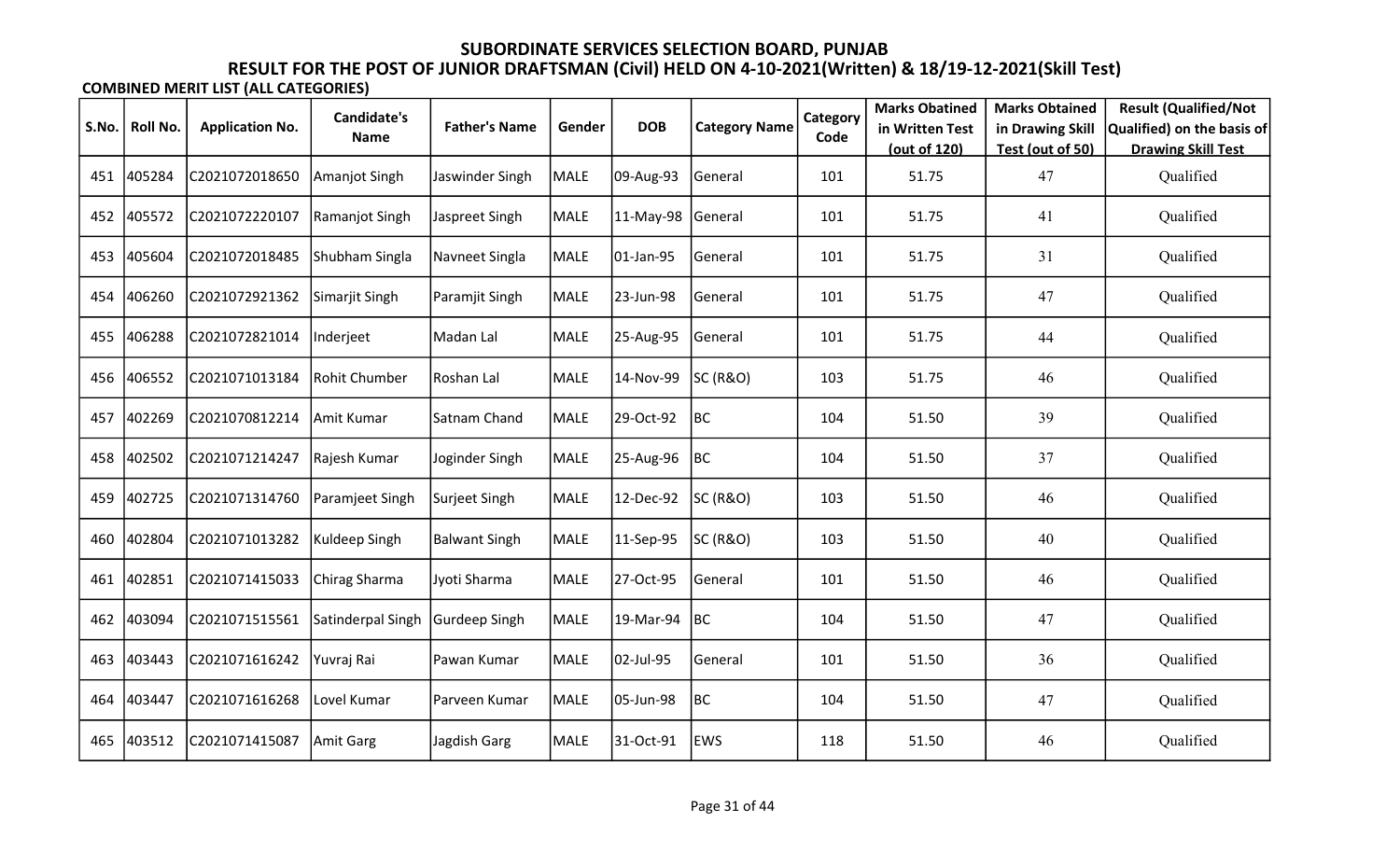|       |          |                        | Candidate's       |                      |             |            |                      | Category | <b>Marks Obatined</b> | <b>Marks Obtained</b>  | <b>Result (Qualified/Not</b>           |
|-------|----------|------------------------|-------------------|----------------------|-------------|------------|----------------------|----------|-----------------------|------------------------|----------------------------------------|
| S.No. | Roll No. | <b>Application No.</b> | <b>Name</b>       | <b>Father's Name</b> | Gender      | <b>DOB</b> | <b>Category Name</b> | Code     | in Written Test       | in Drawing Skill       | Qualified) on the basis of             |
| 451   | 405284   | C2021072018650         | Amanjot Singh     | Jaswinder Singh      | <b>MALE</b> | 09-Aug-93  | General              | 101      | (out of 120)<br>51.75 | Test (out of 50)<br>47 | <b>Drawing Skill Test</b><br>Qualified |
| 452   | 405572   | C2021072220107         | Ramanjot Singh    | Jaspreet Singh       | <b>MALE</b> | 11-May-98  | General              | 101      | 51.75                 | 41                     | Qualified                              |
| 453   | 405604   | C2021072018485         | Shubham Singla    | Navneet Singla       | <b>MALE</b> | 01-Jan-95  | General              | 101      | 51.75                 | 31                     | Qualified                              |
| 454   | 406260   | C2021072921362         | Simarjit Singh    | Paramjit Singh       | <b>MALE</b> | 23-Jun-98  | General              | 101      | 51.75                 | 47                     | Qualified                              |
| 455   | 406288   | C2021072821014         | Inderjeet         | Madan Lal            | MALE        | 25-Aug-95  | General              | 101      | 51.75                 | 44                     | Qualified                              |
| 456   | 406552   | C2021071013184         | Rohit Chumber     | Roshan Lal           | <b>MALE</b> | 14-Nov-99  | SC (R&O)             | 103      | 51.75                 | 46                     | Qualified                              |
| 457   | 402269   | C2021070812214         | Amit Kumar        | Satnam Chand         | MALE        | 29-Oct-92  | <b>BC</b>            | 104      | 51.50                 | 39                     | Qualified                              |
| 458   | 402502   | C2021071214247         | Rajesh Kumar      | Joginder Singh       | <b>MALE</b> | 25-Aug-96  | BC                   | 104      | 51.50                 | 37                     | Qualified                              |
| 459   | 402725   | C2021071314760         | Paramjeet Singh   | Surjeet Singh        | <b>MALE</b> | 12-Dec-92  | SC (R&O)             | 103      | 51.50                 | 46                     | Qualified                              |
| 460   | 402804   | C2021071013282         | Kuldeep Singh     | <b>Balwant Singh</b> | <b>MALE</b> | 11-Sep-95  | SC (R&O)             | 103      | 51.50                 | 40                     | Qualified                              |
| 461   | 402851   | C2021071415033         | Chirag Sharma     | Jyoti Sharma         | <b>MALE</b> | 27-Oct-95  | General              | 101      | 51.50                 | 46                     | Qualified                              |
| 462   | 403094   | C2021071515561         | Satinderpal Singh | Gurdeep Singh        | MALE        | 19-Mar-94  | BC                   | 104      | 51.50                 | 47                     | Qualified                              |
| 463   | 403443   | C2021071616242         | Yuvraj Rai        | Pawan Kumar          | <b>MALE</b> | 02-Jul-95  | General              | 101      | 51.50                 | 36                     | Qualified                              |
| 464   | 403447   | C2021071616268         | Lovel Kumar       | Parveen Kumar        | MALE        | 05-Jun-98  | BC                   | 104      | 51.50                 | 47                     | Qualified                              |
| 465   | 403512   | C2021071415087         | Amit Garg         | Jagdish Garg         | MALE        | 31-Oct-91  | <b>EWS</b>           | 118      | 51.50                 | 46                     | Qualified                              |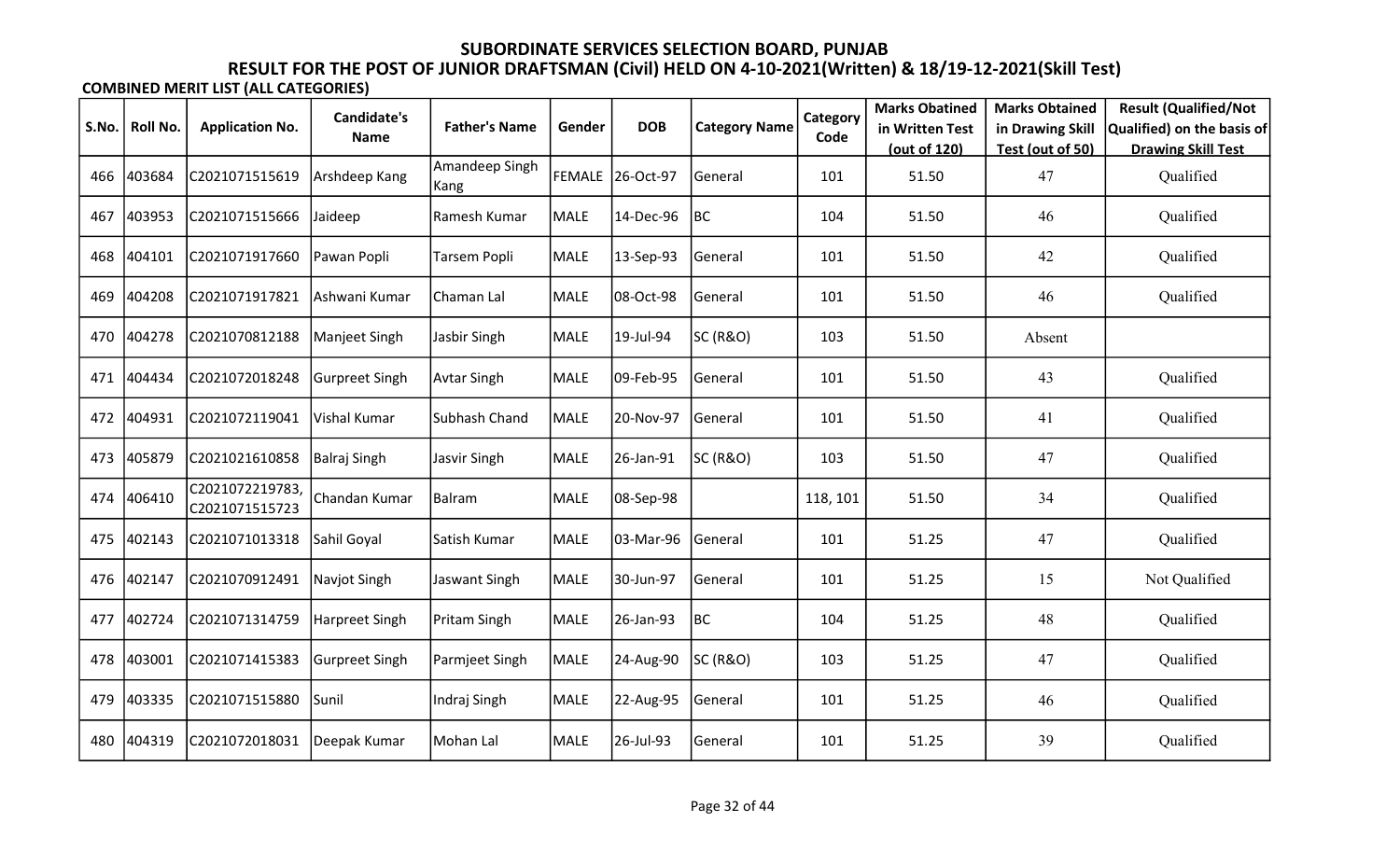|       |          |                                  | <b>Candidate's</b>    |                        |             |                  |                      | Category | <b>Marks Obatined</b> | <b>Marks Obtained</b> | <b>Result (Qualified/Not</b> |
|-------|----------|----------------------------------|-----------------------|------------------------|-------------|------------------|----------------------|----------|-----------------------|-----------------------|------------------------------|
| S.No. | Roll No. | <b>Application No.</b>           | <b>Name</b>           | <b>Father's Name</b>   | Gender      | <b>DOB</b>       | <b>Category Name</b> | Code     | in Written Test       | in Drawing Skill      | Qualified) on the basis of   |
|       |          |                                  |                       |                        |             |                  |                      |          | (out of 120)          | Test (out of 50)      | <b>Drawing Skill Test</b>    |
| 466   | 403684   | C2021071515619                   | Arshdeep Kang         | Amandeep Singh<br>Kang |             | FEMALE 26-Oct-97 | General              | 101      | 51.50                 | 47                    | Qualified                    |
| 467   | 403953   | C2021071515666                   | Jaideep               | Ramesh Kumar           | <b>MALE</b> | 14-Dec-96        | BC                   | 104      | 51.50                 | 46                    | Qualified                    |
| 468   | 404101   | C2021071917660                   | Pawan Popli           | Tarsem Popli           | MALE        | 13-Sep-93        | General              | 101      | 51.50                 | 42                    | Qualified                    |
| 469   | 404208   | C2021071917821                   | Ashwani Kumar         | Chaman Lal             | MALE        | 08-Oct-98        | General              | 101      | 51.50                 | 46                    | Qualified                    |
| 470   | 404278   | C2021070812188                   | Manjeet Singh         | Jasbir Singh           | MALE        | 19-Jul-94        | SC (R&O)             | 103      | 51.50                 | Absent                |                              |
| 471   | 404434   | C2021072018248                   | <b>Gurpreet Singh</b> | <b>Avtar Singh</b>     | MALE        | 09-Feb-95        | General              | 101      | 51.50                 | 43                    | Qualified                    |
| 472   | 404931   | C2021072119041                   | Vishal Kumar          | Subhash Chand          | MALE        | 20-Nov-97        | <b>General</b>       | 101      | 51.50                 | 41                    | Qualified                    |
| 473   | 405879   | C2021021610858                   | Balraj Singh          | Jasvir Singh           | MALE        | 26-Jan-91        | SC (R&O)             | 103      | 51.50                 | 47                    | Qualified                    |
| 474   | 406410   | C2021072219783<br>C2021071515723 | Chandan Kumar         | Balram                 | <b>MALE</b> | 08-Sep-98        |                      | 118, 101 | 51.50                 | 34                    | Qualified                    |
| 475   | 402143   | C2021071013318                   | Sahil Goyal           | Satish Kumar           | MALE        | 03-Mar-96        | General              | 101      | 51.25                 | 47                    | Qualified                    |
| 476   | 402147   | C2021070912491                   | Navjot Singh          | Jaswant Singh          | <b>MALE</b> | 30-Jun-97        | General              | 101      | 51.25                 | 15                    | Not Qualified                |
| 477   | 402724   | C2021071314759                   | Harpreet Singh        | Pritam Singh           | MALE        | 26-Jan-93        | BC                   | 104      | 51.25                 | 48                    | Qualified                    |
| 478   | 403001   | C2021071415383                   | <b>Gurpreet Singh</b> | Parmjeet Singh         | <b>MALE</b> | 24-Aug-90        | <b>SC (R&amp;O)</b>  | 103      | 51.25                 | 47                    | Qualified                    |
| 479   | 403335   | C2021071515880                   | Sunil                 | Indraj Singh           | MALE        | 22-Aug-95        | General              | 101      | 51.25                 | 46                    | Qualified                    |
| 480   | 404319   | C2021072018031                   | Deepak Kumar          | Mohan Lal              | MALE        | 26-Jul-93        | General              | 101      | 51.25                 | 39                    | Qualified                    |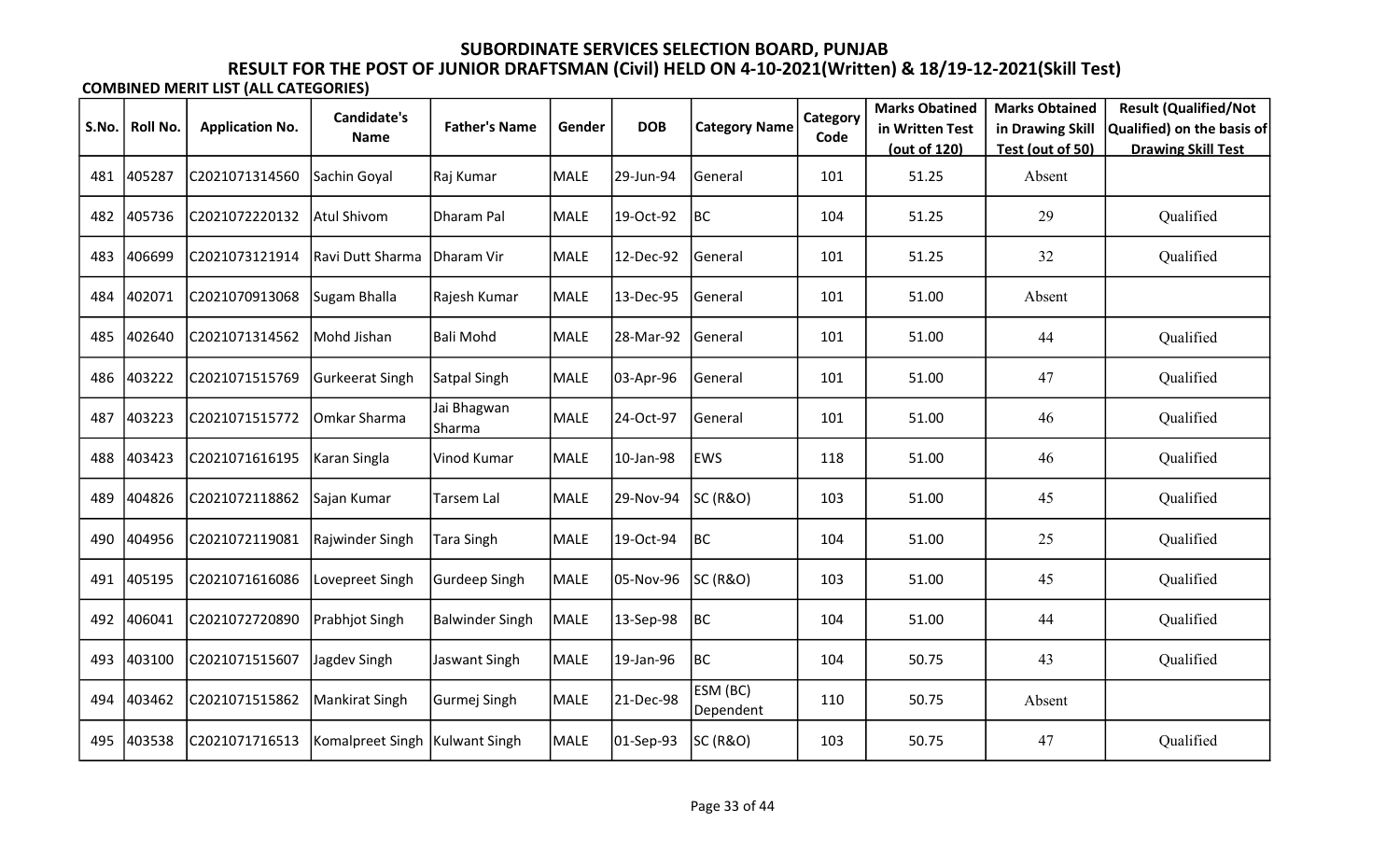| S.No. | <b>Roll No.</b> | <b>Application No.</b> | Candidate's                      | <b>Father's Name</b>  | Gender      | <b>DOB</b>    | <b>Category Name</b>  | Category | <b>Marks Obatined</b><br>in Written Test | <b>Marks Obtained</b><br>in Drawing Skill | <b>Result (Qualified/Not</b><br>Qualified) on the basis of |
|-------|-----------------|------------------------|----------------------------------|-----------------------|-------------|---------------|-----------------------|----------|------------------------------------------|-------------------------------------------|------------------------------------------------------------|
|       |                 |                        | Name                             |                       |             |               |                       | Code     | (out of 120)                             | Test (out of 50)                          | <b>Drawing Skill Test</b>                                  |
| 481   | 405287          | C2021071314560         | Sachin Goyal                     | Raj Kumar             | <b>MALE</b> | 29-Jun-94     | General               | 101      | 51.25                                    | Absent                                    |                                                            |
| 482   | 405736          | C2021072220132         | <b>Atul Shivom</b>               | Dharam Pal            | <b>MALE</b> | 19-Oct-92     | BC                    | 104      | 51.25                                    | 29                                        | Qualified                                                  |
| 483   | 406699          | C2021073121914         | Ravi Dutt Sharma                 | Dharam Vir            | <b>MALE</b> | 12-Dec-92     | General               | 101      | 51.25                                    | 32                                        | Qualified                                                  |
| 484   | 402071          | C2021070913068         | Sugam Bhalla                     | Rajesh Kumar          | <b>MALE</b> | 13-Dec-95     | General               | 101      | 51.00                                    | Absent                                    |                                                            |
| 485   | 402640          | C2021071314562         | Mohd Jishan                      | Bali Mohd             | <b>MALE</b> | 28-Mar-92     | General               | 101      | 51.00                                    | 44                                        | Qualified                                                  |
| 486   | 403222          | C2021071515769         | Gurkeerat Singh                  | Satpal Singh          | <b>MALE</b> | 03-Apr-96     | General               | 101      | 51.00                                    | 47                                        | Qualified                                                  |
| 487   | 403223          | C2021071515772         | Omkar Sharma                     | Jai Bhagwan<br>Sharma | <b>MALE</b> | 24-Oct-97     | General               | 101      | 51.00                                    | 46                                        | Qualified                                                  |
| 488   | 403423          | C2021071616195         | Karan Singla                     | Vinod Kumar           | MALE        | 10-Jan-98     | EWS                   | 118      | 51.00                                    | 46                                        | Qualified                                                  |
| 489   | 404826          | C2021072118862         | Sajan Kumar                      | <b>Tarsem Lal</b>     | <b>MALE</b> | 29-Nov-94     | SC (R&O)              | 103      | 51.00                                    | 45                                        | Qualified                                                  |
| 490   | 404956          | C2021072119081         | Rajwinder Singh                  | <b>Tara Singh</b>     | <b>MALE</b> | 19-Oct-94     | BC                    | 104      | 51.00                                    | 25                                        | Qualified                                                  |
| 491   | 405195          | C2021071616086         | ovepreet Singh                   | Gurdeep Singh         | <b>MALE</b> | 05-Nov-96     | SC (R&O)              | 103      | 51.00                                    | 45                                        | Qualified                                                  |
| 492   | 406041          | C2021072720890         | Prabhjot Singh                   | Balwinder Singh       | MALE        | 13-Sep-98     | BC                    | 104      | 51.00                                    | 44                                        | Qualified                                                  |
| 493   | 403100          | C2021071515607         | Jagdev Singh                     | Jaswant Singh         | <b>MALE</b> | 19-Jan-96     | BC                    | 104      | 50.75                                    | 43                                        | Qualified                                                  |
| 494   | 403462          | C2021071515862         | Mankirat Singh                   | Gurmej Singh          | MALE        | 21-Dec-98     | ESM (BC)<br>Dependent | 110      | 50.75                                    | Absent                                    |                                                            |
| 495   | 403538          | C2021071716513         | Komalpreet Singh   Kulwant Singh |                       | <b>MALE</b> | $ 01-Sep-93 $ | SC (R&O)              | 103      | 50.75                                    | 47                                        | Qualified                                                  |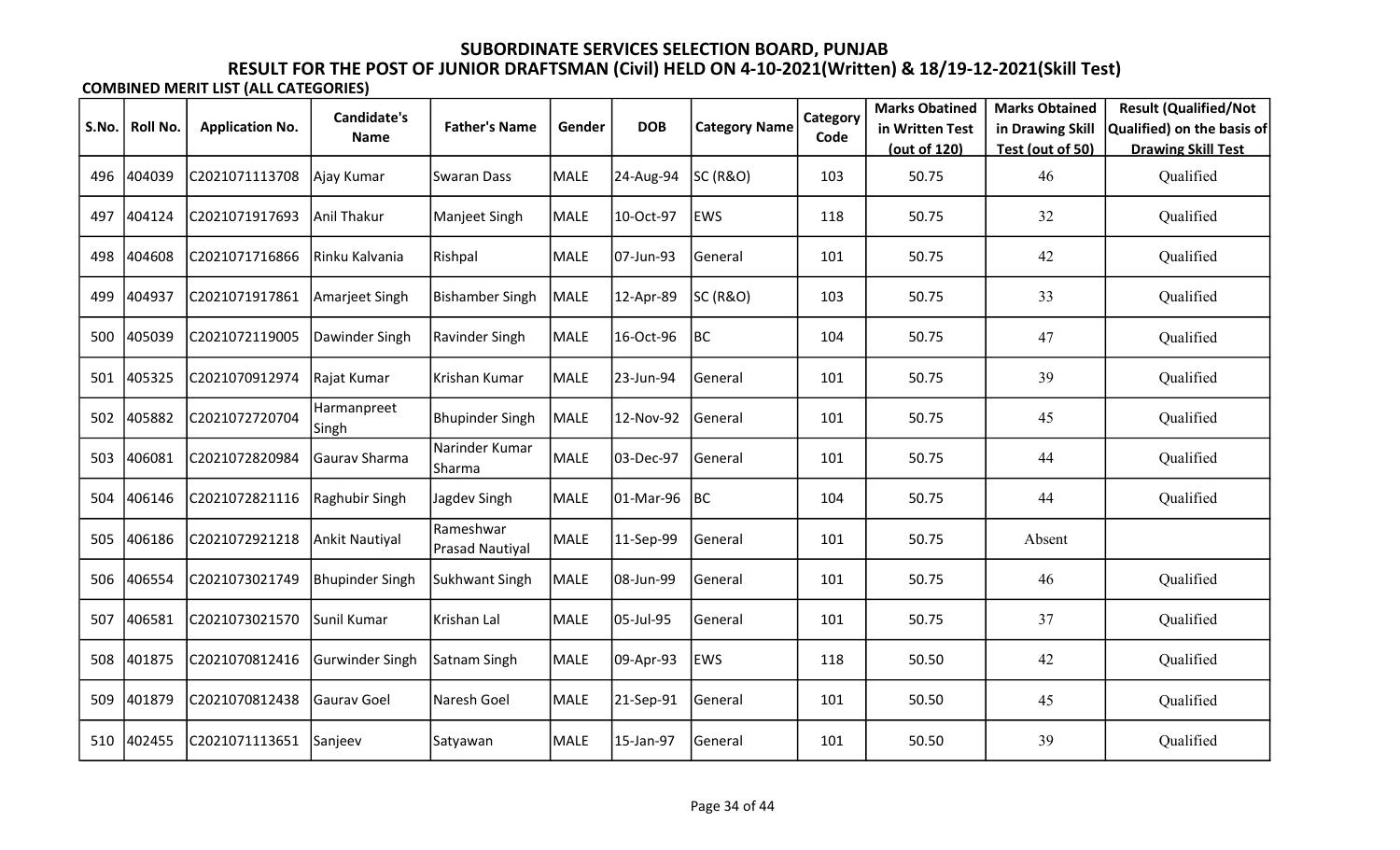|       |          |                        | <b>Candidate's</b>     |                                     |             |            |                      | Category | <b>Marks Obatined</b> | <b>Marks Obtained</b> | <b>Result (Qualified/Not</b> |
|-------|----------|------------------------|------------------------|-------------------------------------|-------------|------------|----------------------|----------|-----------------------|-----------------------|------------------------------|
| S.No. | Roll No. | <b>Application No.</b> | <b>Name</b>            | <b>Father's Name</b>                | Gender      | <b>DOB</b> | <b>Category Name</b> | Code     | in Written Test       | in Drawing Skill      | Qualified) on the basis of   |
|       |          |                        |                        |                                     |             |            |                      |          | (out of 120)          | Test (out of 50)      | <b>Drawing Skill Test</b>    |
| 496   | 404039   | C2021071113708         | Ajay Kumar             | <b>Swaran Dass</b>                  | MALE        | 24-Aug-94  | SC (R&O)             | 103      | 50.75                 | 46                    | Qualified                    |
| 497   | 404124   | C2021071917693         | Anil Thakur            | Manjeet Singh                       | <b>MALE</b> | 10-Oct-97  | <b>EWS</b>           | 118      | 50.75                 | 32                    | Qualified                    |
| 498   | 404608   | C2021071716866         | Rinku Kalvania         | Rishpal                             | MALE        | 07-Jun-93  | General              | 101      | 50.75                 | 42                    | Qualified                    |
| 499   | 404937   | C2021071917861         | Amarjeet Singh         | <b>Bishamber Singh</b>              | <b>MALE</b> | 12-Apr-89  | SC (R&O)             | 103      | 50.75                 | 33                    | Qualified                    |
| 500   | 405039   | C2021072119005         | Dawinder Singh         | Ravinder Singh                      | MALE        | 16-Oct-96  | BC                   | 104      | 50.75                 | 47                    | Qualified                    |
| 501   | 405325   | C2021070912974         | Rajat Kumar            | Krishan Kumar                       | <b>MALE</b> | 23-Jun-94  | General              | 101      | 50.75                 | 39                    | Qualified                    |
| 502   | 405882   | C2021072720704         | Harmanpreet<br>Singh   | <b>Bhupinder Singh</b>              | MALE        | 12-Nov-92  | <b>General</b>       | 101      | 50.75                 | 45                    | Qualified                    |
| 503   | 406081   | C2021072820984         | Gaurav Sharma          | Narinder Kumar<br> Sharma           | MALE        | 03-Dec-97  | General              | 101      | 50.75                 | 44                    | Qualified                    |
| 504   | 406146   | C2021072821116         | Raghubir Singh         | Jagdev Singh                        | MALE        | 01-Mar-96  | BC                   | 104      | 50.75                 | 44                    | Qualified                    |
| 505   | 406186   | C2021072921218         | Ankit Nautiyal         | Rameshwar<br><b>Prasad Nautiyal</b> | <b>MALE</b> | 11-Sep-99  | General              | 101      | 50.75                 | Absent                |                              |
| 506   | 406554   | C2021073021749         | Bhupinder Singh        | Sukhwant Singh                      | MALE        | 08-Jun-99  | General              | 101      | 50.75                 | 46                    | Qualified                    |
| 507   | 406581   | C2021073021570         | Sunil Kumar            | Krishan Lal                         | MALE        | 05-Jul-95  | General              | 101      | 50.75                 | 37                    | Qualified                    |
| 508   | 401875   | C2021070812416         | <b>Gurwinder Singh</b> | Satnam Singh                        | <b>MALE</b> | 09-Apr-93  | EWS                  | 118      | 50.50                 | 42                    | Qualified                    |
| 509   | 401879   | C2021070812438         | Gaurav Goel            | Naresh Goel                         | MALE        | 21-Sep-91  | General              | 101      | 50.50                 | 45                    | Qualified                    |
| 510   | 402455   | C2021071113651         | Sanjeev                | Satyawan                            | MALE        | 15-Jan-97  | General              | 101      | 50.50                 | 39                    | Qualified                    |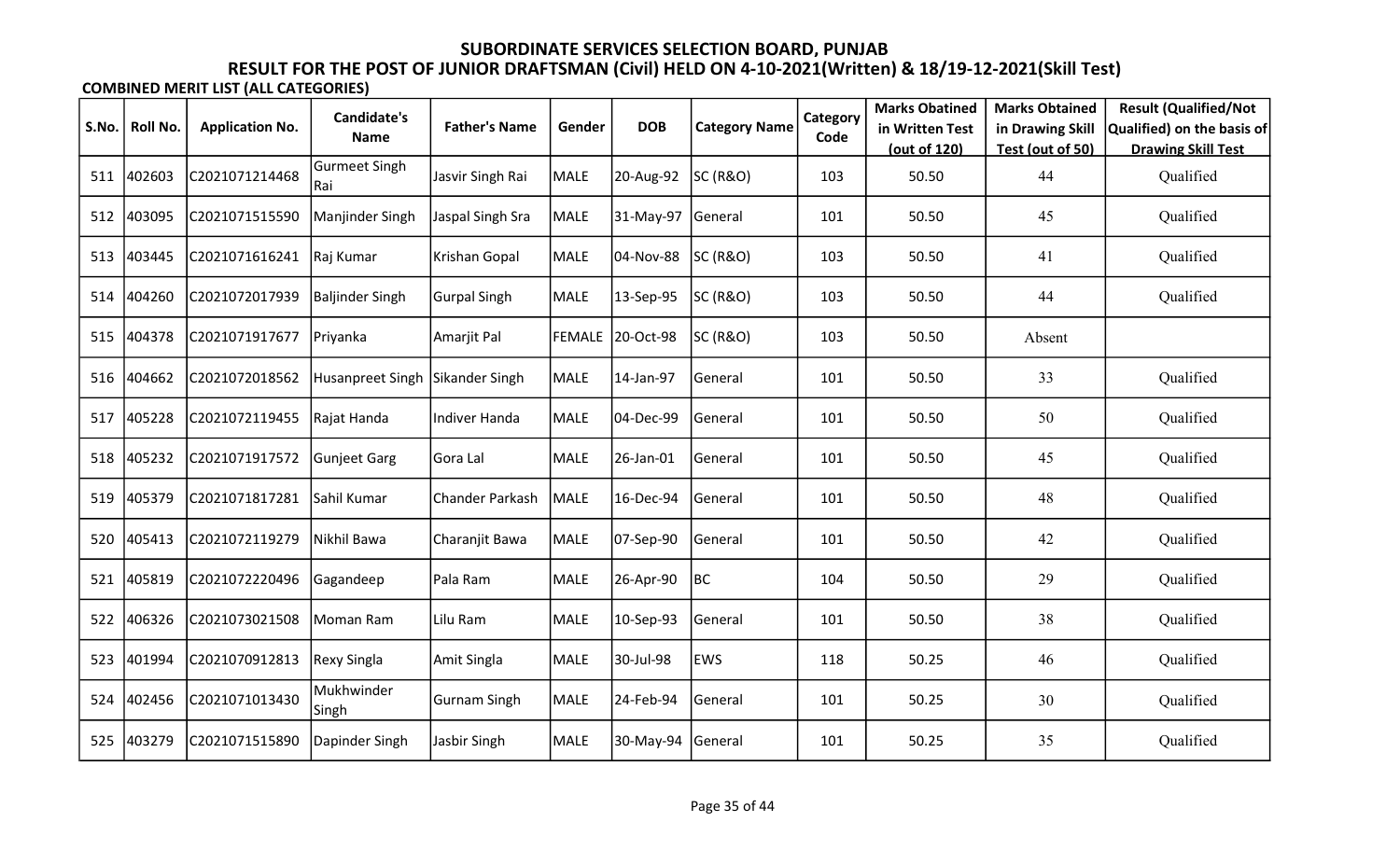|       |                 |                        | Candidate's                  |                      |             |                   |                      | Category | <b>Marks Obatined</b> | <b>Marks Obtained</b> | <b>Result (Qualified/Not</b> |
|-------|-----------------|------------------------|------------------------------|----------------------|-------------|-------------------|----------------------|----------|-----------------------|-----------------------|------------------------------|
| S.No. | <b>Roll No.</b> | <b>Application No.</b> | Name                         | <b>Father's Name</b> | Gender      | <b>DOB</b>        | <b>Category Name</b> | Code     | in Written Test       | in Drawing Skill      | Qualified) on the basis of   |
|       |                 |                        |                              |                      |             |                   |                      |          | (out of 120)          | Test (out of 50)      | <b>Drawing Skill Test</b>    |
| 511   | 402603          | C2021071214468         | <b>Gurmeet Singh</b><br> Rai | Jasvir Singh Rai     | <b>MALE</b> | 20-Aug-92         | <b>SC (R&amp;O)</b>  | 103      | 50.50                 | 44                    | Qualified                    |
| 512   | 403095          | C2021071515590         | Manjinder Singh              | Jaspal Singh Sra     | <b>MALE</b> | 31-May-97         | General              | 101      | 50.50                 | 45                    | Qualified                    |
| 513   | 403445          | C2021071616241         | Raj Kumar                    | Krishan Gopal        | <b>MALE</b> | 04-Nov-88         | <b>SC (R&amp;O)</b>  | 103      | 50.50                 | 41                    | Qualified                    |
| 514   | 404260          | C2021072017939         | Baljinder Singh              | <b>Gurpal Singh</b>  | <b>MALE</b> | 13-Sep-95         | SC (R&O)             | 103      | 50.50                 | 44                    | Qualified                    |
| 515   | 404378          | C2021071917677         | Priyanka                     | Amarjit Pal          |             | FEMALE 20-Oct-98  | SC (R&O)             | 103      | 50.50                 | Absent                |                              |
| 516   | 404662          | C2021072018562         | Husanpreet Singh             | Sikander Singh       | <b>MALE</b> | 14-Jan-97         | General              | 101      | 50.50                 | 33                    | Qualified                    |
| 517   | 405228          | C2021072119455         | Rajat Handa                  | Indiver Handa        | <b>MALE</b> | 04-Dec-99         | General              | 101      | 50.50                 | 50                    | Qualified                    |
| 518   | 405232          | C2021071917572         | <b>Gunjeet Garg</b>          | Gora Lal             | <b>MALE</b> | 26-Jan-01         | General              | 101      | 50.50                 | 45                    | Qualified                    |
| 519   | 405379          | C2021071817281         | Sahil Kumar                  | Chander Parkash      | MALE        | 16-Dec-94         | General              | 101      | 50.50                 | 48                    | Qualified                    |
| 520   | 405413          | C2021072119279         | Nikhil Bawa                  | Charanjit Bawa       | <b>MALE</b> | 07-Sep-90         | General              | 101      | 50.50                 | 42                    | Qualified                    |
| 521   | 405819          | C2021072220496         | Gagandeep                    | Pala Ram             | <b>MALE</b> | 26-Apr-90         | BC                   | 104      | 50.50                 | 29                    | Qualified                    |
| 522   | 406326          | C2021073021508         | Moman Ram                    | Lilu Ram             | <b>MALE</b> | 10-Sep-93         | General              | 101      | 50.50                 | 38                    | Qualified                    |
| 523   | 401994          | C2021070912813         | Rexy Singla                  | Amit Singla          | <b>MALE</b> | 30-Jul-98         | <b>EWS</b>           | 118      | 50.25                 | 46                    | Qualified                    |
| 524   | 402456          | C2021071013430         | Mukhwinder<br>Singh          | Gurnam Singh         | <b>MALE</b> | 24-Feb-94         | General              | 101      | 50.25                 | 30                    | Qualified                    |
| 525   | 403279          | C2021071515890         | Dapinder Singh               | Jasbir Singh         | MALE        | 30-May-94 General |                      | 101      | 50.25                 | 35                    | Qualified                    |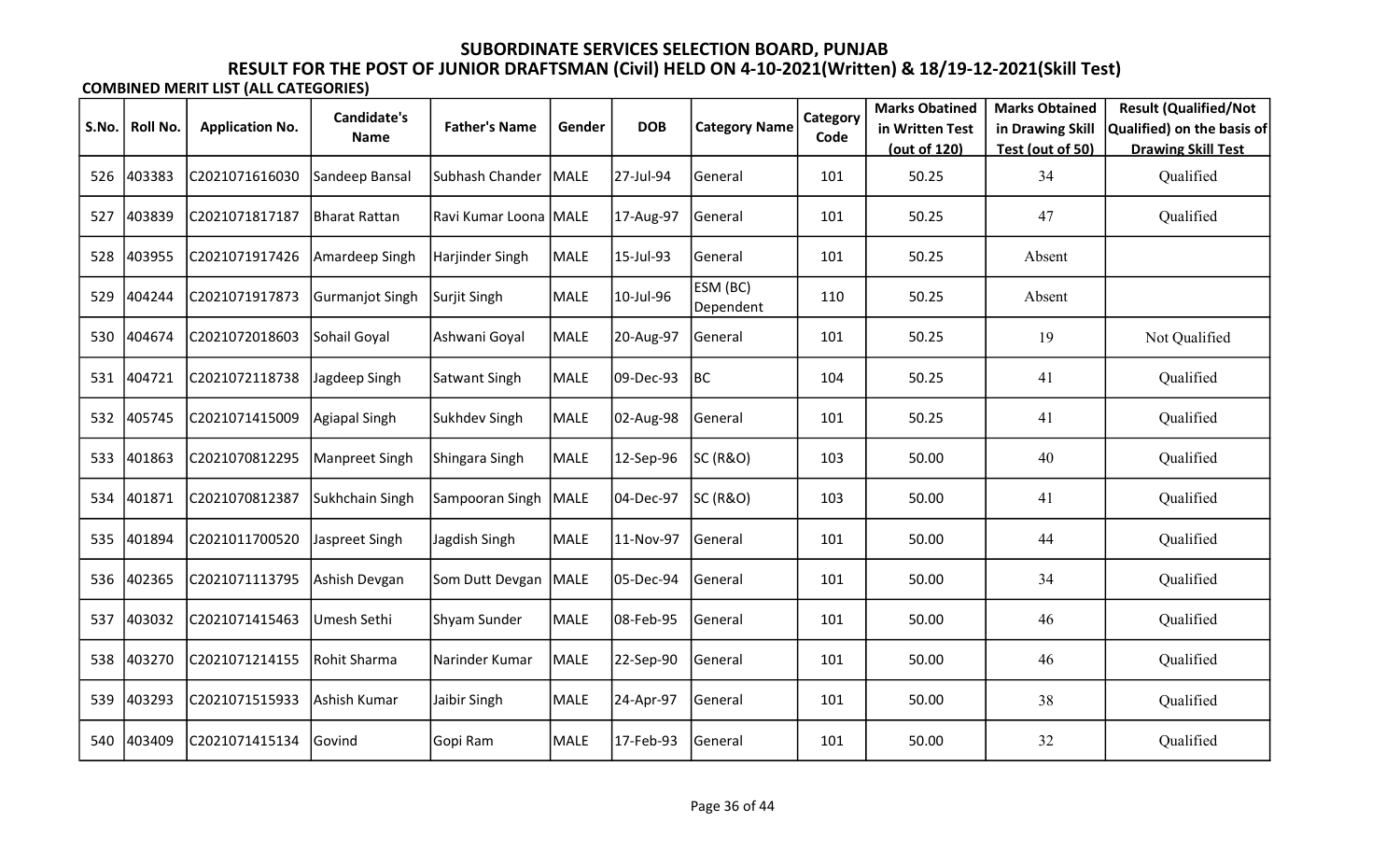|       |          |                        | <b>Candidate's</b> |                       |             |            |                       | Category | <b>Marks Obatined</b> | <b>Marks Obtained</b> | <b>Result (Qualified/Not</b> |
|-------|----------|------------------------|--------------------|-----------------------|-------------|------------|-----------------------|----------|-----------------------|-----------------------|------------------------------|
| S.No. | Roll No. | <b>Application No.</b> | <b>Name</b>        | <b>Father's Name</b>  | Gender      | <b>DOB</b> | <b>Category Name</b>  | Code     | in Written Test       | in Drawing Skill      | Qualified) on the basis of   |
|       |          |                        |                    |                       |             |            |                       |          | (out of 120)          | Test (out of 50)      | <b>Drawing Skill Test</b>    |
| 526   | 403383   | C2021071616030         | Sandeep Bansal     | Subhash Chander       | MALE        | 27-Jul-94  | General               | 101      | 50.25                 | 34                    | Qualified                    |
| 527   | 403839   | C2021071817187         | Bharat Rattan      | Ravi Kumar Loona MALE |             | 17-Aug-97  | General               | 101      | 50.25                 | 47                    | Qualified                    |
| 528   | 403955   | C2021071917426         | Amardeep Singh     | Harjinder Singh       | <b>MALE</b> | 15-Jul-93  | General               | 101      | 50.25                 | Absent                |                              |
| 529   | 404244   | C2021071917873         | Gurmanjot Singh    | Surjit Singh          | <b>MALE</b> | 10-Jul-96  | ESM (BC)<br>Dependent | 110      | 50.25                 | Absent                |                              |
| 530   | 404674   | C2021072018603         | Sohail Goyal       | Ashwani Goyal         | <b>MALE</b> | 20-Aug-97  | General               | 101      | 50.25                 | 19                    | Not Qualified                |
| 531   | 404721   | C2021072118738         | Jagdeep Singh      | Satwant Singh         | <b>MALE</b> | 09-Dec-93  | <b>BC</b>             | 104      | 50.25                 | 41                    | Qualified                    |
| 532   | 405745   | C2021071415009         | Agiapal Singh      | Sukhdev Singh         | <b>MALE</b> | 02-Aug-98  | General               | 101      | 50.25                 | 41                    | Qualified                    |
| 533   | 401863   | C2021070812295         | Manpreet Singh     | Shingara Singh        | <b>MALE</b> | 12-Sep-96  | <b>SC (R&amp;O)</b>   | 103      | 50.00                 | 40                    | Qualified                    |
| 534   | 401871   | C2021070812387         | Sukhchain Singh    | Sampooran Singh       | MALE        | 04-Dec-97  | <b>SC (R&amp;O)</b>   | 103      | 50.00                 | 41                    | Qualified                    |
| 535   | 401894   | C2021011700520         | Jaspreet Singh     | Jagdish Singh         | <b>MALE</b> | 11-Nov-97  | General               | 101      | 50.00                 | 44                    | Qualified                    |
| 536   | 402365   | C2021071113795         | Ashish Devgan      | Som Dutt Devgan       | MALE        | 05-Dec-94  | General               | 101      | 50.00                 | 34                    | Qualified                    |
| 537   | 403032   | C2021071415463         | Umesh Sethi        | Shyam Sunder          | <b>MALE</b> | 08-Feb-95  | General               | 101      | 50.00                 | 46                    | Qualified                    |
| 538   | 403270   | C2021071214155         | Rohit Sharma       | Narinder Kumar        | <b>MALE</b> | 22-Sep-90  | General               | 101      | 50.00                 | 46                    | Qualified                    |
| 539   | 403293   | C2021071515933         | Ashish Kumar       | Jaibir Singh          | <b>MALE</b> | 24-Apr-97  | General               | 101      | 50.00                 | 38                    | Qualified                    |
| 540   | 403409   | C2021071415134         | Govind             | Gopi Ram              | <b>MALE</b> | 17-Feb-93  | General               | 101      | 50.00                 | 32                    | Qualified                    |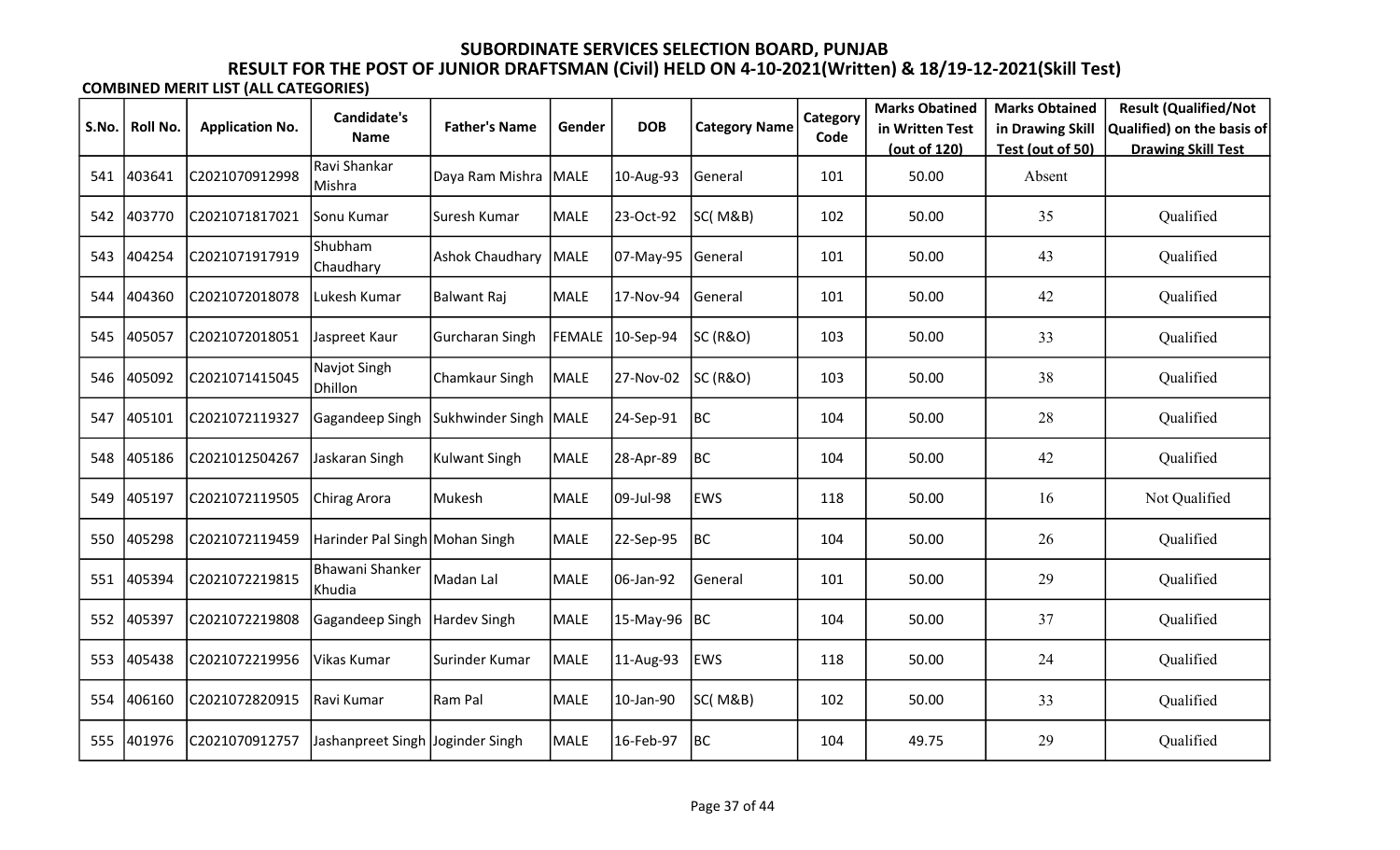| S.No. | Roll No. | <b>Application No.</b> | <b>Candidate's</b>               | <b>Father's Name</b>    | Gender | <b>DOB</b>       | <b>Category Name</b> | Category | <b>Marks Obatined</b><br>in Written Test | <b>Marks Obtained</b><br>in Drawing Skill | <b>Result (Qualified/Not</b><br>Qualified) on the basis of |
|-------|----------|------------------------|----------------------------------|-------------------------|--------|------------------|----------------------|----------|------------------------------------------|-------------------------------------------|------------------------------------------------------------|
|       |          |                        | <b>Name</b>                      |                         |        |                  |                      | Code     | (out of 120)                             | Test (out of 50)                          | <b>Drawing Skill Test</b>                                  |
| 541   | 403641   | C2021070912998         | Ravi Shankar<br>Mishra           | Daya Ram Mishra MALE    |        | 10-Aug-93        | General              | 101      | 50.00                                    | Absent                                    |                                                            |
| 542   | 403770   | C2021071817021         | Sonu Kumar                       | Suresh Kumar            | MALE   | 23-Oct-92        | SC(M&B)              | 102      | 50.00                                    | 35                                        | Qualified                                                  |
| 543   | 404254   | C2021071917919         | Shubham<br>Chaudhary             | Ashok Chaudhary MALE    |        | 07-May-95        | General              | 101      | 50.00                                    | 43                                        | Qualified                                                  |
| 544   | 404360   | C2021072018078         | Lukesh Kumar                     | Balwant Raj             | MALE   | 17-Nov-94        | General              | 101      | 50.00                                    | 42                                        | Qualified                                                  |
| 545   | 405057   | C2021072018051         | Jaspreet Kaur                    | <b>Gurcharan Singh</b>  |        | FEMALE 10-Sep-94 | SC (R&O)             | 103      | 50.00                                    | 33                                        | Qualified                                                  |
| 546   | 405092   | C2021071415045         | Navjot Singh<br>Dhillon          | <b>Chamkaur Singh</b>   | MALE   | 27-Nov-02        | <b>SC (R&amp;O)</b>  | 103      | 50.00                                    | 38                                        | Qualified                                                  |
| 547   | 405101   | C2021072119327         | Gagandeep Singh                  | Sukhwinder Singh   MALE |        | 24-Sep-91        | BC                   | 104      | 50.00                                    | 28                                        | Qualified                                                  |
| 548   | 405186   | C2021012504267         | Jaskaran Singh                   | <b>Kulwant Singh</b>    | MALE   | 28-Apr-89        | BC                   | 104      | 50.00                                    | 42                                        | Qualified                                                  |
| 549   | 405197   | C2021072119505         | Chirag Arora                     | Mukesh                  | MALE   | 09-Jul-98        | <b>EWS</b>           | 118      | 50.00                                    | 16                                        | Not Qualified                                              |
| 550   | 405298   | C2021072119459         | Harinder Pal Singh Mohan Singh   |                         | MALE   | 22-Sep-95        | BC                   | 104      | 50.00                                    | 26                                        | Qualified                                                  |
| 551   | 405394   | C2021072219815         | Bhawani Shanker<br>Khudia        | Madan Lal               | MALE   | 06-Jan-92        | General              | 101      | 50.00                                    | 29                                        | Qualified                                                  |
| 552   | 405397   | C2021072219808         | Gagandeep Singh                  | Hardev Singh            | MALE   | 15-May-96        | BC                   | 104      | 50.00                                    | 37                                        | Qualified                                                  |
| 553   | 405438   | C2021072219956         | Vikas Kumar                      | Surinder Kumar          | MALE   | 11-Aug-93        | EWS                  | 118      | 50.00                                    | 24                                        | Qualified                                                  |
| 554   | 406160   | C2021072820915         | Ravi Kumar                       | Ram Pal                 | MALE   | 10-Jan-90        | SC(M&B)              | 102      | 50.00                                    | 33                                        | Qualified                                                  |
| 555   | 401976   | C2021070912757         | Jashanpreet Singh Joginder Singh |                         | MALE   | 16-Feb-97        | BC                   | 104      | 49.75                                    | 29                                        | Qualified                                                  |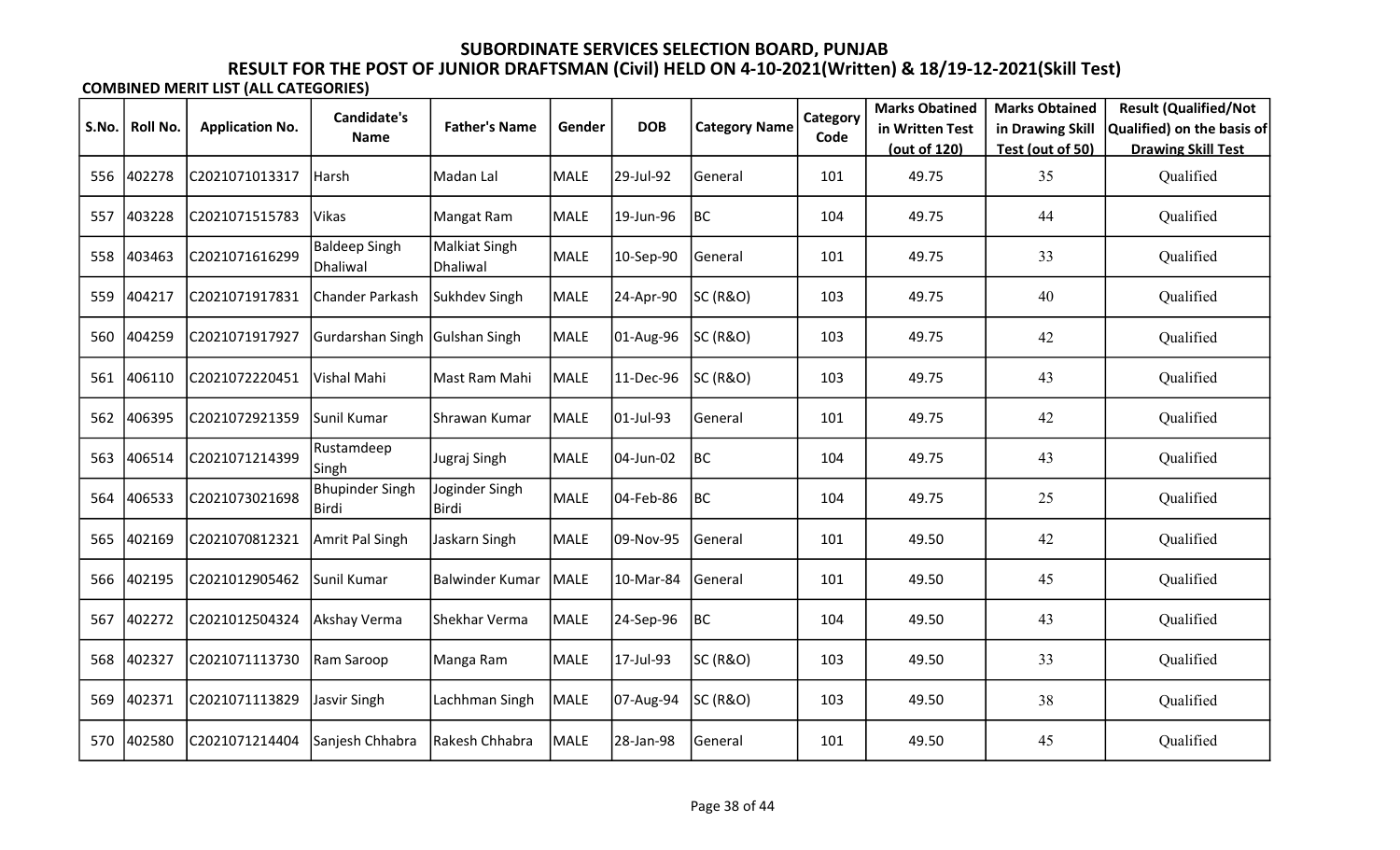|       |          |                        | <b>Candidate's</b>               |                           |             |            |                      | Category | <b>Marks Obatined</b> | <b>Marks Obtained</b> | <b>Result (Qualified/Not</b> |
|-------|----------|------------------------|----------------------------------|---------------------------|-------------|------------|----------------------|----------|-----------------------|-----------------------|------------------------------|
| S.No. | Roll No. | <b>Application No.</b> | <b>Name</b>                      | <b>Father's Name</b>      | Gender      | <b>DOB</b> | <b>Category Name</b> | Code     | in Written Test       | in Drawing Skill      | Qualified) on the basis of   |
|       |          |                        |                                  |                           |             |            |                      |          | (out of 120)          | Test (out of 50)      | <b>Drawing Skill Test</b>    |
| 556   | 402278   | C2021071013317         | Harsh                            | Madan Lal                 | MALE        | 29-Jul-92  | General              | 101      | 49.75                 | 35                    | Qualified                    |
| 557   | 403228   | C2021071515783         | Vikas                            | Mangat Ram                | <b>MALE</b> | 19-Jun-96  | BC                   | 104      | 49.75                 | 44                    | Qualified                    |
| 558   | 403463   | C2021071616299         | <b>Baldeep Singh</b><br>Dhaliwal | Malkiat Singh<br>Dhaliwal | <b>MALE</b> | 10-Sep-90  | General              | 101      | 49.75                 | 33                    | Qualified                    |
| 559   | 404217   | C2021071917831         | <b>Chander Parkash</b>           | Sukhdev Singh             | <b>MALE</b> | 24-Apr-90  | <b>SC (R&amp;O)</b>  | 103      | 49.75                 | 40                    | Qualified                    |
| 560   | 404259   | C2021071917927         | Gurdarshan Singh                 | Gulshan Singh             | MALE        | 01-Aug-96  | SC (R&O)             | 103      | 49.75                 | 42                    | Qualified                    |
| 561   | 406110   | C2021072220451         | Vishal Mahi                      | Mast Ram Mahi             | MALE        | 11-Dec-96  | SC (R&O)             | 103      | 49.75                 | 43                    | Qualified                    |
| 562   | 406395   | C2021072921359         | Sunil Kumar                      | Shrawan Kumar             | MALE        | 01-Jul-93  | General              | 101      | 49.75                 | 42                    | Qualified                    |
| 563   | 406514   | C2021071214399         | Rustamdeep<br>Singh              | Jugraj Singh              | MALE        | 04-Jun-02  | BC                   | 104      | 49.75                 | 43                    | Qualified                    |
| 564   | 406533   | C2021073021698         | <b>Bhupinder Singh</b><br> Birdi | Joginder Singh<br>Birdi   | <b>MALE</b> | 04-Feb-86  | BC                   | 104      | 49.75                 | 25                    | Qualified                    |
| 565   | 402169   | C2021070812321         | Amrit Pal Singh                  | Jaskarn Singh             | MALE        | 09-Nov-95  | General              | 101      | 49.50                 | 42                    | Qualified                    |
| 566   | 402195   | C2021012905462         | Sunil Kumar                      | <b>Balwinder Kumar</b>    | MALE        | 10-Mar-84  | General              | 101      | 49.50                 | 45                    | Qualified                    |
| 567   | 402272   | C2021012504324         | Akshay Verma                     | Shekhar Verma             | MALE        | 24-Sep-96  | BC                   | 104      | 49.50                 | 43                    | Qualified                    |
| 568   | 402327   | C2021071113730         | Ram Saroop                       | Manga Ram                 | MALE        | 17-Jul-93  | SC (R&O)             | 103      | 49.50                 | 33                    | Qualified                    |
| 569   | 402371   | C2021071113829         | Jasvir Singh                     | Lachhman Singh            | MALE        | 07-Aug-94  | SC (R&O)             | 103      | 49.50                 | 38                    | Qualified                    |
| 570   | 402580   | C2021071214404         | Sanjesh Chhabra                  | Rakesh Chhabra            | MALE        | 28-Jan-98  | General              | 101      | 49.50                 | 45                    | Qualified                    |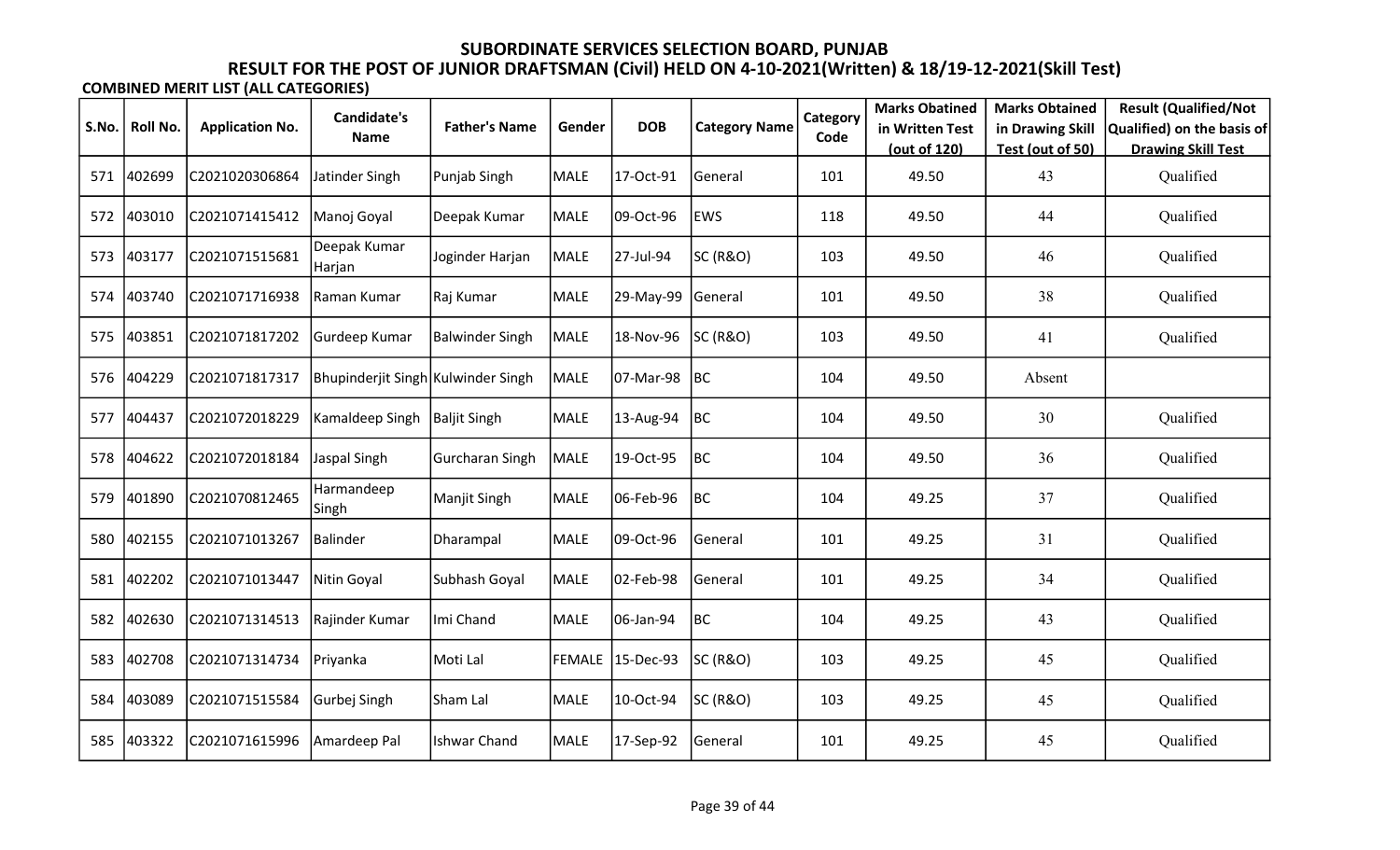| S.No. | <b>Roll No.</b> | <b>Application No.</b> | <b>Candidate's</b>                 | <b>Father's Name</b>   | Gender        | <b>DOB</b> | <b>Category Name</b> | Category | <b>Marks Obatined</b><br>in Written Test | <b>Marks Obtained</b>                | <b>Result (Qualified/Not</b><br>Qualified) on the basis of |
|-------|-----------------|------------------------|------------------------------------|------------------------|---------------|------------|----------------------|----------|------------------------------------------|--------------------------------------|------------------------------------------------------------|
|       |                 |                        | <b>Name</b>                        |                        |               |            |                      | Code     | (out of 120)                             | in Drawing Skill<br>Test (out of 50) | <b>Drawing Skill Test</b>                                  |
| 571   | 402699          | C2021020306864         | Jatinder Singh                     | Punjab Singh           | MALE          | 17-Oct-91  | General              | 101      | 49.50                                    | 43                                   | Qualified                                                  |
| 572   | 403010          | C2021071415412         | Manoj Goyal                        | Deepak Kumar           | <b>MALE</b>   | 09-Oct-96  | <b>EWS</b>           | 118      | 49.50                                    | 44                                   | Qualified                                                  |
| 573   | 403177          | C2021071515681         | Deepak Kumar<br> Harjan            | Joginder Harjan        | MALE          | 27-Jul-94  | SC (R&O)             | 103      | 49.50                                    | 46                                   | Qualified                                                  |
| 574   | 403740          | C2021071716938         | Raman Kumar                        | Raj Kumar              | MALE          | 29-May-99  | General              | 101      | 49.50                                    | 38                                   | Qualified                                                  |
| 575   | 403851          | C2021071817202         | Gurdeep Kumar                      | <b>Balwinder Singh</b> | MALE          | 18-Nov-96  | <b>SC (R&amp;O)</b>  | 103      | 49.50                                    | 41                                   | Qualified                                                  |
| 576   | 404229          | C2021071817317         | Bhupinderjit Singh Kulwinder Singh |                        | MALE          | 07-Mar-98  | BC                   | 104      | 49.50                                    | Absent                               |                                                            |
| 577   | 404437          | C2021072018229         | Kamaldeep Singh                    | Baljit Singh           | MALE          | 13-Aug-94  | BC                   | 104      | 49.50                                    | 30                                   | Qualified                                                  |
| 578   | 404622          | C2021072018184         | Jaspal Singh                       | <b>Gurcharan Singh</b> | MALE          | 19-Oct-95  | BC                   | 104      | 49.50                                    | 36                                   | Qualified                                                  |
| 579   | 401890          | C2021070812465         | Harmandeep<br> Singh               | Manjit Singh           | <b>MALE</b>   | 06-Feb-96  | BC                   | 104      | 49.25                                    | 37                                   | Qualified                                                  |
| 580   | 402155          | C2021071013267         | Balinder                           | Dharampal              | MALE          | 09-Oct-96  | General              | 101      | 49.25                                    | 31                                   | Qualified                                                  |
| 581   | 402202          | C2021071013447         | Nitin Goyal                        | Subhash Goyal          | <b>MALE</b>   | 02-Feb-98  | General              | 101      | 49.25                                    | 34                                   | Qualified                                                  |
| 582   | 402630          | C2021071314513         | Rajinder Kumar                     | Imi Chand              | <b>MALE</b>   | 06-Jan-94  | BC                   | 104      | 49.25                                    | 43                                   | Qualified                                                  |
| 583   | 402708          | C2021071314734         | Priyanka                           | Moti Lal               | <b>FEMALE</b> | 15-Dec-93  | SC (R&O)             | 103      | 49.25                                    | 45                                   | Qualified                                                  |
| 584   | 403089          | C2021071515584         | Gurbej Singh                       | Sham Lal               | MALE          | 10-Oct-94  | SC (R&O)             | 103      | 49.25                                    | 45                                   | Qualified                                                  |
| 585   | 403322          | C2021071615996         | Amardeep Pal                       | <b>Ishwar Chand</b>    | <b>MALE</b>   | 17-Sep-92  | General              | 101      | 49.25                                    | 45                                   | Qualified                                                  |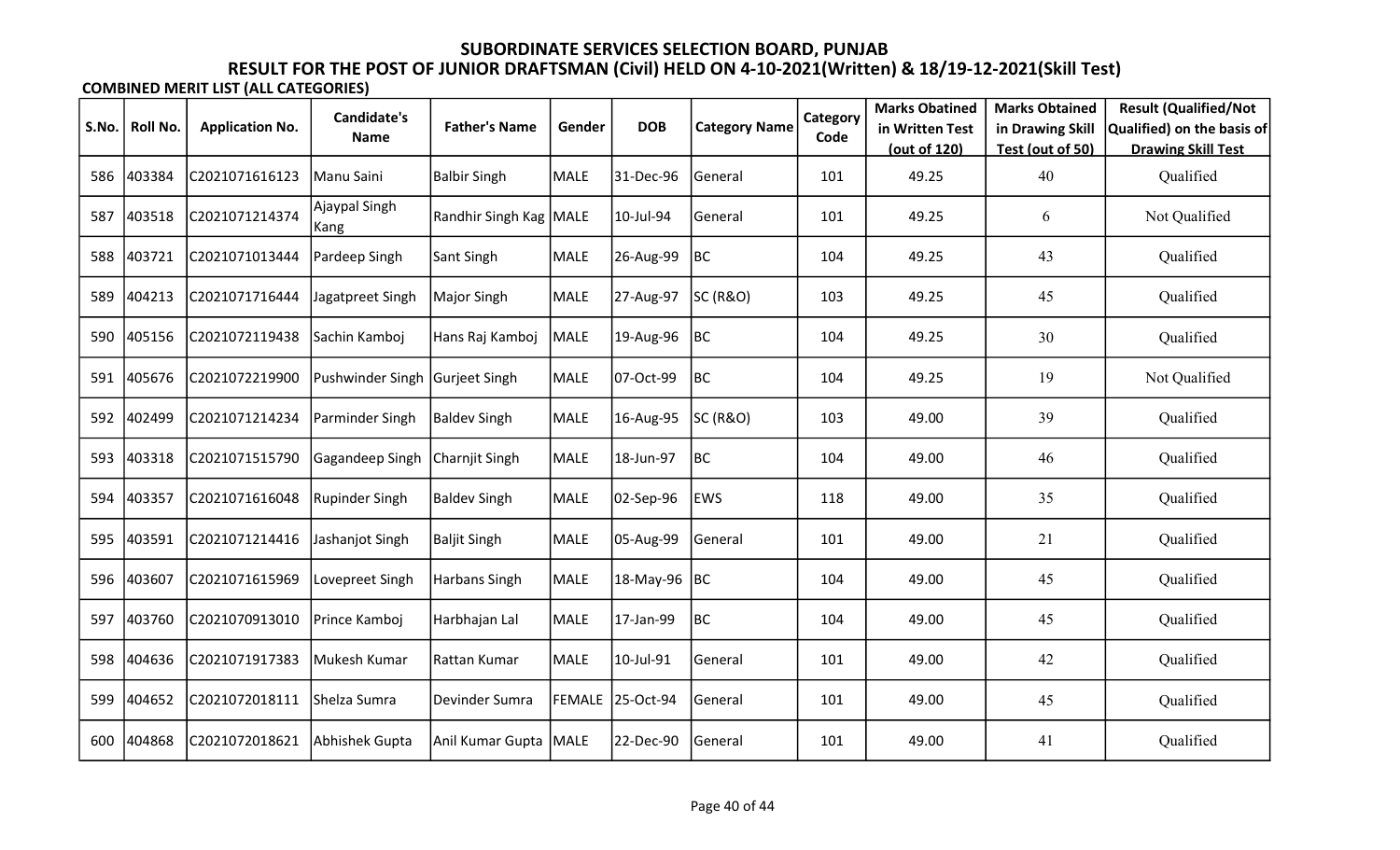|       |          |                        | <b>Candidate's</b>     |                          |             |                  |                      | Category | <b>Marks Obatined</b>           | <b>Marks Obtained</b>                | <b>Result (Qualified/Not</b>                            |
|-------|----------|------------------------|------------------------|--------------------------|-------------|------------------|----------------------|----------|---------------------------------|--------------------------------------|---------------------------------------------------------|
| S.No. | Roll No. | <b>Application No.</b> | Name                   | <b>Father's Name</b>     | Gender      | <b>DOB</b>       | <b>Category Name</b> | Code     | in Written Test<br>(out of 120) | in Drawing Skill<br>Test (out of 50) | Qualified) on the basis of<br><b>Drawing Skill Test</b> |
| 586   | 403384   | C2021071616123         | Manu Saini             | <b>Balbir Singh</b>      | MALE        | 31-Dec-96        | General              | 101      | 49.25                           | 40                                   | Qualified                                               |
| 587   | 403518   | C2021071214374         | Ajaypal Singh<br> Kang | Randhir Singh Kag   MALE |             | 10-Jul-94        | General              | 101      | 49.25                           | 6                                    | Not Qualified                                           |
| 588   | 403721   | C2021071013444         | Pardeep Singh          | Sant Singh               | MALE        | 26-Aug-99        | BC                   | 104      | 49.25                           | 43                                   | Qualified                                               |
| 589   | 404213   | C2021071716444         | Jagatpreet Singh       | Major Singh              | MALE        | 27-Aug-97        | SC (R&O)             | 103      | 49.25                           | 45                                   | Qualified                                               |
| 590   | 405156   | C2021072119438         | Sachin Kamboj          | Hans Raj Kamboj          | MALE        | 19-Aug-96        | BC                   | 104      | 49.25                           | 30                                   | Qualified                                               |
| 591   | 405676   | C2021072219900         | Pushwinder Singh       | Gurjeet Singh            | MALE        | 07-Oct-99        | BC                   | 104      | 49.25                           | 19                                   | Not Qualified                                           |
| 592   | 402499   | C2021071214234         | Parminder Singh        | <b>Baldev Singh</b>      | MALE        | 16-Aug-95        | SC (R&O)             | 103      | 49.00                           | 39                                   | Qualified                                               |
| 593   | 403318   | C2021071515790         | Gagandeep Singh        | Charnjit Singh           | MALE        | 18-Jun-97        | BC                   | 104      | 49.00                           | 46                                   | Qualified                                               |
| 594   | 403357   | C2021071616048         | Rupinder Singh         | <b>Baldev Singh</b>      | MALE        | 02-Sep-96        | <b>EWS</b>           | 118      | 49.00                           | 35                                   | Qualified                                               |
| 595   | 403591   | C2021071214416         | Jashanjot Singh        | <b>Baljit Singh</b>      | MALE        | 05-Aug-99        | General              | 101      | 49.00                           | 21                                   | Qualified                                               |
| 596   | 403607   | C2021071615969         | Lovepreet Singh        | Harbans Singh            | <b>MALE</b> | 18-May-96        | BC                   | 104      | 49.00                           | 45                                   | Qualified                                               |
| 597   | 403760   | C2021070913010         | Prince Kamboj          | Harbhajan Lal            | MALE        | 17-Jan-99        | BC                   | 104      | 49.00                           | 45                                   | Qualified                                               |
| 598   | 404636   | C2021071917383         | Mukesh Kumar           | Rattan Kumar             | <b>MALE</b> | 10-Jul-91        | General              | 101      | 49.00                           | 42                                   | Qualified                                               |
| 599   | 404652   | C2021072018111         | Shelza Sumra           | Devinder Sumra           |             | FEMALE 25-Oct-94 | General              | 101      | 49.00                           | 45                                   | Qualified                                               |
| 600   | 404868   | C2021072018621         | Abhishek Gupta         | Anil Kumar Gupta   MALE  |             | 22-Dec-90        | General              | 101      | 49.00                           | 41                                   | Qualified                                               |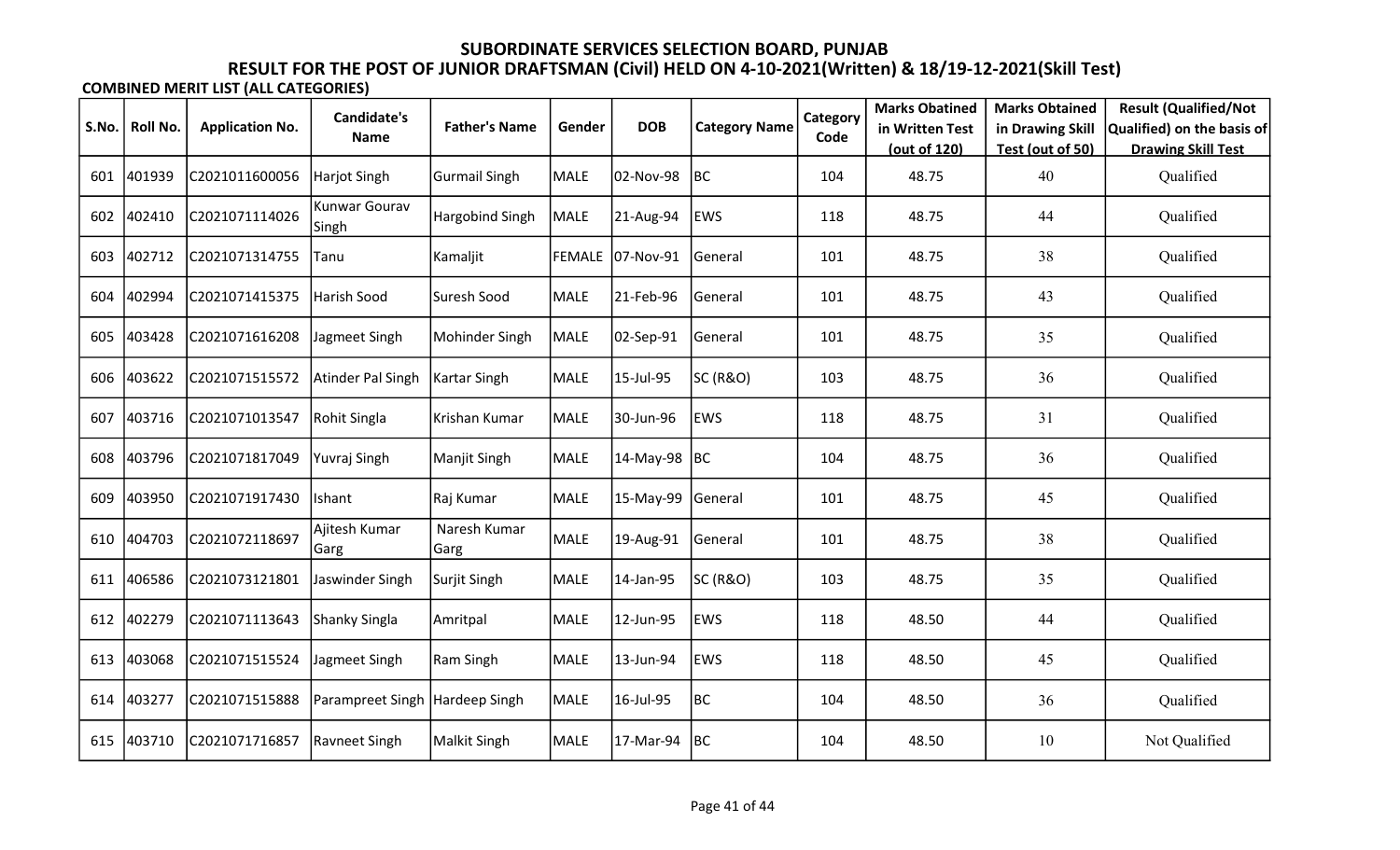|       |          |                        | <b>Candidate's</b>     |                      |        |                  |                      | Category | <b>Marks Obatined</b>           | <b>Marks Obtained</b>                | <b>Result (Qualified/Not</b>                            |
|-------|----------|------------------------|------------------------|----------------------|--------|------------------|----------------------|----------|---------------------------------|--------------------------------------|---------------------------------------------------------|
| S.No. | Roll No. | <b>Application No.</b> | Name                   | <b>Father's Name</b> | Gender | <b>DOB</b>       | <b>Category Name</b> | Code     | in Written Test<br>(out of 120) | in Drawing Skill<br>Test (out of 50) | Qualified) on the basis of<br><b>Drawing Skill Test</b> |
| 601   | 401939   | C2021011600056         | Harjot Singh           | <b>Gurmail Singh</b> | MALE   | 02-Nov-98        | BC                   | 104      | 48.75                           | 40                                   | Qualified                                               |
| 602   | 402410   | C2021071114026         | Kunwar Gourav<br>Singh | Hargobind Singh      | MALE   | 21-Aug-94        | <b>EWS</b>           | 118      | 48.75                           | 44                                   | Qualified                                               |
| 603   | 402712   | C2021071314755         | Tanu                   | Kamaljit             |        | FEMALE 07-Nov-91 | General              | 101      | 48.75                           | 38                                   | Qualified                                               |
| 604   | 402994   | C2021071415375         | Harish Sood            | Suresh Sood          | MALE   | 21-Feb-96        | General              | 101      | 48.75                           | 43                                   | Qualified                                               |
| 605   | 403428   | C2021071616208         | Jagmeet Singh          | Mohinder Singh       | MALE   | 02-Sep-91        | General              | 101      | 48.75                           | 35                                   | Qualified                                               |
| 606   | 403622   | C2021071515572         | Atinder Pal Singh      | Kartar Singh         | MALE   | 15-Jul-95        | SC (R&O)             | 103      | 48.75                           | 36                                   | Qualified                                               |
| 607   | 403716   | C2021071013547         | Rohit Singla           | Krishan Kumar        | MALE   | 30-Jun-96        | <b>EWS</b>           | 118      | 48.75                           | 31                                   | Qualified                                               |
| 608   | 403796   | C2021071817049         | Yuvraj Singh           | Manjit Singh         | MALE   | 14-May-98        | BC                   | 104      | 48.75                           | 36                                   | Qualified                                               |
| 609   | 403950   | C2021071917430         | Ishant                 | Raj Kumar            | MALE   | 15-May-99        | General              | 101      | 48.75                           | 45                                   | Qualified                                               |
| 610   | 404703   | C2021072118697         | Ajitesh Kumar<br>Garg  | Naresh Kumar<br>Garg | MALE   | 19-Aug-91        | General              | 101      | 48.75                           | 38                                   | Qualified                                               |
| 611   | 406586   | C2021073121801         | Jaswinder Singh        | Surjit Singh         | MALE   | 14-Jan-95        | SC (R&O)             | 103      | 48.75                           | 35                                   | Qualified                                               |
| 612   | 402279   | C2021071113643         | Shanky Singla          | Amritpal             | MALE   | 12-Jun-95        | <b>EWS</b>           | 118      | 48.50                           | 44                                   | Qualified                                               |
| 613   | 403068   | C2021071515524         | Jagmeet Singh          | <b>Ram Singh</b>     | MALE   | 13-Jun-94        | EWS                  | 118      | 48.50                           | 45                                   | Qualified                                               |
| 614   | 403277   | C2021071515888         | Parampreet Singh       | Hardeep Singh        | MALE   | 16-Jul-95        | BC                   | 104      | 48.50                           | 36                                   | Qualified                                               |
| 615   | 403710   | C2021071716857         | Ravneet Singh          | <b>Malkit Singh</b>  | MALE   | 17-Mar-94        | <b>BC</b>            | 104      | 48.50                           | 10                                   | Not Qualified                                           |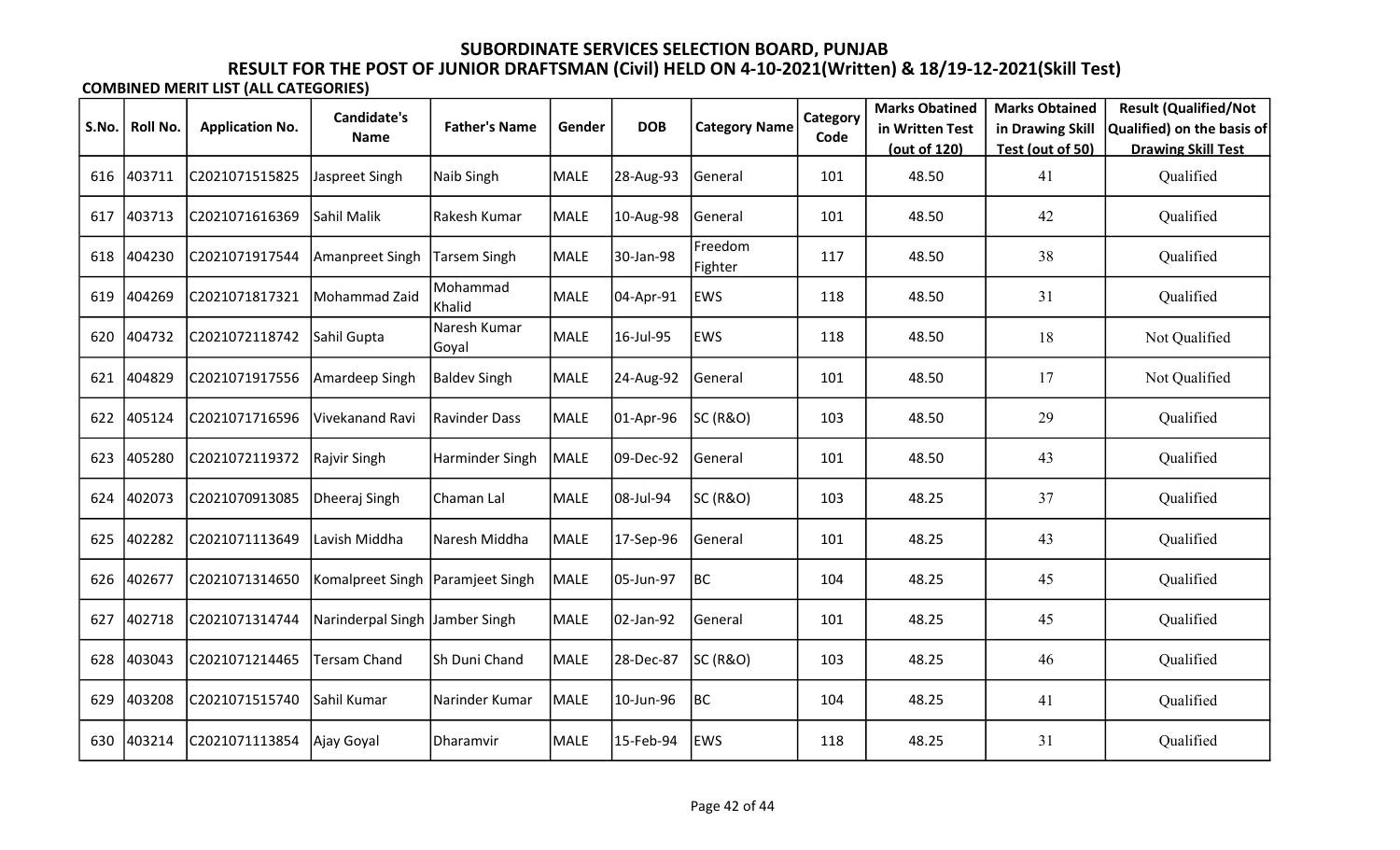|       |          |                        | <b>Candidate's</b>             |                       |             |            |                      | Category | <b>Marks Obatined</b> | <b>Marks Obtained</b> | <b>Result (Qualified/Not</b> |
|-------|----------|------------------------|--------------------------------|-----------------------|-------------|------------|----------------------|----------|-----------------------|-----------------------|------------------------------|
| S.No. | Roll No. | <b>Application No.</b> | <b>Name</b>                    | <b>Father's Name</b>  | Gender      | <b>DOB</b> | <b>Category Name</b> | Code     | in Written Test       | in Drawing Skill      | Qualified) on the basis of   |
|       |          |                        |                                |                       |             |            |                      |          | (out of 120)          | Test (out of 50)      | <b>Drawing Skill Test</b>    |
| 616   | 403711   | C2021071515825         | Jaspreet Singh                 | Naib Singh            | MALE        | 28-Aug-93  | General              | 101      | 48.50                 | 41                    | Qualified                    |
| 617   | 403713   | C2021071616369         | Sahil Malik                    | Rakesh Kumar          | <b>MALE</b> | 10-Aug-98  | General              | 101      | 48.50                 | 42                    | Qualified                    |
| 618   | 404230   | C2021071917544         | Amanpreet Singh                | Tarsem Singh          | MALE        | 30-Jan-98  | Freedom<br>Fighter   | 117      | 48.50                 | 38                    | Qualified                    |
| 619   | 404269   | C2021071817321         | Mohammad Zaid                  | Mohammad<br>Khalid    | <b>MALE</b> | 04-Apr-91  | EWS                  | 118      | 48.50                 | 31                    | Qualified                    |
| 620   | 404732   | C2021072118742         | Sahil Gupta                    | Naresh Kumar<br>Goyal | <b>MALE</b> | 16-Jul-95  | EWS                  | 118      | 48.50                 | 18                    | Not Qualified                |
| 621   | 404829   | C2021071917556         | Amardeep Singh                 | <b>Baldev Singh</b>   | MALE        | 24-Aug-92  | General              | 101      | 48.50                 | 17                    | Not Qualified                |
| 622   | 405124   | C2021071716596         | Vivekanand Ravi                | <b>Ravinder Dass</b>  | MALE        | 01-Apr-96  | <b>SC (R&amp;O)</b>  | 103      | 48.50                 | 29                    | Qualified                    |
| 623   | 405280   | C2021072119372         | Rajvir Singh                   | Harminder Singh       | MALE        | 09-Dec-92  | General              | 101      | 48.50                 | 43                    | Qualified                    |
| 624   | 402073   | C2021070913085         | Dheeraj Singh                  | Chaman Lal            | MALE        | 08-Jul-94  | SC (R&O)             | 103      | 48.25                 | 37                    | Qualified                    |
| 625   | 402282   | C2021071113649         | Lavish Middha                  | Naresh Middha         | MALE        | 17-Sep-96  | General              | 101      | 48.25                 | 43                    | Qualified                    |
| 626   | 402677   | C2021071314650         | Komalpreet Singh               | Paramjeet Singh       | MALE        | 05-Jun-97  | BC                   | 104      | 48.25                 | 45                    | Qualified                    |
| 627   | 402718   | C2021071314744         | Narinderpal Singh Jamber Singh |                       | MALE        | 02-Jan-92  | General              | 101      | 48.25                 | 45                    | Qualified                    |
| 628   | 403043   | C2021071214465         | <b>Tersam Chand</b>            | Sh Duni Chand         | MALE        | 28-Dec-87  | SC (R&O)             | 103      | 48.25                 | 46                    | Qualified                    |
| 629   | 403208   | C2021071515740         | Sahil Kumar                    | Narinder Kumar        | MALE        | 10-Jun-96  | BC                   | 104      | 48.25                 | 41                    | Qualified                    |
| 630   | 403214   | C2021071113854         | Ajay Goyal                     | Dharamvir             | MALE        | 15-Feb-94  | <b>EWS</b>           | 118      | 48.25                 | 31                    | Qualified                    |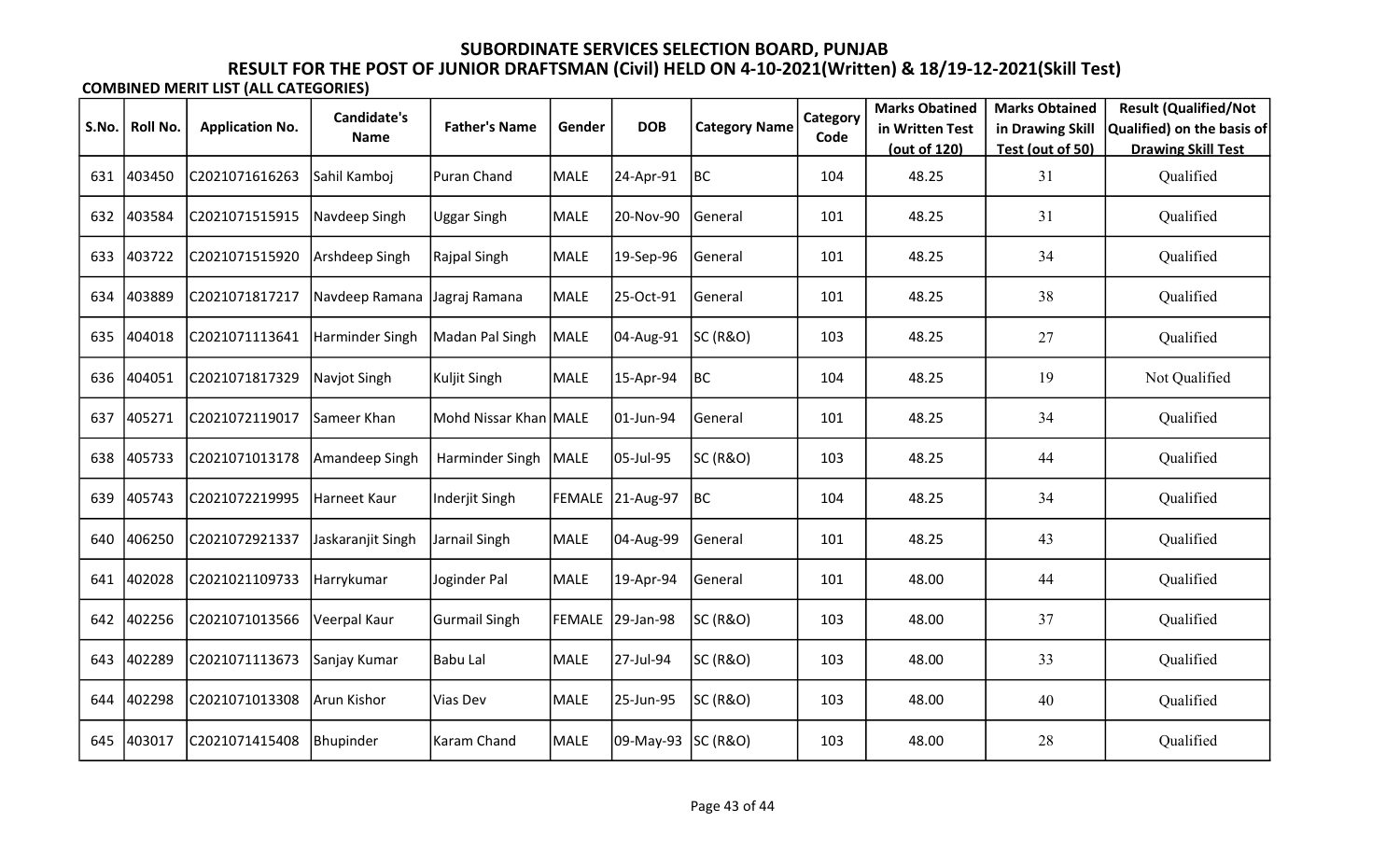| S.No. | Roll No. | <b>Application No.</b> | <b>Candidate's</b> | <b>Father's Name</b>  | Gender | <b>DOB</b>         |                      | Category | <b>Marks Obatined</b>           | <b>Marks Obtained</b>                | <b>Result (Qualified/Not</b>                            |
|-------|----------|------------------------|--------------------|-----------------------|--------|--------------------|----------------------|----------|---------------------------------|--------------------------------------|---------------------------------------------------------|
|       |          |                        | Name               |                       |        |                    | <b>Category Name</b> | Code     | in Written Test<br>(out of 120) | in Drawing Skill<br>Test (out of 50) | Qualified) on the basis of<br><b>Drawing Skill Test</b> |
| 631   | 403450   | C2021071616263         | Sahil Kamboj       | <b>Puran Chand</b>    | MALE   | 24-Apr-91          | BC                   | 104      | 48.25                           | 31                                   | Qualified                                               |
| 632   | 403584   | C2021071515915         | Navdeep Singh      | Uggar Singh           | MALE   | 20-Nov-90          | General              | 101      | 48.25                           | 31                                   | Qualified                                               |
| 633   | 403722   | C2021071515920         | Arshdeep Singh     | Rajpal Singh          | MALE   | 19-Sep-96          | General              | 101      | 48.25                           | 34                                   | Qualified                                               |
| 634   | 403889   | C2021071817217         | Navdeep Ramana     | Jagraj Ramana         | MALE   | 25-Oct-91          | General              | 101      | 48.25                           | 38                                   | Qualified                                               |
| 635   | 404018   | C2021071113641         | Harminder Singh    | Madan Pal Singh       | MALE   | 04-Aug-91          | <b>SC (R&amp;O)</b>  | 103      | 48.25                           | 27                                   | Qualified                                               |
| 636   | 404051   | C2021071817329         | Navjot Singh       | Kuljit Singh          | MALE   | 15-Apr-94          | BC                   | 104      | 48.25                           | 19                                   | Not Qualified                                           |
| 637   | 405271   | C2021072119017         | Sameer Khan        | Mohd Nissar Khan MALE |        | 01-Jun-94          | General              | 101      | 48.25                           | 34                                   | Qualified                                               |
| 638   | 405733   | C2021071013178         | Amandeep Singh     | Harminder Singh       | MALE   | 05-Jul-95          | SC (R&O)             | 103      | 48.25                           | 44                                   | Qualified                                               |
| 639   | 405743   | C2021072219995         | Harneet Kaur       | Inderjit Singh        |        | FEMALE 21-Aug-97   | BC                   | 104      | 48.25                           | 34                                   | Qualified                                               |
| 640   | 406250   | C2021072921337         | Jaskaranjit Singh  | Jarnail Singh         | MALE   | 04-Aug-99          | General              | 101      | 48.25                           | 43                                   | Qualified                                               |
| 641   | 402028   | C2021021109733         | Harrykumar         | Joginder Pal          | MALE   | 19-Apr-94          | General              | 101      | 48.00                           | 44                                   | Qualified                                               |
| 642   | 402256   | C2021071013566         | Veerpal Kaur       | <b>Gurmail Singh</b>  |        | FEMALE 29-Jan-98   | SC (R&O)             | 103      | 48.00                           | 37                                   | Qualified                                               |
| 643   | 402289   | C2021071113673         | Sanjay Kumar       | <b>Babu Lal</b>       | MALE   | 27-Jul-94          | SC (R&O)             | 103      | 48.00                           | 33                                   | Qualified                                               |
| 644   | 402298   | C2021071013308         | Arun Kishor        | Vias Dev              | MALE   | 25-Jun-95          | SC (R&O)             | 103      | 48.00                           | 40                                   | Qualified                                               |
| 645   | 403017   | C2021071415408         | Bhupinder          | Karam Chand           | MALE   | 09-May-93 SC (R&O) |                      | 103      | 48.00                           | 28                                   | Qualified                                               |